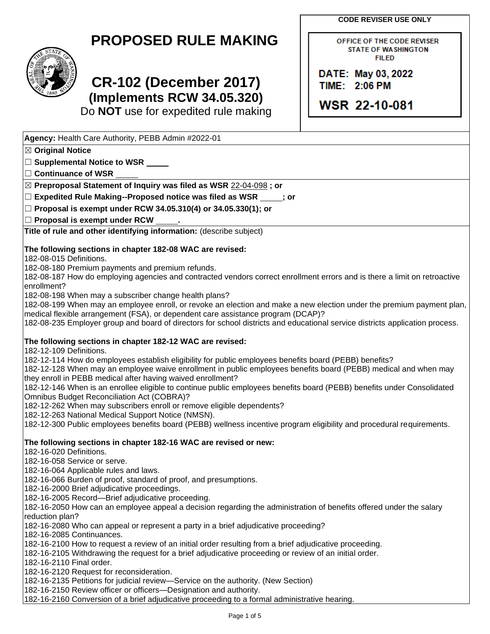**CODE REVISER USE ONLY**

OFFICE OF THE CODE REVISER **STATE OF WASHINGTON FILED** 

DATE: May 03, 2022 TIME: 2:06 PM

WSR 22-10-081

## **PROPOSED RULE MAKING**



# **CR-102 (December 2017) (Implements RCW 34.05.320)**

Do **NOT** use for expedited rule making

Page 1 of 5 **Agency:** Health Care Authority, PEBB Admin #2022-01 ☒ **Original Notice** ☐ **Supplemental Notice to WSR** ☐ **Continuance of WSR** ☒ **Preproposal Statement of Inquiry was filed as WSR** 22-04-098 **; or** ☐ **Expedited Rule Making--Proposed notice was filed as WSR ; or** ☐ **Proposal is exempt under RCW 34.05.310(4) or 34.05.330(1); or** ☐ **Proposal is exempt under RCW . Title of rule and other identifying information:** (describe subject) **The following sections in chapter 182-08 WAC are revised:** 182-08-015 Definitions. 182-08-180 Premium payments and premium refunds. 182-08-187 How do employing agencies and contracted vendors correct enrollment errors and is there a limit on retroactive enrollment? 182-08-198 When may a subscriber change health plans? 182-08-199 When may an employee enroll, or revoke an election and make a new election under the premium payment plan, medical flexible arrangement (FSA), or dependent care assistance program (DCAP)? 182-08-235 Employer group and board of directors for school districts and educational service districts application process. **The following sections in chapter 182-12 WAC are revised:** 182-12-109 Definitions. 182-12-114 How do employees establish eligibility for public employees benefits board (PEBB) benefits? 182-12-128 When may an employee waive enrollment in public employees benefits board (PEBB) medical and when may they enroll in PEBB medical after having waived enrollment? 182-12-146 When is an enrollee eligible to continue public employees benefits board (PEBB) benefits under Consolidated Omnibus Budget Reconciliation Act (COBRA)? 182-12-262 When may subscribers enroll or remove eligible dependents? 182-12-263 National Medical Support Notice (NMSN). 182-12-300 Public employees benefits board (PEBB) wellness incentive program eligibility and procedural requirements. **The following sections in chapter 182-16 WAC are revised or new:** 182-16-020 Definitions. 182-16-058 Service or serve. 182-16-064 Applicable rules and laws. 182-16-066 Burden of proof, standard of proof, and presumptions. 182-16-2000 Brief adjudicative proceedings. 182-16-2005 Record—Brief adjudicative proceeding. 182-16-2050 How can an employee appeal a decision regarding the administration of benefits offered under the salary reduction plan? 182-16-2080 Who can appeal or represent a party in a brief adjudicative proceeding? 182-16-2085 Continuances. 182-16-2100 How to request a review of an initial order resulting from a brief adjudicative proceeding. 182-16-2105 Withdrawing the request for a brief adjudicative proceeding or review of an initial order. 182-16-2110 Final order. 182-16-2120 Request for reconsideration. 182-16-2135 Petitions for judicial review—Service on the authority. (New Section) 182-16-2150 Review officer or officers—Designation and authority. 182-16-2160 Conversion of a brief adjudicative proceeding to a formal administrative hearing.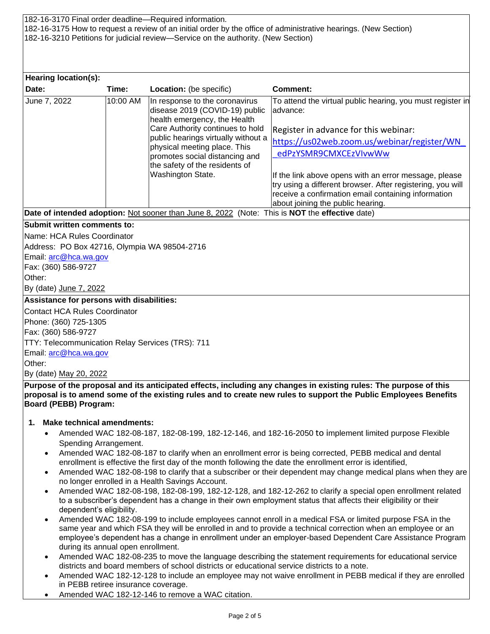182-16-3170 Final order deadline—Required information. 182-16-3175 How to request a review of an initial order by the office of administrative hearings. (New Section) 182-16-3210 Petitions for judicial review—Service on the authority. (New Section)

| Hearing location(s):                             |          |                                                                                                                                                                                                                                                                                                      |                                                                                                                                                                                                                                                                                                                                                                                                            |  |  |  |
|--------------------------------------------------|----------|------------------------------------------------------------------------------------------------------------------------------------------------------------------------------------------------------------------------------------------------------------------------------------------------------|------------------------------------------------------------------------------------------------------------------------------------------------------------------------------------------------------------------------------------------------------------------------------------------------------------------------------------------------------------------------------------------------------------|--|--|--|
| Date:                                            | Time:    | Location: (be specific)                                                                                                                                                                                                                                                                              | <b>Comment:</b>                                                                                                                                                                                                                                                                                                                                                                                            |  |  |  |
| June 7, 2022                                     | 10:00 AM | In response to the coronavirus<br>disease 2019 (COVID-19) public<br>health emergency, the Health<br>Care Authority continues to hold<br>public hearings virtually without a<br>physical meeting place. This<br>promotes social distancing and<br>the safety of the residents of<br>Washington State. | To attend the virtual public hearing, you must register in<br>advance:<br>Register in advance for this webinar:<br>https://us02web.zoom.us/webinar/register/WN<br>edPzYSMR9CMXCEzVIvwWw<br>If the link above opens with an error message, please<br>try using a different browser. After registering, you will<br>receive a confirmation email containing information<br>about joining the public hearing. |  |  |  |
|                                                  |          | Date of intended adoption: Not sooner than June 8, 2022 (Note: This is NOT the effective date)                                                                                                                                                                                                       |                                                                                                                                                                                                                                                                                                                                                                                                            |  |  |  |
| <b>Submit written comments to:</b>               |          |                                                                                                                                                                                                                                                                                                      |                                                                                                                                                                                                                                                                                                                                                                                                            |  |  |  |
| Name: HCA Rules Coordinator                      |          |                                                                                                                                                                                                                                                                                                      |                                                                                                                                                                                                                                                                                                                                                                                                            |  |  |  |
| Address: PO Box 42716, Olympia WA 98504-2716     |          |                                                                                                                                                                                                                                                                                                      |                                                                                                                                                                                                                                                                                                                                                                                                            |  |  |  |
| Email: arc@hca.wa.gov                            |          |                                                                                                                                                                                                                                                                                                      |                                                                                                                                                                                                                                                                                                                                                                                                            |  |  |  |
| Fax: (360) 586-9727                              |          |                                                                                                                                                                                                                                                                                                      |                                                                                                                                                                                                                                                                                                                                                                                                            |  |  |  |
| Other:                                           |          |                                                                                                                                                                                                                                                                                                      |                                                                                                                                                                                                                                                                                                                                                                                                            |  |  |  |
| By (date) June 7, 2022                           |          |                                                                                                                                                                                                                                                                                                      |                                                                                                                                                                                                                                                                                                                                                                                                            |  |  |  |
| Assistance for persons with disabilities:        |          |                                                                                                                                                                                                                                                                                                      |                                                                                                                                                                                                                                                                                                                                                                                                            |  |  |  |
| <b>Contact HCA Rules Coordinator</b>             |          |                                                                                                                                                                                                                                                                                                      |                                                                                                                                                                                                                                                                                                                                                                                                            |  |  |  |
| Phone: (360) 725-1305                            |          |                                                                                                                                                                                                                                                                                                      |                                                                                                                                                                                                                                                                                                                                                                                                            |  |  |  |
| Fax: (360) 586-9727                              |          |                                                                                                                                                                                                                                                                                                      |                                                                                                                                                                                                                                                                                                                                                                                                            |  |  |  |
| TTY: Telecommunication Relay Services (TRS): 711 |          |                                                                                                                                                                                                                                                                                                      |                                                                                                                                                                                                                                                                                                                                                                                                            |  |  |  |
| Email: arc@hca.wa.gov                            |          |                                                                                                                                                                                                                                                                                                      |                                                                                                                                                                                                                                                                                                                                                                                                            |  |  |  |
| Other:                                           |          |                                                                                                                                                                                                                                                                                                      |                                                                                                                                                                                                                                                                                                                                                                                                            |  |  |  |
| By (date) May 20, 2022                           |          |                                                                                                                                                                                                                                                                                                      |                                                                                                                                                                                                                                                                                                                                                                                                            |  |  |  |
|                                                  |          |                                                                                                                                                                                                                                                                                                      | Purpose of the proposal and its anticipated effects, including any changes in existing rules: The purpose of this                                                                                                                                                                                                                                                                                          |  |  |  |
|                                                  |          |                                                                                                                                                                                                                                                                                                      | proposal is to amend some of the existing rules and to create new rules to support the Public Employees Benefits                                                                                                                                                                                                                                                                                           |  |  |  |

**Board (PEBB) Program:**

#### **1. Make technical amendments:**

- Amended WAC 182-08-187, 182-08-199, 182-12-146, and 182-16-2050 to implement limited purpose Flexible Spending Arrangement.
- Amended WAC 182-08-187 to clarify when an enrollment error is being corrected, PEBB medical and dental enrollment is effective the first day of the month following the date the enrollment error is identified,
- Amended WAC 182-08-198 to clarify that a subscriber or their dependent may change medical plans when they are no longer enrolled in a Health Savings Account.
- Amended WAC 182-08-198, 182-08-199, 182-12-128, and 182-12-262 to clarify a special open enrollment related to a subscriber's dependent has a change in their own employment status that affects their eligibility or their dependent's eligibility.
- Amended WAC 182-08-199 to include employees cannot enroll in a medical FSA or limited purpose FSA in the same year and which FSA they will be enrolled in and to provide a technical correction when an employee or an employee's dependent has a change in enrollment under an employer-based Dependent Care Assistance Program during its annual open enrollment.
- Amended WAC 182-08-235 to move the language describing the statement requirements for educational service districts and board members of school districts or educational service districts to a note.
- Amended WAC 182-12-128 to include an employee may not waive enrollment in PEBB medical if they are enrolled in PEBB retiree insurance coverage.
- Amended WAC 182-12-146 to remove a WAC citation.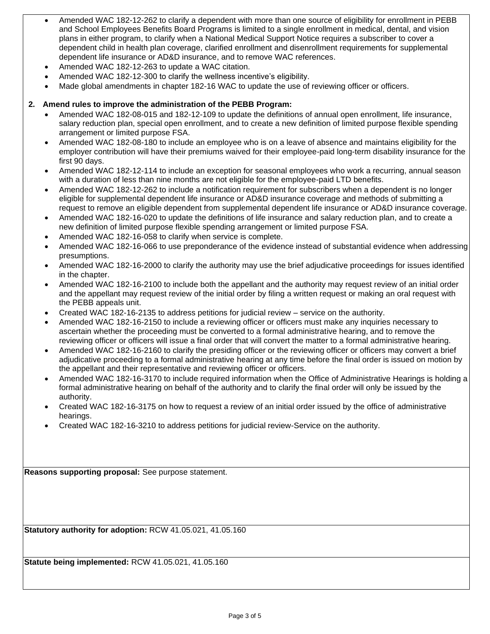- Amended WAC 182-12-262 to clarify a dependent with more than one source of eligibility for enrollment in PEBB and School Employees Benefits Board Programs is limited to a single enrollment in medical, dental, and vision plans in either program, to clarify when a National Medical Support Notice requires a subscriber to cover a dependent child in health plan coverage, clarified enrollment and disenrollment requirements for supplemental dependent life insurance or AD&D insurance, and to remove WAC references.
- Amended WAC 182-12-263 to update a WAC citation.
- Amended WAC 182-12-300 to clarify the wellness incentive's eligibility.
- Made global amendments in chapter 182-16 WAC to update the use of reviewing officer or officers.

### **2. Amend rules to improve the administration of the PEBB Program:**

- Amended WAC 182-08-015 and 182-12-109 to update the definitions of annual open enrollment, life insurance, salary reduction plan, special open enrollment, and to create a new definition of limited purpose flexible spending arrangement or limited purpose FSA.
- Amended WAC 182-08-180 to include an employee who is on a leave of absence and maintains eligibility for the employer contribution will have their premiums waived for their employee-paid long-term disability insurance for the first 90 days.
- Amended WAC 182-12-114 to include an exception for seasonal employees who work a recurring, annual season with a duration of less than nine months are not eligible for the employee-paid LTD benefits.
- Amended WAC 182-12-262 to include a notification requirement for subscribers when a dependent is no longer eligible for supplemental dependent life insurance or AD&D insurance coverage and methods of submitting a request to remove an eligible dependent from supplemental dependent life insurance or AD&D insurance coverage.
- Amended WAC 182-16-020 to update the definitions of life insurance and salary reduction plan, and to create a new definition of limited purpose flexible spending arrangement or limited purpose FSA.
- Amended WAC 182-16-058 to clarify when service is complete.
- Amended WAC 182-16-066 to use preponderance of the evidence instead of substantial evidence when addressing presumptions.
- Amended WAC 182-16-2000 to clarify the authority may use the brief adjudicative proceedings for issues identified in the chapter.
- Amended WAC 182-16-2100 to include both the appellant and the authority may request review of an initial order and the appellant may request review of the initial order by filing a written request or making an oral request with the PEBB appeals unit.
- Created WAC 182-16-2135 to address petitions for judicial review service on the authority.
- Amended WAC 182-16-2150 to include a reviewing officer or officers must make any inquiries necessary to ascertain whether the proceeding must be converted to a formal administrative hearing, and to remove the reviewing officer or officers will issue a final order that will convert the matter to a formal administrative hearing.
- Amended WAC 182-16-2160 to clarify the presiding officer or the reviewing officer or officers may convert a brief adjudicative proceeding to a formal administrative hearing at any time before the final order is issued on motion by the appellant and their representative and reviewing officer or officers.
- Amended WAC 182-16-3170 to include required information when the Office of Administrative Hearings is holding a formal administrative hearing on behalf of the authority and to clarify the final order will only be issued by the authority.
- Created WAC 182-16-3175 on how to request a review of an initial order issued by the office of administrative hearings.
- Created WAC 182-16-3210 to address petitions for judicial review-Service on the authority.

**Reasons supporting proposal:** See purpose statement.

**Statutory authority for adoption:** RCW 41.05.021, 41.05.160

**Statute being implemented:** RCW 41.05.021, 41.05.160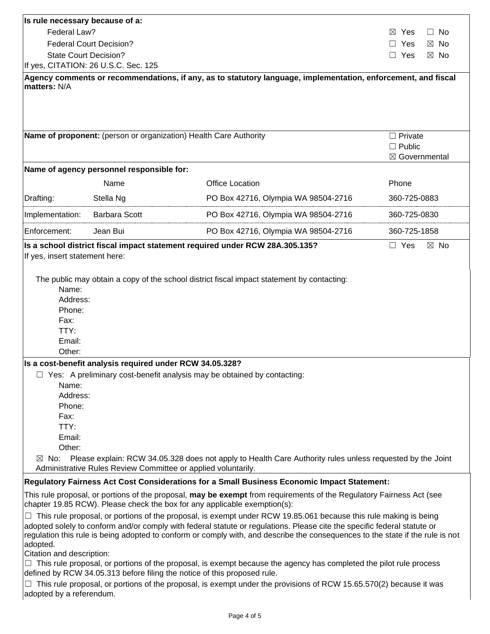| Is rule necessary because of a:                                                                                                                                                                                                                                                                                                                                                                                |                                                                                             |                                                                                                                       |                                                   |  |  |  |  |
|----------------------------------------------------------------------------------------------------------------------------------------------------------------------------------------------------------------------------------------------------------------------------------------------------------------------------------------------------------------------------------------------------------------|---------------------------------------------------------------------------------------------|-----------------------------------------------------------------------------------------------------------------------|---------------------------------------------------|--|--|--|--|
| Federal Law?                                                                                                                                                                                                                                                                                                                                                                                                   |                                                                                             |                                                                                                                       | $\Box$ No<br>$\bowtie$<br>Yes                     |  |  |  |  |
|                                                                                                                                                                                                                                                                                                                                                                                                                | <b>Federal Court Decision?</b>                                                              |                                                                                                                       | Yes<br>$\boxtimes$ No                             |  |  |  |  |
|                                                                                                                                                                                                                                                                                                                                                                                                                | <b>State Court Decision?</b>                                                                |                                                                                                                       | $\Box$ Yes<br>$\boxtimes$ No                      |  |  |  |  |
| If yes, CITATION: 26 U.S.C. Sec. 125                                                                                                                                                                                                                                                                                                                                                                           |                                                                                             |                                                                                                                       |                                                   |  |  |  |  |
| matters: N/A                                                                                                                                                                                                                                                                                                                                                                                                   |                                                                                             | Agency comments or recommendations, if any, as to statutory language, implementation, enforcement, and fiscal         |                                                   |  |  |  |  |
|                                                                                                                                                                                                                                                                                                                                                                                                                |                                                                                             | Name of proponent: (person or organization) Health Care Authority                                                     | $\Box$ Private<br>$\Box$ Public<br>⊠ Governmental |  |  |  |  |
|                                                                                                                                                                                                                                                                                                                                                                                                                | Name of agency personnel responsible for:                                                   |                                                                                                                       |                                                   |  |  |  |  |
|                                                                                                                                                                                                                                                                                                                                                                                                                | Name                                                                                        | <b>Office Location</b>                                                                                                | Phone                                             |  |  |  |  |
| Drafting:                                                                                                                                                                                                                                                                                                                                                                                                      | Stella Ng                                                                                   | PO Box 42716, Olympia WA 98504-2716                                                                                   | 360-725-0883                                      |  |  |  |  |
| Implementation:                                                                                                                                                                                                                                                                                                                                                                                                | <b>Barbara Scott</b>                                                                        | PO Box 42716, Olympia WA 98504-2716                                                                                   | 360-725-0830                                      |  |  |  |  |
| Enforcement:                                                                                                                                                                                                                                                                                                                                                                                                   | Jean Bui                                                                                    | PO Box 42716, Olympia WA 98504-2716                                                                                   | 360-725-1858                                      |  |  |  |  |
| Name:<br>Address:<br>Phone:<br>Fax:<br>TTY:<br>Email:<br>Other:                                                                                                                                                                                                                                                                                                                                                |                                                                                             | The public may obtain a copy of the school district fiscal impact statement by contacting:                            |                                                   |  |  |  |  |
|                                                                                                                                                                                                                                                                                                                                                                                                                |                                                                                             |                                                                                                                       |                                                   |  |  |  |  |
| Is a cost-benefit analysis required under RCW 34.05.328?<br>$\Box$ Yes: A preliminary cost-benefit analysis may be obtained by contacting:<br>Name:<br>Address:<br>Phone:<br>Fax:<br>TTY:<br>Email:<br>Other:<br>Please explain: RCW 34.05.328 does not apply to Health Care Authority rules unless requested by the Joint<br>$\boxtimes$ No:<br>Administrative Rules Review Committee or applied voluntarily. |                                                                                             |                                                                                                                       |                                                   |  |  |  |  |
|                                                                                                                                                                                                                                                                                                                                                                                                                | Regulatory Fairness Act Cost Considerations for a Small Business Economic Impact Statement: |                                                                                                                       |                                                   |  |  |  |  |
| This rule proposal, or portions of the proposal, may be exempt from requirements of the Regulatory Fairness Act (see<br>chapter 19.85 RCW). Please check the box for any applicable exemption(s):                                                                                                                                                                                                              |                                                                                             |                                                                                                                       |                                                   |  |  |  |  |
|                                                                                                                                                                                                                                                                                                                                                                                                                |                                                                                             | $\Box$ This rule proposed or pertions of the proposed is exampt under BCW 10.95 061 because this rule making is being |                                                   |  |  |  |  |

☐ This rule proposal, or portions of the proposal, is exempt under RCW 19.85.061 because this rule making is being adopted solely to conform and/or comply with federal statute or regulations. Please cite the specific federal statute or regulation this rule is being adopted to conform or comply with, and describe the consequences to the state if the rule is not adopted.

Citation and description:

□ This rule proposal, or portions of the proposal, is exempt because the agency has completed the pilot rule process defined by RCW 34.05.313 before filing the notice of this proposed rule.

 $\Box$  This rule proposal, or portions of the proposal, is exempt under the provisions of RCW 15.65.570(2) because it was adopted by a referendum.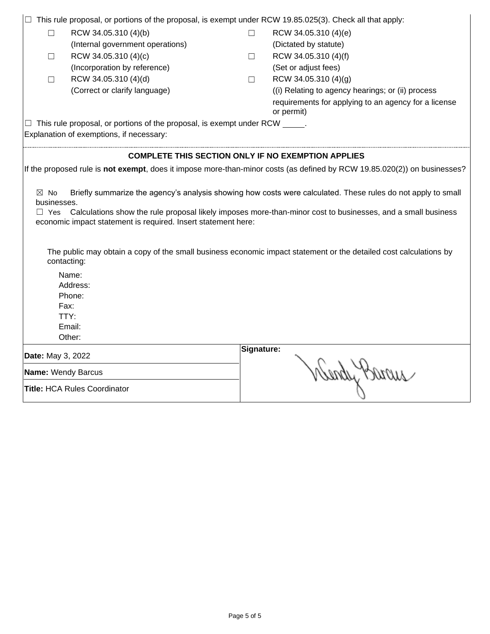|                                                                                                                                                                                                                                                                                                                                                                                                                                                                                                                                                    | This rule proposal, or portions of the proposal, is exempt under RCW 19.85.025(3). Check all that apply: |            |                                                                                                                          |  |  |  |  |
|----------------------------------------------------------------------------------------------------------------------------------------------------------------------------------------------------------------------------------------------------------------------------------------------------------------------------------------------------------------------------------------------------------------------------------------------------------------------------------------------------------------------------------------------------|----------------------------------------------------------------------------------------------------------|------------|--------------------------------------------------------------------------------------------------------------------------|--|--|--|--|
| $\Box$                                                                                                                                                                                                                                                                                                                                                                                                                                                                                                                                             | RCW 34.05.310 (4)(b)                                                                                     | $\Box$     | RCW 34.05.310 (4)(e)                                                                                                     |  |  |  |  |
|                                                                                                                                                                                                                                                                                                                                                                                                                                                                                                                                                    | (Internal government operations)                                                                         |            | (Dictated by statute)                                                                                                    |  |  |  |  |
| $\Box$                                                                                                                                                                                                                                                                                                                                                                                                                                                                                                                                             | RCW 34.05.310 (4)(c)                                                                                     |            | RCW 34.05.310 (4)(f)                                                                                                     |  |  |  |  |
|                                                                                                                                                                                                                                                                                                                                                                                                                                                                                                                                                    | (Incorporation by reference)                                                                             |            | (Set or adjust fees)                                                                                                     |  |  |  |  |
| $\Box$                                                                                                                                                                                                                                                                                                                                                                                                                                                                                                                                             | RCW 34.05.310 (4)(d)                                                                                     |            | RCW 34.05.310 (4)(g)                                                                                                     |  |  |  |  |
|                                                                                                                                                                                                                                                                                                                                                                                                                                                                                                                                                    | (Correct or clarify language)                                                                            |            | (i) Relating to agency hearings; or (ii) process                                                                         |  |  |  |  |
|                                                                                                                                                                                                                                                                                                                                                                                                                                                                                                                                                    |                                                                                                          |            | requirements for applying to an agency for a license<br>or permit)                                                       |  |  |  |  |
|                                                                                                                                                                                                                                                                                                                                                                                                                                                                                                                                                    | $\Box$ This rule proposal, or portions of the proposal, is exempt under RCW $\_\_\_\_\$ .                |            |                                                                                                                          |  |  |  |  |
|                                                                                                                                                                                                                                                                                                                                                                                                                                                                                                                                                    | Explanation of exemptions, if necessary:                                                                 |            |                                                                                                                          |  |  |  |  |
| <b>COMPLETE THIS SECTION ONLY IF NO EXEMPTION APPLIES</b>                                                                                                                                                                                                                                                                                                                                                                                                                                                                                          |                                                                                                          |            |                                                                                                                          |  |  |  |  |
|                                                                                                                                                                                                                                                                                                                                                                                                                                                                                                                                                    |                                                                                                          |            | If the proposed rule is not exempt, does it impose more-than-minor costs (as defined by RCW 19.85.020(2)) on businesses? |  |  |  |  |
| Briefly summarize the agency's analysis showing how costs were calculated. These rules do not apply to small<br>$\boxtimes$ No<br>businesses.<br>Calculations show the rule proposal likely imposes more-than-minor cost to businesses, and a small business<br>$\Box$ Yes<br>economic impact statement is required. Insert statement here:<br>The public may obtain a copy of the small business economic impact statement or the detailed cost calculations by<br>contacting:<br>Name:<br>Address:<br>Phone:<br>Fax:<br>TTY:<br>Email:<br>Other: |                                                                                                          |            |                                                                                                                          |  |  |  |  |
| Date: May 3, 2022                                                                                                                                                                                                                                                                                                                                                                                                                                                                                                                                  |                                                                                                          | Signature: |                                                                                                                          |  |  |  |  |
| <b>Name: Wendy Barcus</b>                                                                                                                                                                                                                                                                                                                                                                                                                                                                                                                          |                                                                                                          |            | Wendy Brown                                                                                                              |  |  |  |  |
| <b>Title: HCA Rules Coordinator</b>                                                                                                                                                                                                                                                                                                                                                                                                                                                                                                                |                                                                                                          |            |                                                                                                                          |  |  |  |  |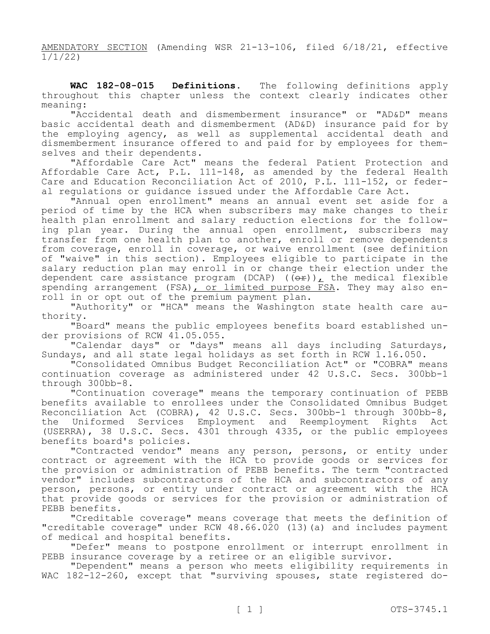AMENDATORY SECTION (Amending WSR 21-13-106, filed 6/18/21, effective 1/1/22)

**WAC 182-08-015 Definitions.** The following definitions apply throughout this chapter unless the context clearly indicates other meaning:

"Accidental death and dismemberment insurance" or "AD&D" means basic accidental death and dismemberment (AD&D) insurance paid for by the employing agency, as well as supplemental accidental death and dismemberment insurance offered to and paid for by employees for themselves and their dependents.

"Affordable Care Act" means the federal Patient Protection and Affordable Care Act, P.L. 111-148, as amended by the federal Health Care and Education Reconciliation Act of 2010, P.L. 111-152, or federal regulations or guidance issued under the Affordable Care Act.

"Annual open enrollment" means an annual event set aside for a period of time by the HCA when subscribers may make changes to their health plan enrollment and salary reduction elections for the following plan year. During the annual open enrollment, subscribers may transfer from one health plan to another, enroll or remove dependents from coverage, enroll in coverage, or waive enrollment (see definition of "waive" in this section). Employees eligible to participate in the salary reduction plan may enroll in or change their election under the dependent care assistance program (DCAP) ( $(e<sub>r</sub>)$ ), the medical flexible spending arrangement (FSA), or limited purpose FSA. They may also enroll in or opt out of the premium payment plan.

"Authority" or "HCA" means the Washington state health care authority.

"Board" means the public employees benefits board established under provisions of RCW 41.05.055.

"Calendar days" or "days" means all days including Saturdays, Sundays, and all state legal holidays as set forth in RCW 1.16.050.

"Consolidated Omnibus Budget Reconciliation Act" or "COBRA" means continuation coverage as administered under 42 U.S.C. Secs. 300bb-1 through 300bb-8.

"Continuation coverage" means the temporary continuation of PEBB benefits available to enrollees under the Consolidated Omnibus Budget Reconciliation Act (COBRA), 42 U.S.C. Secs. 300bb-1 through 300bb-8, the Uniformed Services Employment and Reemployment Rights Act (USERRA), 38 U.S.C. Secs. 4301 through 4335, or the public employees benefits board's policies.

"Contracted vendor" means any person, persons, or entity under contract or agreement with the HCA to provide goods or services for the provision or administration of PEBB benefits. The term "contracted vendor" includes subcontractors of the HCA and subcontractors of any person, persons, or entity under contract or agreement with the HCA that provide goods or services for the provision or administration of PEBB benefits.

"Creditable coverage" means coverage that meets the definition of "creditable coverage" under RCW 48.66.020 (13)(a) and includes payment of medical and hospital benefits.

"Defer" means to postpone enrollment or interrupt enrollment in PEBB insurance coverage by a retiree or an eligible survivor.

"Dependent" means a person who meets eligibility requirements in WAC 182-12-260, except that "surviving spouses, state registered do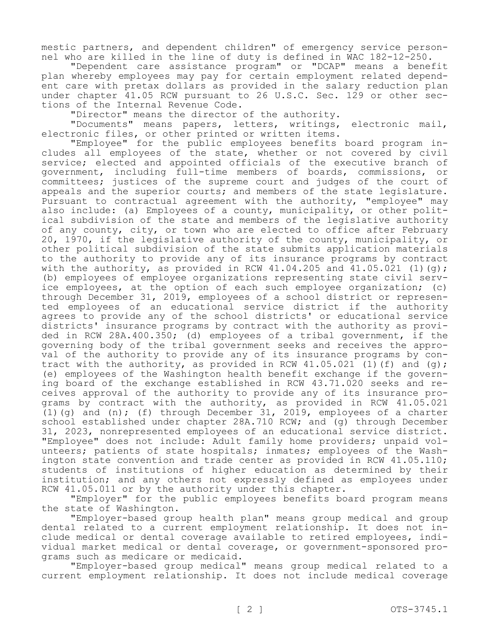mestic partners, and dependent children" of emergency service personnel who are killed in the line of duty is defined in WAC 182-12-250.

"Dependent care assistance program" or "DCAP" means a benefit plan whereby employees may pay for certain employment related dependent care with pretax dollars as provided in the salary reduction plan under chapter 41.05 RCW pursuant to 26 U.S.C. Sec. 129 or other sections of the Internal Revenue Code.

"Director" means the director of the authority.

"Documents" means papers, letters, writings, electronic mail, electronic files, or other printed or written items.

"Employee" for the public employees benefits board program includes all employees of the state, whether or not covered by civil service; elected and appointed officials of the executive branch of government, including full-time members of boards, commissions, or committees; justices of the supreme court and judges of the court of appeals and the superior courts; and members of the state legislature. Pursuant to contractual agreement with the authority, "employee" may also include: (a) Employees of a county, municipality, or other political subdivision of the state and members of the legislative authority of any county, city, or town who are elected to office after February 20, 1970, if the legislative authority of the county, municipality, or other political subdivision of the state submits application materials to the authority to provide any of its insurance programs by contract with the authority, as provided in RCW 41.04.205 and 41.05.021 (1)(q); (b) employees of employee organizations representing state civil service employees, at the option of each such employee organization; (c) through December 31, 2019, employees of a school district or represented employees of an educational service district if the authority agrees to provide any of the school districts' or educational service districts' insurance programs by contract with the authority as provided in RCW 28A.400.350; (d) employees of a tribal government, if the governing body of the tribal government seeks and receives the approval of the authority to provide any of its insurance programs by contract with the authority, as provided in RCW  $41.05.021$  (1)(f) and (g); (e) employees of the Washington health benefit exchange if the governing board of the exchange established in RCW 43.71.020 seeks and receives approval of the authority to provide any of its insurance programs by contract with the authority, as provided in RCW 41.05.021 (1)(g) and  $(n)$ ; (f) through December 31, 2019, employees of a charter school established under chapter 28A.710 RCW; and (q) through December 31, 2023, nonrepresented employees of an educational service district. "Employee" does not include: Adult family home providers; unpaid volunteers; patients of state hospitals; inmates; employees of the Washington state convention and trade center as provided in RCW 41.05.110; students of institutions of higher education as determined by their institution; and any others not expressly defined as employees under RCW 41.05.011 or by the authority under this chapter.

"Employer" for the public employees benefits board program means the state of Washington.

"Employer-based group health plan" means group medical and group dental related to a current employment relationship. It does not include medical or dental coverage available to retired employees, individual market medical or dental coverage, or government-sponsored programs such as medicare or medicaid.

"Employer-based group medical" means group medical related to a current employment relationship. It does not include medical coverage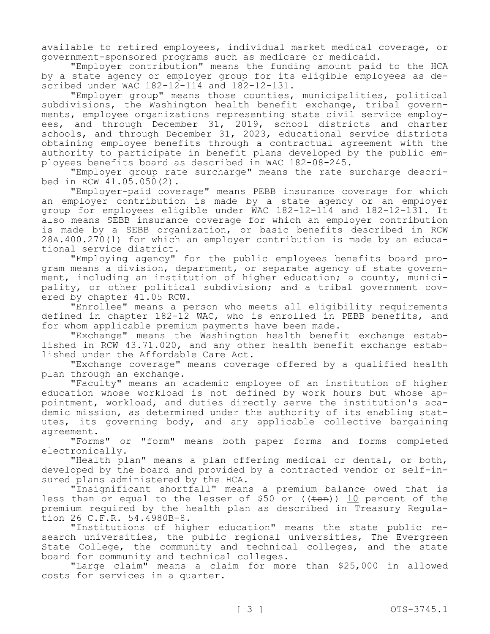available to retired employees, individual market medical coverage, or government-sponsored programs such as medicare or medicaid.

"Employer contribution" means the funding amount paid to the HCA by a state agency or employer group for its eligible employees as described under WAC 182-12-114 and 182-12-131.

"Employer group" means those counties, municipalities, political subdivisions, the Washington health benefit exchange, tribal governments, employee organizations representing state civil service employees, and through December 31, 2019, school districts and charter schools, and through December 31, 2023, educational service districts obtaining employee benefits through a contractual agreement with the authority to participate in benefit plans developed by the public employees benefits board as described in WAC 182-08-245.

"Employer group rate surcharge" means the rate surcharge described in RCW 41.05.050(2).

"Employer-paid coverage" means PEBB insurance coverage for which an employer contribution is made by a state agency or an employer group for employees eligible under WAC 182-12-114 and 182-12-131. It also means SEBB insurance coverage for which an employer contribution is made by a SEBB organization, or basic benefits described in RCW 28A.400.270(1) for which an employer contribution is made by an educational service district.

"Employing agency" for the public employees benefits board program means a division, department, or separate agency of state government, including an institution of higher education; a county, municipality, or other political subdivision; and a tribal government covered by chapter 41.05 RCW.

"Enrollee" means a person who meets all eligibility requirements defined in chapter 182-12 WAC, who is enrolled in PEBB benefits, and for whom applicable premium payments have been made.

"Exchange" means the Washington health benefit exchange established in RCW 43.71.020, and any other health benefit exchange established under the Affordable Care Act.

"Exchange coverage" means coverage offered by a qualified health plan through an exchange.

"Faculty" means an academic employee of an institution of higher education whose workload is not defined by work hours but whose appointment, workload, and duties directly serve the institution's academic mission, as determined under the authority of its enabling statutes, its governing body, and any applicable collective bargaining agreement.

"Forms" or "form" means both paper forms and forms completed electronically.

"Health plan" means a plan offering medical or dental, or both, developed by the board and provided by a contracted vendor or self-insured plans administered by the HCA.

"Insignificant shortfall" means a premium balance owed that is less than or equal to the lesser of \$50 or ((ten)) 10 percent of the premium required by the health plan as described in Treasury Regulation 26 C.F.R. 54.4980B-8.

"Institutions of higher education" means the state public research universities, the public regional universities, The Evergreen State College, the community and technical colleges, and the state board for community and technical colleges.

"Large claim" means a claim for more than \$25,000 in allowed costs for services in a quarter.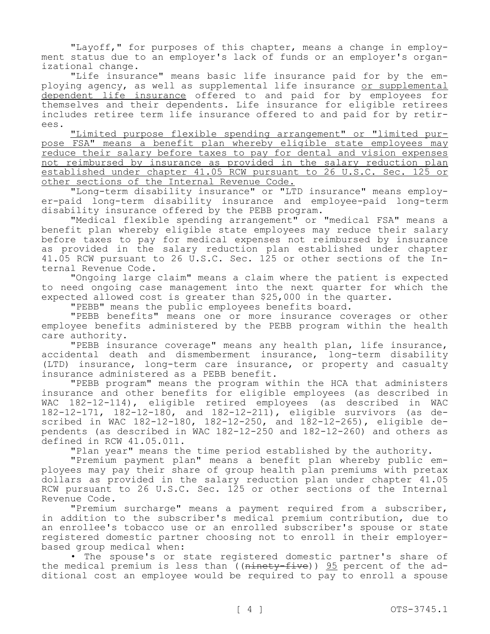"Layoff," for purposes of this chapter, means a change in employment status due to an employer's lack of funds or an employer's organizational change.

"Life insurance" means basic life insurance paid for by the employing agency, as well as supplemental life insurance or supplemental dependent life insurance offered to and paid for by employees for themselves and their dependents. Life insurance for eligible retirees includes retiree term life insurance offered to and paid for by retirees.

"Limited purpose flexible spending arrangement" or "limited purpose FSA" means a benefit plan whereby eligible state employees may reduce their salary before taxes to pay for dental and vision expenses not reimbursed by insurance as provided in the salary reduction plan established under chapter 41.05 RCW pursuant to 26 U.S.C. Sec. 125 or other sections of the Internal Revenue Code.

"Long-term disability insurance" or "LTD insurance" means employer-paid long-term disability insurance and employee-paid long-term disability insurance offered by the PEBB program.

"Medical flexible spending arrangement" or "medical FSA" means a benefit plan whereby eligible state employees may reduce their salary before taxes to pay for medical expenses not reimbursed by insurance as provided in the salary reduction plan established under chapter 41.05 RCW pursuant to 26 U.S.C. Sec. 125 or other sections of the Internal Revenue Code.

"Ongoing large claim" means a claim where the patient is expected to need ongoing case management into the next quarter for which the expected allowed cost is greater than \$25,000 in the quarter.

"PEBB" means the public employees benefits board.

"PEBB benefits" means one or more insurance coverages or other employee benefits administered by the PEBB program within the health care authority.

"PEBB insurance coverage" means any health plan, life insurance, accidental death and dismemberment insurance, long-term disability (LTD) insurance, long-term care insurance, or property and casualty insurance administered as a PEBB benefit.

"PEBB program" means the program within the HCA that administers insurance and other benefits for eligible employees (as described in WAC 182-12-114), eligible retired employees (as described in WAC 182-12-171, 182-12-180, and 182-12-211), eligible survivors (as described in WAC 182-12-180, 182-12-250, and  $182-12-265$ ), eligible dependents (as described in WAC 182-12-250 and 182-12-260) and others as defined in RCW 41.05.011.

"Plan year" means the time period established by the authority.

"Premium payment plan" means a benefit plan whereby public employees may pay their share of group health plan premiums with pretax dollars as provided in the salary reduction plan under chapter 41.05 RCW pursuant to 26 U.S.C. Sec. 125 or other sections of the Internal Revenue Code.

"Premium surcharge" means a payment required from a subscriber, in addition to the subscriber's medical premium contribution, due to an enrollee's tobacco use or an enrolled subscriber's spouse or state registered domestic partner choosing not to enroll in their employerbased group medical when:

• The spouse's or state registered domestic partner's share of the medical premium is less than  $( (nintety-five) ) 95$  percent of the additional cost an employee would be required to pay to enroll a spouse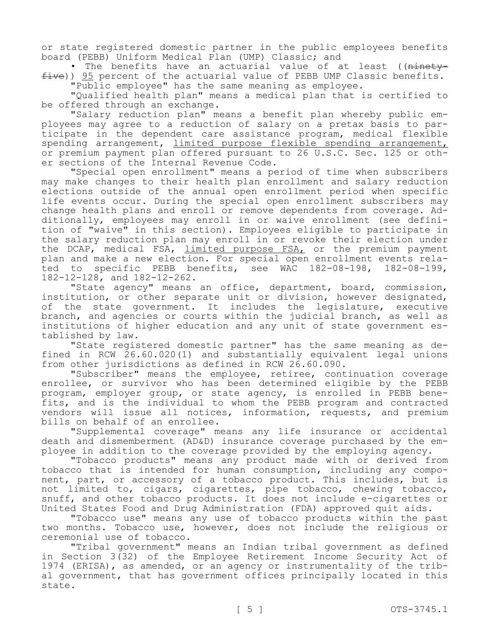or state registered domestic partner in the public employees benefits board (PEBB) Uniform Medical Plan (UMP) Classic; and

• The benefits have an actuarial value of at least ((ninetyfive)) 95 percent of the actuarial value of PEBB UMP Classic benefits. "Public employee" has the same meaning as employee.

"Qualified health plan" means a medical plan that is certified to be offered through an exchange.

"Salary reduction plan" means a benefit plan whereby public employees may agree to a reduction of salary on a pretax basis to participate in the dependent care assistance program, medical flexible spending arrangement, limited purpose flexible spending arrangement, or premium payment plan offered pursuant to 26 U.S.C. Sec. 125 or other sections of the Internal Revenue Code.

"Special open enrollment" means a period of time when subscribers may make changes to their health plan enrollment and salary reduction elections outside of the annual open enrollment period when specific life events occur. During the special open enrollment subscribers may change health plans and enroll or remove dependents from coverage. Additionally, employees may enroll in or waive enrollment (see definition of "waive" in this section). Employees eligible to participate in the salary reduction plan may enroll in or revoke their election under the DCAP, medical FSA, limited purpose FSA, or the premium payment plan and make a new election. For special open enrollment events related to specific PEBB benefits, see WAC 182-08-198, 182-08-199, 182-12-128, and 182-12-262.

"State agency" means an office, department, board, commission, institution, or other separate unit or division, however designated, of the state government. It includes the legislature, executive branch, and agencies or courts within the judicial branch, as well as institutions of higher education and any unit of state government established by law.

"State registered domestic partner" has the same meaning as defined in RCW 26.60.020(1) and substantially equivalent legal unions from other jurisdictions as defined in RCW 26.60.090.

"Subscriber" means the employee, retiree, continuation coverage enrollee, or survivor who has been determined eligible by the PEBB program, employer group, or state agency, is enrolled in PEBB benefits, and is the individual to whom the PEBB program and contracted vendors will issue all notices, information, requests, and premium bills on behalf of an enrollee.

"Supplemental coverage" means any life insurance or accidental death and dismemberment (AD&D) insurance coverage purchased by the employee in addition to the coverage provided by the employing agency.

"Tobacco products" means any product made with or derived from tobacco that is intended for human consumption, including any component, part, or accessory of a tobacco product. This includes, but is not limited to, cigars, cigarettes, pipe tobacco, chewing tobacco, snuff, and other tobacco products. It does not include e-cigarettes or United States Food and Drug Administration (FDA) approved quit aids.

"Tobacco use" means any use of tobacco products within the past two months. Tobacco use, however, does not include the religious or ceremonial use of tobacco.

"Tribal government" means an Indian tribal government as defined in Section 3(32) of the Employee Retirement Income Security Act of 1974 (ERISA), as amended, or an agency or instrumentality of the tribal government, that has government offices principally located in this state.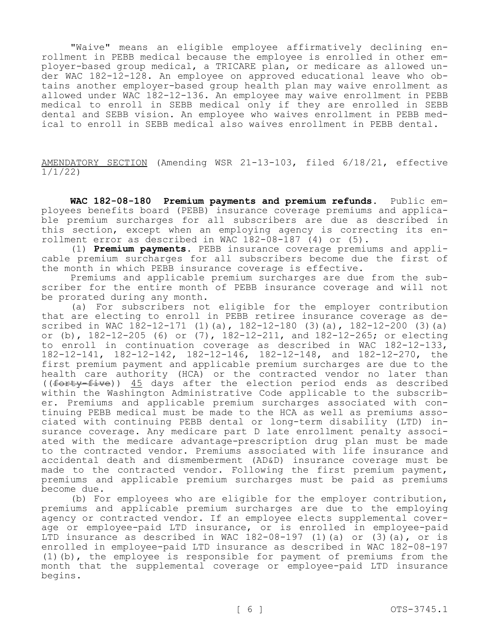"Waive" means an eligible employee affirmatively declining enrollment in PEBB medical because the employee is enrolled in other employer-based group medical, a TRICARE plan, or medicare as allowed under WAC 182-12-128. An employee on approved educational leave who obtains another employer-based group health plan may waive enrollment as allowed under WAC 182-12-136. An employee may waive enrollment in PEBB medical to enroll in SEBB medical only if they are enrolled in SEBB dental and SEBB vision. An employee who waives enrollment in PEBB medical to enroll in SEBB medical also waives enrollment in PEBB dental.

AMENDATORY SECTION (Amending WSR 21-13-103, filed 6/18/21, effective 1/1/22)

**WAC 182-08-180 Premium payments and premium refunds.** Public employees benefits board (PEBB) insurance coverage premiums and applicable premium surcharges for all subscribers are due as described in this section, except when an employing agency is correcting its enrollment error as described in WAC 182-08-187 (4) or (5).

(1) **Premium payments.** PEBB insurance coverage premiums and applicable premium surcharges for all subscribers become due the first of the month in which PEBB insurance coverage is effective.

Premiums and applicable premium surcharges are due from the subscriber for the entire month of PEBB insurance coverage and will not be prorated during any month.

(a) For subscribers not eligible for the employer contribution that are electing to enroll in PEBB retiree insurance coverage as described in WAC 182-12-171 (1)(a), 182-12-180 (3)(a), 182-12-200 (3)(a) or (b), 182-12-205 (6) or (7), 182-12-211, and 182-12-265; or electing to enroll in continuation coverage as described in WAC 182-12-133, 182-12-141, 182-12-142, 182-12-146, 182-12-148, and 182-12-270, the first premium payment and applicable premium surcharges are due to the health care authority (HCA) or the contracted vendor no later than ((forty-five)) 45 days after the election period ends as described within the Washington Administrative Code applicable to the subscriber. Premiums and applicable premium surcharges associated with continuing PEBB medical must be made to the HCA as well as premiums associated with continuing PEBB dental or long-term disability (LTD) insurance coverage. Any medicare part D late enrollment penalty associated with the medicare advantage-prescription drug plan must be made to the contracted vendor. Premiums associated with life insurance and accidental death and dismemberment (AD&D) insurance coverage must be made to the contracted vendor. Following the first premium payment, premiums and applicable premium surcharges must be paid as premiums become due.

(b) For employees who are eligible for the employer contribution, premiums and applicable premium surcharges are due to the employing agency or contracted vendor. If an employee elects supplemental coverage or employee-paid LTD insurance, or is enrolled in employee-paid LTD insurance as described in WAC 182-08-197 (1) (a) or (3) (a), or is enrolled in employee-paid LTD insurance as described in WAC 182-08-197 (1)(b), the employee is responsible for payment of premiums from the month that the supplemental coverage or employee-paid LTD insurance begins.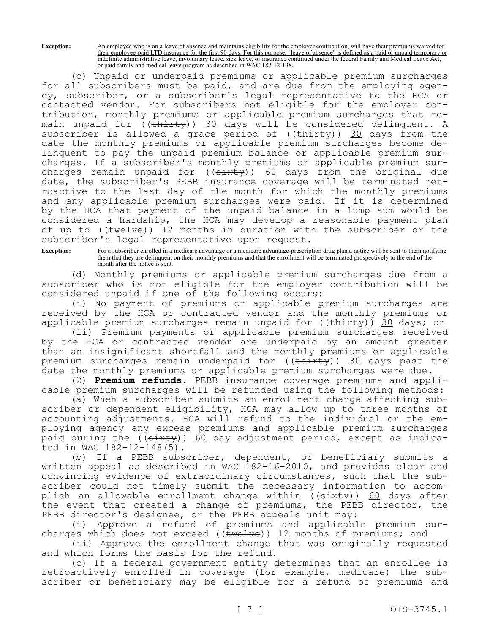**Exception:** An employee who is on a leave of absence and maintains eligibility for the employer contribution, will have their premiums waived for their employee-paid LTD insurance for the first 90 days. For this purpose, "leave of absence" is defined as a paid or unpaid temporary or indefinite administrative leave, involuntary leave, sick leave, or insurance continued under the federal Family and Medical Leave Act, or paid family and medical leave program as described in WAC 182-12-138.

(c) Unpaid or underpaid premiums or applicable premium surcharges for all subscribers must be paid, and are due from the employing agency, subscriber, or a subscriber's legal representative to the HCA or contacted vendor. For subscribers not eligible for the employer contribution, monthly premiums or applicable premium surcharges that remain unpaid for ((<del>thirty</del>)) 30 days will be considered delinquent. A subscriber is allowed a grace period of  $((\text{thirty}))$  30 days from the date the monthly premiums or applicable premium surcharges become delinquent to pay the unpaid premium balance or applicable premium surcharges. If a subscriber's monthly premiums or applicable premium surcharges remain unpaid for  $((s+1)(s+1)(s+2))$  60 days from the original due date, the subscriber's PEBB insurance coverage will be terminated retroactive to the last day of the month for which the monthly premiums and any applicable premium surcharges were paid. If it is determined by the HCA that payment of the unpaid balance in a lump sum would be considered a hardship, the HCA may develop a reasonable payment plan of up to (( $t$ welve)) 12 months in duration with the subscriber or the subscriber's legal representative upon request.

**Exception:** For a subscriber enrolled in a medicare advantage or a medicare advantage-prescription drug plan a notice will be sent to them notifying them that they are delinquent on their monthly premiums and that the enrollment will be terminated prospectively to the end of the month after the notice is sent.

(d) Monthly premiums or applicable premium surcharges due from a subscriber who is not eligible for the employer contribution will be considered unpaid if one of the following occurs:

(i) No payment of premiums or applicable premium surcharges are received by the HCA or contracted vendor and the monthly premiums or applicable premium surcharges remain unpaid for ((thirty)) 30 days; or

(ii) Premium payments or applicable premium surcharges received by the HCA or contracted vendor are underpaid by an amount greater than an insignificant shortfall and the monthly premiums or applicable premium surcharges remain underpaid for ((thirty)) 30 days past the date the monthly premiums or applicable premium surcharges were due.

(2) **Premium refunds.** PEBB insurance coverage premiums and applicable premium surcharges will be refunded using the following methods:

(a) When a subscriber submits an enrollment change affecting subscriber or dependent eligibility, HCA may allow up to three months of accounting adjustments. HCA will refund to the individual or the employing agency any excess premiums and applicable premium surcharges paid during the ((sixty)) 60 day adjustment period, except as indicated in WAC 182-12-148(5).

(b) If a PEBB subscriber, dependent, or beneficiary submits a written appeal as described in WAC 182-16-2010, and provides clear and convincing evidence of extraordinary circumstances, such that the subscriber could not timely submit the necessary information to accomplish an allowable enrollment change within ((<del>sixty</del>)) <u>60</u> days after the event that created a change of premiums, the PEBB director, the PEBB director's designee, or the PEBB appeals unit may:

(i) Approve a refund of premiums and applicable premium surcharges which does not exceed ( $(\text{twelve})$ ) 12 months of premiums; and

(ii) Approve the enrollment change that was originally requested and which forms the basis for the refund.

(c) If a federal government entity determines that an enrollee is retroactively enrolled in coverage (for example, medicare) the subscriber or beneficiary may be eligible for a refund of premiums and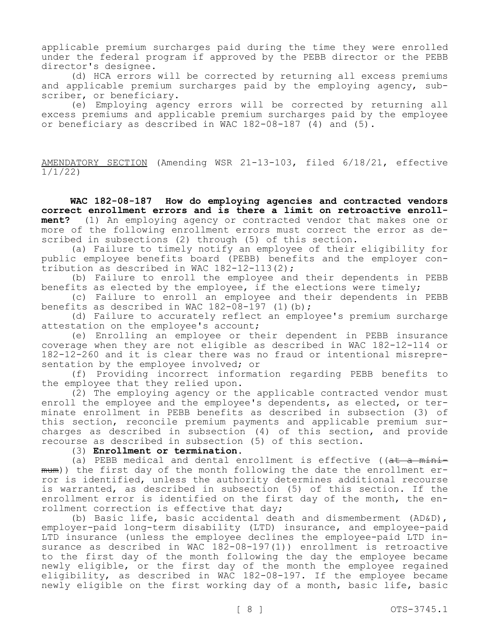applicable premium surcharges paid during the time they were enrolled under the federal program if approved by the PEBB director or the PEBB director's designee.

(d) HCA errors will be corrected by returning all excess premiums and applicable premium surcharges paid by the employing agency, subscriber, or beneficiary.

(e) Employing agency errors will be corrected by returning all excess premiums and applicable premium surcharges paid by the employee or beneficiary as described in WAC  $182-08-187$  (4) and  $(5)$ .

AMENDATORY SECTION (Amending WSR 21-13-103, filed 6/18/21, effective 1/1/22)

**WAC 182-08-187 How do employing agencies and contracted vendors correct enrollment errors and is there a limit on retroactive enrollment?** (1) An employing agency or contracted vendor that makes one or more of the following enrollment errors must correct the error as described in subsections (2) through (5) of this section.

(a) Failure to timely notify an employee of their eligibility for public employee benefits board (PEBB) benefits and the employer contribution as described in WAC 182-12-113(2);

(b) Failure to enroll the employee and their dependents in PEBB benefits as elected by the employee, if the elections were timely;

(c) Failure to enroll an employee and their dependents in PEBB benefits as described in WAC  $182-08-197$  (1)(b);

(d) Failure to accurately reflect an employee's premium surcharge attestation on the employee's account;

(e) Enrolling an employee or their dependent in PEBB insurance coverage when they are not eligible as described in WAC 182-12-114 or 182-12-260 and it is clear there was no fraud or intentional misrepresentation by the employee involved; or

(f) Providing incorrect information regarding PEBB benefits to the employee that they relied upon.

(2) The employing agency or the applicable contracted vendor must enroll the employee and the employee's dependents, as elected, or terminate enrollment in PEBB benefits as described in subsection (3) of this section, reconcile premium payments and applicable premium surcharges as described in subsection (4) of this section, and provide recourse as described in subsection (5) of this section.

(3) **Enrollment or termination.**

(a) PEBB medical and dental enrollment is effective ( $a<sup>t</sup>$  a minimum)) the first day of the month following the date the enrollment error is identified, unless the authority determines additional recourse is warranted, as described in subsection (5) of this section. If the enrollment error is identified on the first day of the month, the enrollment correction is effective that day;

(b) Basic life, basic accidental death and dismemberment (AD&D), employer-paid long-term disability (LTD) insurance, and employee-paid LTD insurance (unless the employee declines the employee-paid LTD insurance as described in WAC 182-08-197(1)) enrollment is retroactive to the first day of the month following the day the employee became newly eligible, or the first day of the month the employee regained eligibility, as described in WAC 182-08-197. If the employee became newly eligible on the first working day of a month, basic life, basic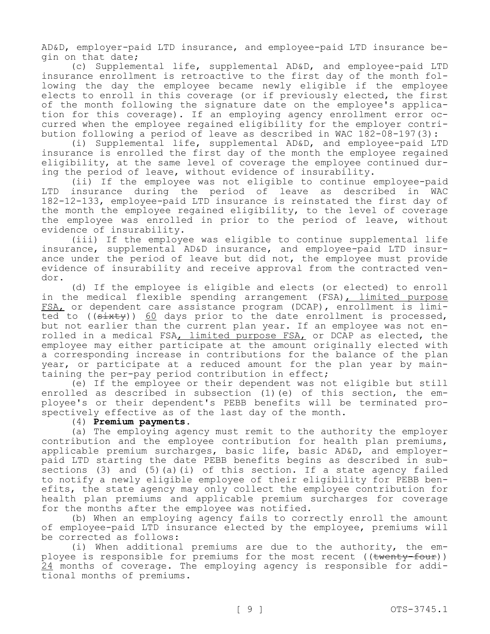AD&D, employer-paid LTD insurance, and employee-paid LTD insurance begin on that date;

(c) Supplemental life, supplemental AD&D, and employee-paid LTD insurance enrollment is retroactive to the first day of the month following the day the employee became newly eligible if the employee elects to enroll in this coverage (or if previously elected, the first of the month following the signature date on the employee's application for this coverage). If an employing agency enrollment error occurred when the employee regained eligibility for the employer contribution following a period of leave as described in WAC 182-08-197(3):

(i) Supplemental life, supplemental AD&D, and employee-paid LTD insurance is enrolled the first day of the month the employee regained eligibility, at the same level of coverage the employee continued during the period of leave, without evidence of insurability.

(ii) If the employee was not eligible to continue employee-paid LTD insurance during the period of leave as described in WAC 182-12-133, employee-paid LTD insurance is reinstated the first day of the month the employee regained eligibility, to the level of coverage the employee was enrolled in prior to the period of leave, without evidence of insurability.

(iii) If the employee was eligible to continue supplemental life insurance, supplemental AD&D insurance, and employee-paid LTD insurance under the period of leave but did not, the employee must provide evidence of insurability and receive approval from the contracted vendor.

(d) If the employee is eligible and elects (or elected) to enroll in the medical flexible spending arrangement (FSA), limited purpose FSA, or dependent care assistance program (DCAP), enrollment is limited to ((sixty)) 60 days prior to the date enrollment is processed, but not earlier than the current plan year. If an employee was not enrolled in a medical FSA, limited purpose FSA, or DCAP as elected, the employee may either participate at the amount originally elected with a corresponding increase in contributions for the balance of the plan year, or participate at a reduced amount for the plan year by maintaining the per-pay period contribution in effect;

(e) If the employee or their dependent was not eligible but still enrolled as described in subsection (1)(e) of this section, the employee's or their dependent's PEBB benefits will be terminated prospectively effective as of the last day of the month.

#### (4) **Premium payments.**

(a) The employing agency must remit to the authority the employer contribution and the employee contribution for health plan premiums, applicable premium surcharges, basic life, basic AD&D, and employerpaid LTD starting the date PEBB benefits begins as described in subsections (3) and (5)(a)(i) of this section. If a state agency failed to notify a newly eligible employee of their eligibility for PEBB benefits, the state agency may only collect the employee contribution for health plan premiums and applicable premium surcharges for coverage for the months after the employee was notified.

(b) When an employing agency fails to correctly enroll the amount of employee-paid LTD insurance elected by the employee, premiums will be corrected as follows:

(i) When additional premiums are due to the authority, the employee is responsible for premiums for the most recent ((twenty-four)) 24 months of coverage. The employing agency is responsible for additional months of premiums.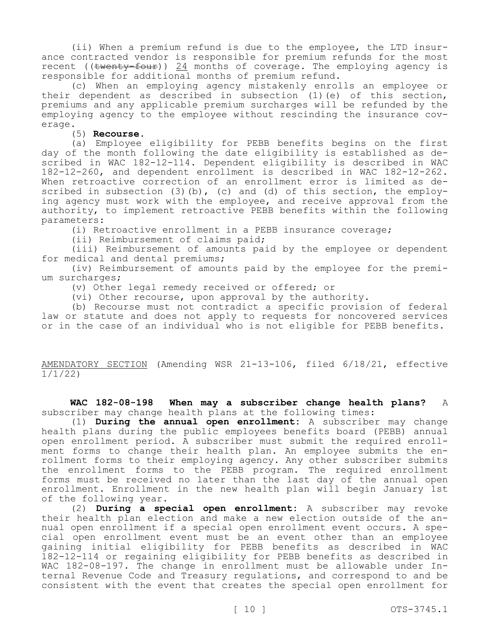(ii) When a premium refund is due to the employee, the LTD insurance contracted vendor is responsible for premium refunds for the most recent (( $t$ wenty-four)) 24 months of coverage. The employing agency is responsible for additional months of premium refund.

(c) When an employing agency mistakenly enrolls an employee or their dependent as described in subsection (1)(e) of this section, premiums and any applicable premium surcharges will be refunded by the employing agency to the employee without rescinding the insurance coverage.

(5) **Recourse.**

(a) Employee eligibility for PEBB benefits begins on the first day of the month following the date eligibility is established as described in WAC 182-12-114. Dependent eligibility is described in WAC 182-12-260, and dependent enrollment is described in WAC 182-12-262. When retroactive correction of an enrollment error is limited as described in subsection  $(3)(b)$ ,  $(c)$  and  $(d)$  of this section, the employing agency must work with the employee, and receive approval from the authority, to implement retroactive PEBB benefits within the following parameters:

(i) Retroactive enrollment in a PEBB insurance coverage;

(ii) Reimbursement of claims paid;

(iii) Reimbursement of amounts paid by the employee or dependent for medical and dental premiums;

(iv) Reimbursement of amounts paid by the employee for the premium surcharges;

(v) Other legal remedy received or offered; or

(vi) Other recourse, upon approval by the authority.

(b) Recourse must not contradict a specific provision of federal law or statute and does not apply to requests for noncovered services or in the case of an individual who is not eligible for PEBB benefits.

AMENDATORY SECTION (Amending WSR 21-13-106, filed 6/18/21, effective 1/1/22)

**WAC 182-08-198 When may a subscriber change health plans?** A subscriber may change health plans at the following times:

(1) **During the annual open enrollment:** A subscriber may change health plans during the public employees benefits board (PEBB) annual open enrollment period. A subscriber must submit the required enrollment forms to change their health plan. An employee submits the enrollment forms to their employing agency. Any other subscriber submits the enrollment forms to the PEBB program. The required enrollment forms must be received no later than the last day of the annual open enrollment. Enrollment in the new health plan will begin January 1st of the following year.

(2) **During a special open enrollment:** A subscriber may revoke their health plan election and make a new election outside of the annual open enrollment if a special open enrollment event occurs. A special open enrollment event must be an event other than an employee gaining initial eligibility for PEBB benefits as described in WAC 182-12-114 or regaining eligibility for PEBB benefits as described in WAC 182-08-197. The change in enrollment must be allowable under Internal Revenue Code and Treasury regulations, and correspond to and be consistent with the event that creates the special open enrollment for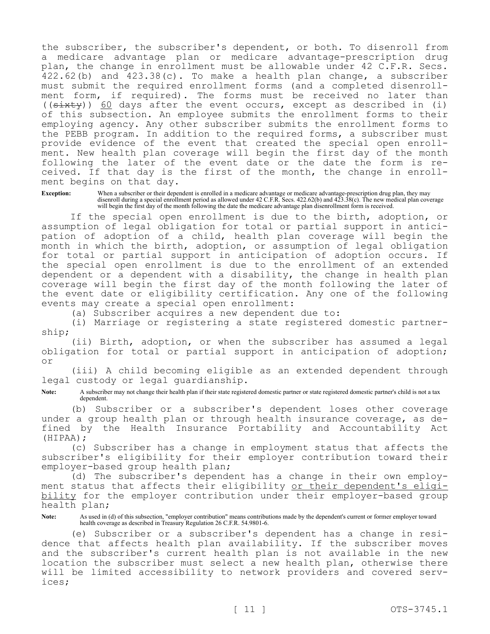the subscriber, the subscriber's dependent, or both. To disenroll from a medicare advantage plan or medicare advantage-prescription drug plan, the change in enrollment must be allowable under 42 C.F.R. Secs.  $422.62$  (b) and  $423.38$  (c). To make a health plan change, a subscriber must submit the required enrollment forms (and a completed disenrollment form, if required). The forms must be received no later than  $((s\text{-}x\text{+}y))$  60 days after the event occurs, except as described in (i) of this subsection. An employee submits the enrollment forms to their employing agency. Any other subscriber submits the enrollment forms to the PEBB program. In addition to the required forms, a subscriber must provide evidence of the event that created the special open enrollment. New health plan coverage will begin the first day of the month following the later of the event date or the date the form is received. If that day is the first of the month, the change in enrollment begins on that day.

**Exception:** When a subscriber or their dependent is enrolled in a medicare advantage or medicare advantage-prescription drug plan, they may disenroll during a special enrollment period as allowed under 42 C.F.R. Secs. 422.62(b) and 423.38(c). The new medical plan coverage will begin the first day of the month following the date the medicare advantage plan disenrollment form is received.

If the special open enrollment is due to the birth, adoption, or assumption of legal obligation for total or partial support in anticipation of adoption of a child, health plan coverage will begin the month in which the birth, adoption, or assumption of legal obligation for total or partial support in anticipation of adoption occurs. If the special open enrollment is due to the enrollment of an extended dependent or a dependent with a disability, the change in health plan coverage will begin the first day of the month following the later of the event date or eligibility certification. Any one of the following events may create a special open enrollment:

(a) Subscriber acquires a new dependent due to:

(i) Marriage or registering a state registered domestic partnership;

(ii) Birth, adoption, or when the subscriber has assumed a legal obligation for total or partial support in anticipation of adoption; or

(iii) A child becoming eligible as an extended dependent through legal custody or legal guardianship.

Note: A subscriber may not change their health plan if their state registered domestic partner or state registered domestic partner's child is not a tax dependent.

(b) Subscriber or a subscriber's dependent loses other coverage under a group health plan or through health insurance coverage, as defined by the Health Insurance Portability and Accountability Act (HIPAA);

(c) Subscriber has a change in employment status that affects the subscriber's eligibility for their employer contribution toward their employer-based group health plan;

(d) The subscriber's dependent has a change in their own employment status that affects their eligibility or their dependent's eligibility for the employer contribution under their employer-based group health plan;

**Note:** As used in (d) of this subsection, "employer contribution" means contributions made by the dependent's current or former employer toward health coverage as described in Treasury Regulation 26 C.F.R. 54.9801-6.

(e) Subscriber or a subscriber's dependent has a change in residence that affects health plan availability. If the subscriber moves and the subscriber's current health plan is not available in the new location the subscriber must select a new health plan, otherwise there will be limited accessibility to network providers and covered services;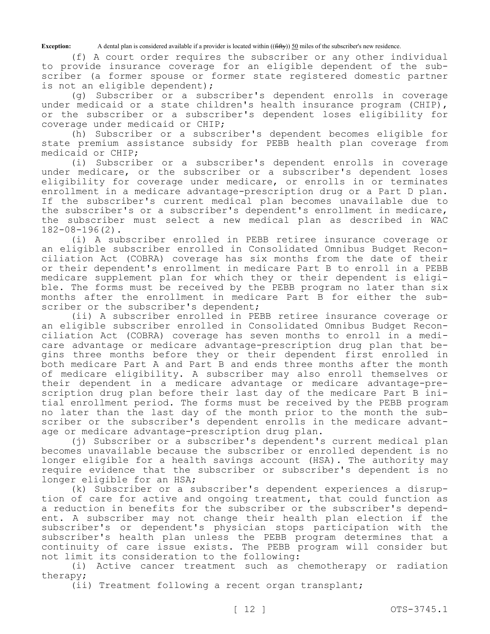**Exception:** A dental plan is considered available if a provider is located within ((<del>fifty</del>)) 50 miles of the subscriber's new residence.

(f) A court order requires the subscriber or any other individual to provide insurance coverage for an eligible dependent of the subscriber (a former spouse or former state registered domestic partner is not an eligible dependent);

(g) Subscriber or a subscriber's dependent enrolls in coverage under medicaid or a state children's health insurance program (CHIP), or the subscriber or a subscriber's dependent loses eligibility for coverage under medicaid or CHIP;

(h) Subscriber or a subscriber's dependent becomes eligible for state premium assistance subsidy for PEBB health plan coverage from medicaid or CHIP;

(i) Subscriber or a subscriber's dependent enrolls in coverage under medicare, or the subscriber or a subscriber's dependent loses eligibility for coverage under medicare, or enrolls in or terminates enrollment in a medicare advantage-prescription drug or a Part D plan. If the subscriber's current medical plan becomes unavailable due to the subscriber's or a subscriber's dependent's enrollment in medicare, the subscriber must select a new medical plan as described in WAC 182-08-196(2).

(i) A subscriber enrolled in PEBB retiree insurance coverage or an eligible subscriber enrolled in Consolidated Omnibus Budget Reconciliation Act (COBRA) coverage has six months from the date of their or their dependent's enrollment in medicare Part B to enroll in a PEBB medicare supplement plan for which they or their dependent is eligible. The forms must be received by the PEBB program no later than six months after the enrollment in medicare Part B for either the subscriber or the subscriber's dependent;

(ii) A subscriber enrolled in PEBB retiree insurance coverage or an eligible subscriber enrolled in Consolidated Omnibus Budget Reconciliation Act (COBRA) coverage has seven months to enroll in a medicare advantage or medicare advantage-prescription drug plan that begins three months before they or their dependent first enrolled in both medicare Part A and Part B and ends three months after the month of medicare eligibility. A subscriber may also enroll themselves or their dependent in a medicare advantage or medicare advantage-prescription drug plan before their last day of the medicare Part B initial enrollment period. The forms must be received by the PEBB program no later than the last day of the month prior to the month the subscriber or the subscriber's dependent enrolls in the medicare advantage or medicare advantage-prescription drug plan.

(j) Subscriber or a subscriber's dependent's current medical plan becomes unavailable because the subscriber or enrolled dependent is no longer eligible for a health savings account (HSA). The authority may require evidence that the subscriber or subscriber's dependent is no longer eligible for an HSA;

(k) Subscriber or a subscriber's dependent experiences a disruption of care for active and ongoing treatment, that could function as a reduction in benefits for the subscriber or the subscriber's dependent. A subscriber may not change their health plan election if the subscriber's or dependent's physician stops participation with the subscriber's health plan unless the PEBB program determines that a continuity of care issue exists. The PEBB program will consider but not limit its consideration to the following:

(i) Active cancer treatment such as chemotherapy or radiation therapy;

(ii) Treatment following a recent organ transplant;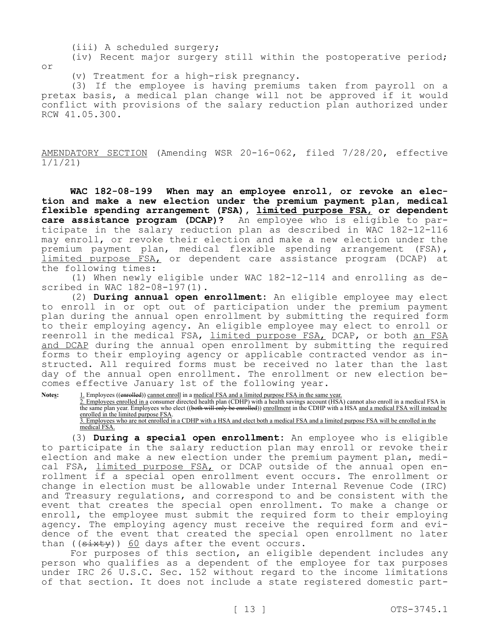(iii) A scheduled surgery;

(iv) Recent major surgery still within the postoperative period; or

(v) Treatment for a high-risk pregnancy.

(3) If the employee is having premiums taken from payroll on a pretax basis, a medical plan change will not be approved if it would conflict with provisions of the salary reduction plan authorized under RCW 41.05.300.

AMENDATORY SECTION (Amending WSR 20-16-062, filed 7/28/20, effective 1/1/21)

**WAC 182-08-199 When may an employee enroll, or revoke an election and make a new election under the premium payment plan, medical flexible spending arrangement (FSA), limited purpose FSA, or dependent care assistance program (DCAP)?** An employee who is eligible to participate in the salary reduction plan as described in WAC 182-12-116 may enroll, or revoke their election and make a new election under the premium payment plan, medical flexible spending arrangement (FSA), limited purpose FSA, or dependent care assistance program (DCAP) at the following times:

(1) When newly eligible under WAC 182-12-114 and enrolling as described in WAC 182-08-197(1).

(2) **During annual open enrollment:** An eligible employee may elect to enroll in or opt out of participation under the premium payment plan during the annual open enrollment by submitting the required form to their employing agency. An eligible employee may elect to enroll or reenroll in the medical FSA, limited purpose FSA, DCAP, or both an FSA and DCAP during the annual open enrollment by submitting the required forms to their employing agency or applicable contracted vendor as instructed. All required forms must be received no later than the last day of the annual open enrollment. The enrollment or new election becomes effective January 1st of the following year.

**Notes:** 1. Employees ((enrolled)) cannot enroll in a medical FSA and a limited purpose FSA in the same year. 2. Employees enrolled in a consumer directed health plan (CDHP) with a health savings account (HSA) cannot also enroll in a medical FSA in the same plan year. Employees who elect ((b<del>oth will only be enrolled</del>)) enrollment in the CDHP with a HSA and a medical FSA will instead be enrolled in the limited purpose FSA. 3. Employees who are not enrolled in a CDHP with a HSA and elect both a medical FSA and a limited purpose FSA will be enrolled in the

medical FSA.

(3) **During a special open enrollment:** An employee who is eligible to participate in the salary reduction plan may enroll or revoke their election and make a new election under the premium payment plan, medical FSA, limited purpose FSA, or DCAP outside of the annual open enrollment if a special open enrollment event occurs. The enrollment or change in election must be allowable under Internal Revenue Code (IRC) and Treasury regulations, and correspond to and be consistent with the event that creates the special open enrollment. To make a change or enroll, the employee must submit the required form to their employing agency. The employing agency must receive the required form and evidence of the event that created the special open enrollment no later than  $((sixty))$  60 days after the event occurs.

For purposes of this section, an eligible dependent includes any person who qualifies as a dependent of the employee for tax purposes under IRC 26 U.S.C. Sec. 152 without regard to the income limitations of that section. It does not include a state registered domestic part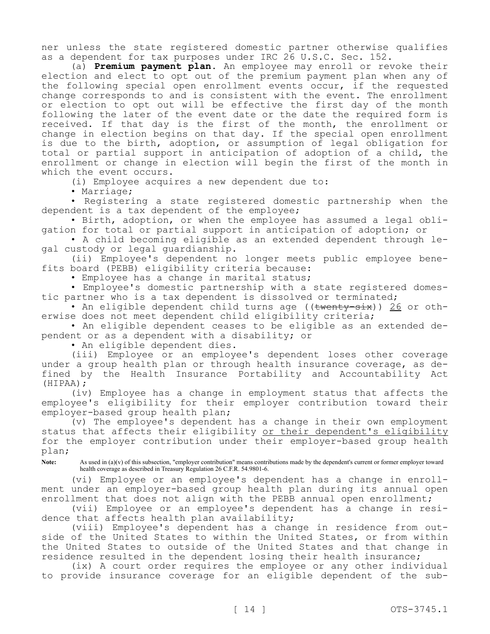ner unless the state registered domestic partner otherwise qualifies as a dependent for tax purposes under IRC 26 U.S.C. Sec. 152.

(a) **Premium payment plan.** An employee may enroll or revoke their election and elect to opt out of the premium payment plan when any of the following special open enrollment events occur, if the requested change corresponds to and is consistent with the event. The enrollment or election to opt out will be effective the first day of the month following the later of the event date or the date the required form is received. If that day is the first of the month, the enrollment or change in election begins on that day. If the special open enrollment is due to the birth, adoption, or assumption of legal obligation for total or partial support in anticipation of adoption of a child, the enrollment or change in election will begin the first of the month in which the event occurs.

(i) Employee acquires a new dependent due to:

• Marriage;

• Registering a state registered domestic partnership when the dependent is a tax dependent of the employee;

• Birth, adoption, or when the employee has assumed a legal obligation for total or partial support in anticipation of adoption; or

• A child becoming eligible as an extended dependent through legal custody or legal guardianship.

(ii) Employee's dependent no longer meets public employee benefits board (PEBB) eligibility criteria because:

• Employee has a change in marital status;

• Employee's domestic partnership with a state registered domestic partner who is a tax dependent is dissolved or terminated;

• An eligible dependent child turns age ((twenty-six)) 26 or otherwise does not meet dependent child eligibility criteria;

• An eligible dependent ceases to be eligible as an extended dependent or as a dependent with a disability; or

• An eligible dependent dies.

(iii) Employee or an employee's dependent loses other coverage under a group health plan or through health insurance coverage, as defined by the Health Insurance Portability and Accountability Act (HIPAA);

(iv) Employee has a change in employment status that affects the employee's eligibility for their employer contribution toward their employer-based group health plan;

(v) The employee's dependent has a change in their own employment status that affects their eligibility or their dependent's eligibility for the employer contribution under their employer-based group health plan;

Note: As used in (a)(v) of this subsection, "employer contribution" means contributions made by the dependent's current or former employer toward health coverage as described in Treasury Regulation 26 C.F.R. 54.9801-6.

(vi) Employee or an employee's dependent has a change in enrollment under an employer-based group health plan during its annual open enrollment that does not align with the PEBB annual open enrollment;

(vii) Employee or an employee's dependent has a change in residence that affects health plan availability;

(viii) Employee's dependent has a change in residence from outside of the United States to within the United States, or from within the United States to outside of the United States and that change in residence resulted in the dependent losing their health insurance;

(ix) A court order requires the employee or any other individual to provide insurance coverage for an eligible dependent of the sub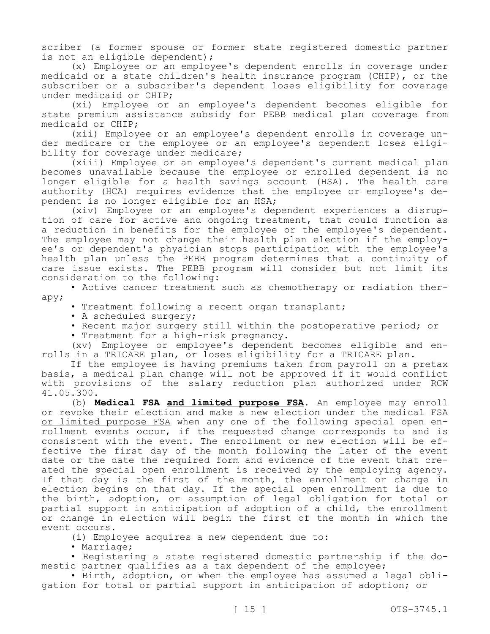scriber (a former spouse or former state registered domestic partner is not an eligible dependent);

(x) Employee or an employee's dependent enrolls in coverage under medicaid or a state children's health insurance program (CHIP), or the subscriber or a subscriber's dependent loses eligibility for coverage under medicaid or CHIP;

(xi) Employee or an employee's dependent becomes eligible for state premium assistance subsidy for PEBB medical plan coverage from medicaid or CHIP;

(xii) Employee or an employee's dependent enrolls in coverage under medicare or the employee or an employee's dependent loses eligibility for coverage under medicare;

(xiii) Employee or an employee's dependent's current medical plan becomes unavailable because the employee or enrolled dependent is no longer eligible for a health savings account (HSA). The health care authority (HCA) requires evidence that the employee or employee's dependent is no longer eligible for an HSA;

(xiv) Employee or an employee's dependent experiences a disruption of care for active and ongoing treatment, that could function as a reduction in benefits for the employee or the employee's dependent. The employee may not change their health plan election if the employee's or dependent's physician stops participation with the employee's health plan unless the PEBB program determines that a continuity of care issue exists. The PEBB program will consider but not limit its consideration to the following:

• Active cancer treatment such as chemotherapy or radiation therapy;

• Treatment following a recent organ transplant;

- A scheduled surgery;
- Recent major surgery still within the postoperative period; or
- Treatment for a high-risk pregnancy.

(xv) Employee or employee's dependent becomes eligible and enrolls in a TRICARE plan, or loses eligibility for a TRICARE plan.

If the employee is having premiums taken from payroll on a pretax basis, a medical plan change will not be approved if it would conflict with provisions of the salary reduction plan authorized under RCW 41.05.300.

(b) **Medical FSA and limited purpose FSA.** An employee may enroll or revoke their election and make a new election under the medical FSA or limited purpose FSA when any one of the following special open enrollment events occur, if the requested change corresponds to and is consistent with the event. The enrollment or new election will be effective the first day of the month following the later of the event date or the date the required form and evidence of the event that created the special open enrollment is received by the employing agency. If that day is the first of the month, the enrollment or change in election begins on that day. If the special open enrollment is due to the birth, adoption, or assumption of legal obligation for total or partial support in anticipation of adoption of a child, the enrollment or change in election will begin the first of the month in which the event occurs.

(i) Employee acquires a new dependent due to:

• Marriage;

• Registering a state registered domestic partnership if the domestic partner qualifies as a tax dependent of the employee;

• Birth, adoption, or when the employee has assumed a legal obligation for total or partial support in anticipation of adoption; or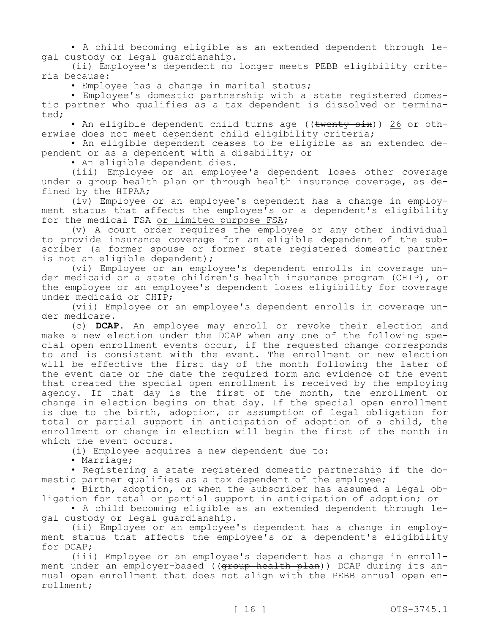• A child becoming eligible as an extended dependent through legal custody or legal guardianship.

(ii) Employee's dependent no longer meets PEBB eligibility criteria because:

• Employee has a change in marital status;

• Employee's domestic partnership with a state registered domestic partner who qualifies as a tax dependent is dissolved or terminated;

• An eligible dependent child turns age ((twenty-six)) 26 or otherwise does not meet dependent child eligibility criteria;

• An eligible dependent ceases to be eligible as an extended dependent or as a dependent with a disability; or

• An eligible dependent dies.

(iii) Employee or an employee's dependent loses other coverage under a group health plan or through health insurance coverage, as defined by the HIPAA;

(iv) Employee or an employee's dependent has a change in employment status that affects the employee's or a dependent's eligibility for the medical FSA or limited purpose FSA;

(v) A court order requires the employee or any other individual to provide insurance coverage for an eligible dependent of the subscriber (a former spouse or former state registered domestic partner is not an eligible dependent);

(vi) Employee or an employee's dependent enrolls in coverage under medicaid or a state children's health insurance program (CHIP), or the employee or an employee's dependent loses eligibility for coverage under medicaid or CHIP;

(vii) Employee or an employee's dependent enrolls in coverage under medicare.

(c) **DCAP.** An employee may enroll or revoke their election and make a new election under the DCAP when any one of the following special open enrollment events occur, if the requested change corresponds to and is consistent with the event. The enrollment or new election will be effective the first day of the month following the later of the event date or the date the required form and evidence of the event that created the special open enrollment is received by the employing agency. If that day is the first of the month, the enrollment or change in election begins on that day. If the special open enrollment is due to the birth, adoption, or assumption of legal obligation for total or partial support in anticipation of adoption of a child, the enrollment or change in election will begin the first of the month in which the event occurs.

(i) Employee acquires a new dependent due to:

• Marriage;

• Registering a state registered domestic partnership if the domestic partner qualifies as a tax dependent of the employee;

• Birth, adoption, or when the subscriber has assumed a legal obligation for total or partial support in anticipation of adoption; or

• A child becoming eligible as an extended dependent through legal custody or legal guardianship.

(ii) Employee or an employee's dependent has a change in employment status that affects the employee's or a dependent's eligibility for DCAP;

(iii) Employee or an employee's dependent has a change in enrollment under an employer-based ((group health plan)) DCAP during its annual open enrollment that does not align with the PEBB annual open enrollment;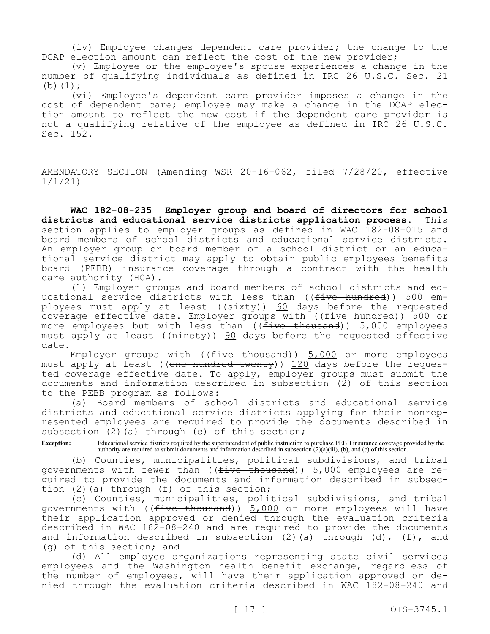(iv) Employee changes dependent care provider; the change to the DCAP election amount can reflect the cost of the new provider;

(v) Employee or the employee's spouse experiences a change in the number of qualifying individuals as defined in IRC 26 U.S.C. Sec. 21 (b)  $(1)$ ;

(vi) Employee's dependent care provider imposes a change in the cost of dependent care; employee may make a change in the DCAP election amount to reflect the new cost if the dependent care provider is not a qualifying relative of the employee as defined in IRC 26 U.S.C. Sec. 152.

AMENDATORY SECTION (Amending WSR 20-16-062, filed 7/28/20, effective 1/1/21)

**WAC 182-08-235 Employer group and board of directors for school districts and educational service districts application process.** This section applies to employer groups as defined in WAC 182-08-015 and board members of school districts and educational service districts. An employer group or board member of a school district or an educational service district may apply to obtain public employees benefits board (PEBB) insurance coverage through a contract with the health care authority (HCA).

(1) Employer groups and board members of school districts and educational service districts with less than (( $f$ ive hundred)) 500 employees must apply at least (( $\frac{3k}{k}$ )) 60 days before the requested coverage effective date. Employer groups with ((five hundred)) 500 or more employees but with less than ((five thousand)) 5,000 employees must apply at least (( $\overline{ninety}$ )) 90 days before the requested effective date.

Employer groups with (( $five-thousand$ ))  $5,000$  or more employees must apply at least ((one hundred twenty)) 120 days before the requested coverage effective date. To apply, employer groups must submit the documents and information described in subsection (2) of this section to the PEBB program as follows:

(a) Board members of school districts and educational service districts and educational service districts applying for their nonrepresented employees are required to provide the documents described in subsection  $(2)$  (a) through  $(c)$  of this section;

**Exception:** Educational service districts required by the superintendent of public instruction to purchase PEBB insurance coverage provided by the authority are required to submit documents and information described in subsection (2)(a)(iii), (b), and (c) of this section.

(b) Counties, municipalities, political subdivisions, and tribal governments with fewer than ((five thousand)) 5,000 employees are required to provide the documents and information described in subsection (2)(a) through (f) of this section;

(c) Counties, municipalities, political subdivisions, and tribal governments with ((five thousand)) 5,000 or more employees will have their application approved or denied through the evaluation criteria described in WAC 182-08-240 and are required to provide the documents and information described in subsection (2)(a) through (d), (f), and (g) of this section; and

(d) All employee organizations representing state civil services employees and the Washington health benefit exchange, regardless of the number of employees, will have their application approved or denied through the evaluation criteria described in WAC 182-08-240 and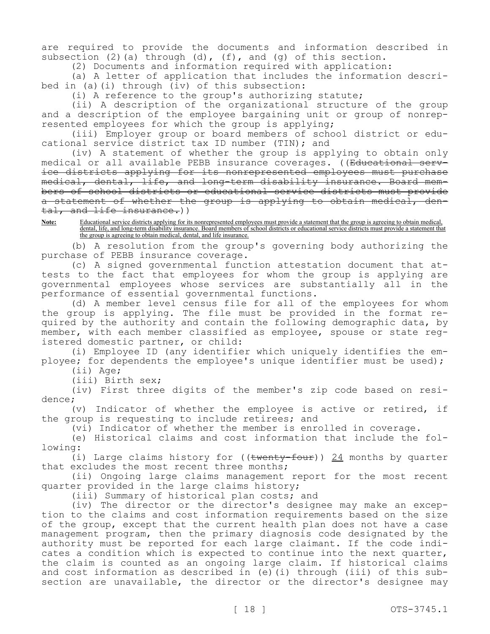are required to provide the documents and information described in subsection (2)(a) through (d), (f), and (g) of this section.

(2) Documents and information required with application:

(a) A letter of application that includes the information described in (a)(i) through (iv) of this subsection:

(i) A reference to the group's authorizing statute;

(ii) A description of the organizational structure of the group and a description of the employee bargaining unit or group of nonrepresented employees for which the group is applying;

(iii) Employer group or board members of school district or educational service district tax ID number (TIN); and

(iv) A statement of whether the group is applying to obtain only medical or all available PEBB insurance coverages. ((Educational service districts applying for its nonrepresented employees must purchase medical, dental, life, and long-term disability insurance. Board members of school districts or educational service districts must provide a statement of whether the group is applying to obtain medical, dental, and life insurance.))

**Note:** Educational service districts applying for its nonrepresented employees must provide a statement that the group is agreeing to obtain medical, dental, life, and long-term disability insurance. Board members of school districts or educational service districts must provide a statement that the group is agreeing to obtain medical, dental, and life insurance.

(b) A resolution from the group's governing body authorizing the purchase of PEBB insurance coverage.

(c) A signed governmental function attestation document that attests to the fact that employees for whom the group is applying are governmental employees whose services are substantially all in the performance of essential governmental functions.

(d) A member level census file for all of the employees for whom the group is applying. The file must be provided in the format required by the authority and contain the following demographic data, by member, with each member classified as employee, spouse or state registered domestic partner, or child:

(i) Employee ID (any identifier which uniquely identifies the employee; for dependents the employee's unique identifier must be used);

(ii) Age;

(iii) Birth sex;

(iv) First three digits of the member's zip code based on residence;

(v) Indicator of whether the employee is active or retired, if the group is requesting to include retirees; and

(vi) Indicator of whether the member is enrolled in coverage.

(e) Historical claims and cost information that include the following:

(i) Large claims history for (( $t$ wenty-four))  $24$  months by quarter that excludes the most recent three months;

(ii) Ongoing large claims management report for the most recent quarter provided in the large claims history;

(iii) Summary of historical plan costs; and

(iv) The director or the director's designee may make an exception to the claims and cost information requirements based on the size of the group, except that the current health plan does not have a case management program, then the primary diagnosis code designated by the authority must be reported for each large claimant. If the code indicates a condition which is expected to continue into the next quarter, the claim is counted as an ongoing large claim. If historical claims and cost information as described in (e)(i) through (iii) of this subsection are unavailable, the director or the director's designee may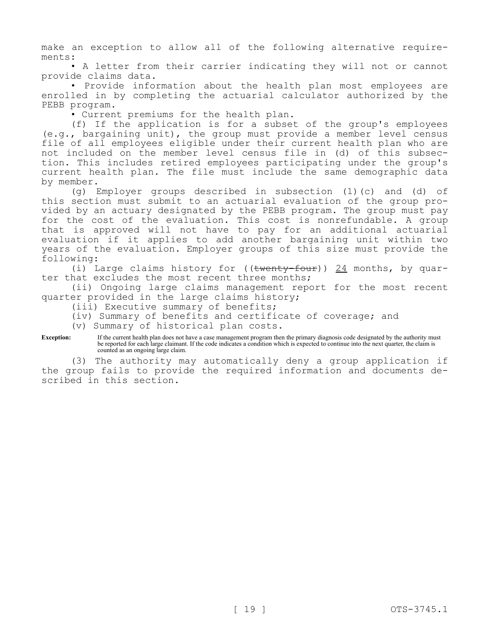make an exception to allow all of the following alternative requirements:

• A letter from their carrier indicating they will not or cannot provide claims data.

• Provide information about the health plan most employees are enrolled in by completing the actuarial calculator authorized by the PEBB program.

• Current premiums for the health plan.

(f) If the application is for a subset of the group's employees (e.g., bargaining unit), the group must provide a member level census file of all employees eligible under their current health plan who are not included on the member level census file in (d) of this subsection. This includes retired employees participating under the group's current health plan. The file must include the same demographic data by member.

(g) Employer groups described in subsection (1)(c) and (d) of this section must submit to an actuarial evaluation of the group provided by an actuary designated by the PEBB program. The group must pay for the cost of the evaluation. This cost is nonrefundable. A group that is approved will not have to pay for an additional actuarial evaluation if it applies to add another bargaining unit within two years of the evaluation. Employer groups of this size must provide the following:

(i) Large claims history for  $((\text{twenty-four}))$  24 months, by quarter that excludes the most recent three months;

(ii) Ongoing large claims management report for the most recent quarter provided in the large claims history;

(iii) Executive summary of benefits;

(iv) Summary of benefits and certificate of coverage; and

(v) Summary of historical plan costs.

**Exception:** If the current health plan does not have a case management program then the primary diagnosis code designated by the authority must be reported for each large claimant. If the code indicates a condition which is expected to continue into the next quarter, the claim is counted as an ongoing large claim.

(3) The authority may automatically deny a group application if the group fails to provide the required information and documents described in this section.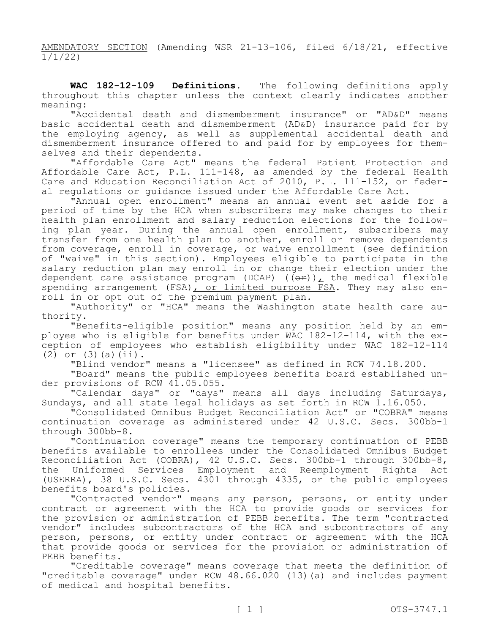AMENDATORY SECTION (Amending WSR 21-13-106, filed 6/18/21, effective 1/1/22)

**WAC 182-12-109 Definitions.** The following definitions apply throughout this chapter unless the context clearly indicates another meaning:

"Accidental death and dismemberment insurance" or "AD&D" means basic accidental death and dismemberment (AD&D) insurance paid for by the employing agency, as well as supplemental accidental death and dismemberment insurance offered to and paid for by employees for themselves and their dependents.

"Affordable Care Act" means the federal Patient Protection and Affordable Care Act, P.L. 111-148, as amended by the federal Health Care and Education Reconciliation Act of 2010, P.L. 111-152, or federal regulations or guidance issued under the Affordable Care Act.

"Annual open enrollment" means an annual event set aside for a period of time by the HCA when subscribers may make changes to their health plan enrollment and salary reduction elections for the following plan year. During the annual open enrollment, subscribers may transfer from one health plan to another, enroll or remove dependents from coverage, enroll in coverage, or waive enrollment (see definition of "waive" in this section). Employees eligible to participate in the salary reduction plan may enroll in or change their election under the dependent care assistance program (DCAP) ( $(\overrightarrow{or})$ ), the medical flexible spending arrangement (FSA), or limited purpose FSA. They may also enroll in or opt out of the premium payment plan.

"Authority" or "HCA" means the Washington state health care authority.

"Benefits-eligible position" means any position held by an employee who is eligible for benefits under WAC 182-12-114, with the exception of employees who establish eligibility under WAC 182-12-114  $(2)$  or  $(3)(a)(ii)$ .

"Blind vendor" means a "licensee" as defined in RCW 74.18.200.

"Board" means the public employees benefits board established under provisions of RCW 41.05.055.

"Calendar days" or "days" means all days including Saturdays, Sundays, and all state legal holidays as set forth in RCW 1.16.050.

"Consolidated Omnibus Budget Reconciliation Act" or "COBRA" means continuation coverage as administered under 42 U.S.C. Secs. 300bb-1 through 300bb-8.

"Continuation coverage" means the temporary continuation of PEBB benefits available to enrollees under the Consolidated Omnibus Budget Reconciliation Act (COBRA), 42 U.S.C. Secs. 300bb-1 through 300bb-8, the Uniformed Services Employment and Reemployment Rights Act (USERRA), 38 U.S.C. Secs. 4301 through 4335, or the public employees benefits board's policies.

"Contracted vendor" means any person, persons, or entity under contract or agreement with the HCA to provide goods or services for the provision or administration of PEBB benefits. The term "contracted vendor" includes subcontractors of the HCA and subcontractors of any person, persons, or entity under contract or agreement with the HCA that provide goods or services for the provision or administration of PEBB benefits.

"Creditable coverage" means coverage that meets the definition of "creditable coverage" under RCW 48.66.020 (13)(a) and includes payment of medical and hospital benefits.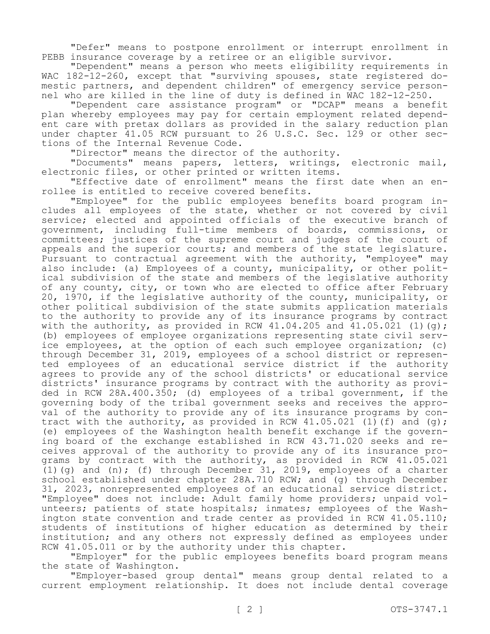"Defer" means to postpone enrollment or interrupt enrollment in PEBB insurance coverage by a retiree or an eligible survivor.

"Dependent" means a person who meets eligibility requirements in WAC 182-12-260, except that "surviving spouses, state registered domestic partners, and dependent children" of emergency service personnel who are killed in the line of duty is defined in WAC 182-12-250.

"Dependent care assistance program" or "DCAP" means a benefit plan whereby employees may pay for certain employment related dependent care with pretax dollars as provided in the salary reduction plan under chapter 41.05 RCW pursuant to 26 U.S.C. Sec. 129 or other sections of the Internal Revenue Code.

"Director" means the director of the authority.

"Documents" means papers, letters, writings, electronic mail, electronic files, or other printed or written items.

"Effective date of enrollment" means the first date when an enrollee is entitled to receive covered benefits.

"Employee" for the public employees benefits board program includes all employees of the state, whether or not covered by civil service; elected and appointed officials of the executive branch of government, including full-time members of boards, commissions, or committees; justices of the supreme court and judges of the court of appeals and the superior courts; and members of the state legislature. Pursuant to contractual agreement with the authority, "employee" may also include: (a) Employees of a county, municipality, or other political subdivision of the state and members of the legislative authority of any county, city, or town who are elected to office after February 20, 1970, if the legislative authority of the county, municipality, or other political subdivision of the state submits application materials to the authority to provide any of its insurance programs by contract with the authority, as provided in RCW  $41.04.205$  and  $41.05.021$  (1)(g); (b) employees of employee organizations representing state civil service employees, at the option of each such employee organization; (c) through December 31, 2019, employees of a school district or represented employees of an educational service district if the authority agrees to provide any of the school districts' or educational service districts' insurance programs by contract with the authority as provided in RCW 28A.400.350; (d) employees of a tribal government, if the governing body of the tribal government seeks and receives the approval of the authority to provide any of its insurance programs by contract with the authority, as provided in RCW  $41.05.021$  (1)(f) and (q); (e) employees of the Washington health benefit exchange if the governing board of the exchange established in RCW 43.71.020 seeks and receives approval of the authority to provide any of its insurance programs by contract with the authority, as provided in RCW 41.05.021 (1)(g) and (n); (f) through December 31, 2019, employees of a charter school established under chapter 28A.710 RCW; and (q) through December 31, 2023, nonrepresented employees of an educational service district. "Employee" does not include: Adult family home providers; unpaid volunteers; patients of state hospitals; inmates; employees of the Washington state convention and trade center as provided in RCW 41.05.110; students of institutions of higher education as determined by their institution; and any others not expressly defined as employees under RCW 41.05.011 or by the authority under this chapter.

"Employer" for the public employees benefits board program means the state of Washington.

"Employer-based group dental" means group dental related to a current employment relationship. It does not include dental coverage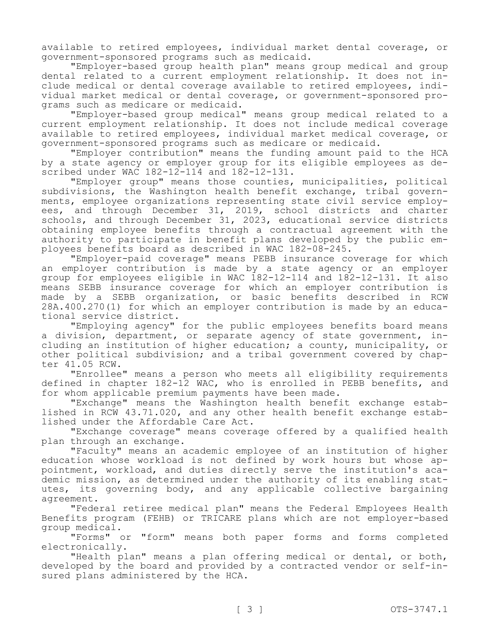available to retired employees, individual market dental coverage, or government-sponsored programs such as medicaid.

"Employer-based group health plan" means group medical and group dental related to a current employment relationship. It does not include medical or dental coverage available to retired employees, individual market medical or dental coverage, or government-sponsored programs such as medicare or medicaid.

"Employer-based group medical" means group medical related to a current employment relationship. It does not include medical coverage available to retired employees, individual market medical coverage, or government-sponsored programs such as medicare or medicaid.

"Employer contribution" means the funding amount paid to the HCA by a state agency or employer group for its eligible employees as described under WAC 182-12-114 and 182-12-131.

"Employer group" means those counties, municipalities, political subdivisions, the Washington health benefit exchange, tribal governments, employee organizations representing state civil service employees, and through December 31, 2019, school districts and charter schools, and through December 31, 2023, educational service districts obtaining employee benefits through a contractual agreement with the authority to participate in benefit plans developed by the public employees benefits board as described in WAC 182-08-245.

"Employer-paid coverage" means PEBB insurance coverage for which an employer contribution is made by a state agency or an employer group for employees eligible in WAC 182-12-114 and 182-12-131. It also means SEBB insurance coverage for which an employer contribution is made by a SEBB organization, or basic benefits described in RCW 28A.400.270(1) for which an employer contribution is made by an educational service district.

"Employing agency" for the public employees benefits board means a division, department, or separate agency of state government, including an institution of higher education; a county, municipality, or other political subdivision; and a tribal government covered by chapter 41.05 RCW.

"Enrollee" means a person who meets all eligibility requirements defined in chapter 182-12 WAC, who is enrolled in PEBB benefits, and for whom applicable premium payments have been made.

"Exchange" means the Washington health benefit exchange established in RCW 43.71.020, and any other health benefit exchange established under the Affordable Care Act.

"Exchange coverage" means coverage offered by a qualified health plan through an exchange.

"Faculty" means an academic employee of an institution of higher education whose workload is not defined by work hours but whose appointment, workload, and duties directly serve the institution's academic mission, as determined under the authority of its enabling statutes, its governing body, and any applicable collective bargaining agreement.

"Federal retiree medical plan" means the Federal Employees Health Benefits program (FEHB) or TRICARE plans which are not employer-based group medical.

"Forms" or "form" means both paper forms and forms completed electronically.

"Health plan" means a plan offering medical or dental, or both, developed by the board and provided by a contracted vendor or self-insured plans administered by the HCA.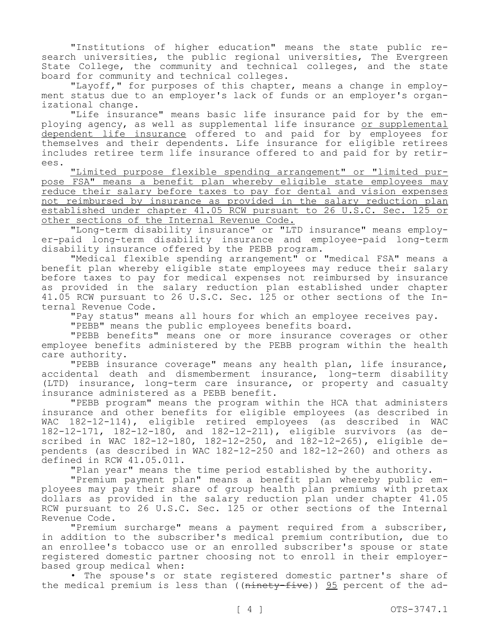"Institutions of higher education" means the state public research universities, the public regional universities, The Evergreen State College, the community and technical colleges, and the state board for community and technical colleges.

"Layoff," for purposes of this chapter, means a change in employment status due to an employer's lack of funds or an employer's organizational change.

"Life insurance" means basic life insurance paid for by the employing agency, as well as supplemental life insurance or supplemental dependent life insurance offered to and paid for by employees for themselves and their dependents. Life insurance for eligible retirees includes retiree term life insurance offered to and paid for by retirees.

"Limited purpose flexible spending arrangement" or "limited purpose FSA" means a benefit plan whereby eligible state employees may reduce their salary before taxes to pay for dental and vision expenses not reimbursed by insurance as provided in the salary reduction plan established under chapter 41.05 RCW pursuant to 26 U.S.C. Sec. 125 or other sections of the Internal Revenue Code.

"Long-term disability insurance" or "LTD insurance" means employer-paid long-term disability insurance and employee-paid long-term disability insurance offered by the PEBB program.

"Medical flexible spending arrangement" or "medical FSA" means a benefit plan whereby eligible state employees may reduce their salary before taxes to pay for medical expenses not reimbursed by insurance as provided in the salary reduction plan established under chapter 41.05 RCW pursuant to 26 U.S.C. Sec. 125 or other sections of the Internal Revenue Code.

"Pay status" means all hours for which an employee receives pay.

"PEBB" means the public employees benefits board.

"PEBB benefits" means one or more insurance coverages or other employee benefits administered by the PEBB program within the health care authority.

"PEBB insurance coverage" means any health plan, life insurance, accidental death and dismemberment insurance, long-term disability (LTD) insurance, long-term care insurance, or property and casualty insurance administered as a PEBB benefit.

"PEBB program" means the program within the HCA that administers insurance and other benefits for eligible employees (as described in WAC 182-12-114), eligible retired employees (as described in WAC 182-12-171, 182-12-180, and 182-12-211), eligible survivors (as described in WAC 182-12-180, 182-12-250, and 182-12-265), eligible dependents (as described in WAC 182-12-250 and 182-12-260) and others as defined in RCW 41.05.011.

"Plan year" means the time period established by the authority.

"Premium payment plan" means a benefit plan whereby public employees may pay their share of group health plan premiums with pretax dollars as provided in the salary reduction plan under chapter 41.05 RCW pursuant to 26 U.S.C. Sec. 125 or other sections of the Internal Revenue Code.

"Premium surcharge" means a payment required from a subscriber, in addition to the subscriber's medical premium contribution, due to an enrollee's tobacco use or an enrolled subscriber's spouse or state registered domestic partner choosing not to enroll in their employerbased group medical when:

• The spouse's or state registered domestic partner's share of the medical premium is less than ((ninety-five)) 95 percent of the ad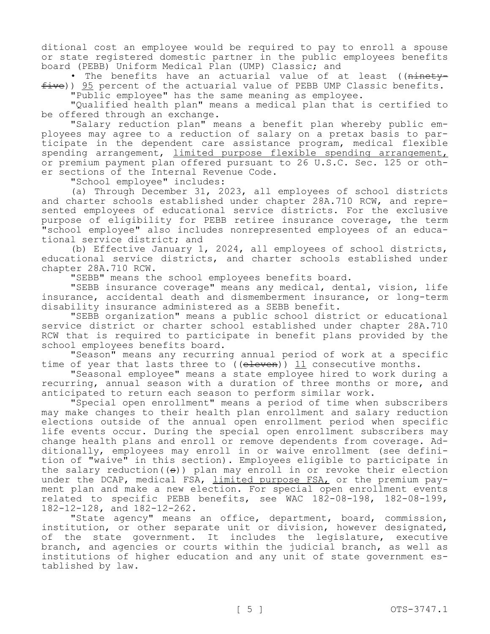ditional cost an employee would be required to pay to enroll a spouse or state registered domestic partner in the public employees benefits board (PEBB) Uniform Medical Plan (UMP) Classic; and

The benefits have an actuarial value of at least ((ninety $f$ ive)) 95 percent of the actuarial value of PEBB UMP Classic benefits.

"Public employee" has the same meaning as employee.

"Qualified health plan" means a medical plan that is certified to be offered through an exchange.

"Salary reduction plan" means a benefit plan whereby public employees may agree to a reduction of salary on a pretax basis to participate in the dependent care assistance program, medical flexible spending arrangement, limited purpose flexible spending arrangement, or premium payment plan offered pursuant to 26 U.S.C. Sec. 125 or other sections of the Internal Revenue Code.

"School employee" includes:

(a) Through December 31, 2023, all employees of school districts and charter schools established under chapter 28A.710 RCW, and represented employees of educational service districts. For the exclusive purpose of eligibility for PEBB retiree insurance coverage, the term "school employee" also includes nonrepresented employees of an educational service district; and

(b) Effective January 1, 2024, all employees of school districts, educational service districts, and charter schools established under chapter 28A.710 RCW.

"SEBB" means the school employees benefits board.

"SEBB insurance coverage" means any medical, dental, vision, life insurance, accidental death and dismemberment insurance, or long-term disability insurance administered as a SEBB benefit.

"SEBB organization" means a public school district or educational service district or charter school established under chapter 28A.710 RCW that is required to participate in benefit plans provided by the school employees benefits board.

"Season" means any recurring annual period of work at a specific time of year that lasts three to (( $e$ leven))  $11$  consecutive months.

"Seasonal employee" means a state employee hired to work during a recurring, annual season with a duration of three months or more, and anticipated to return each season to perform similar work.

"Special open enrollment" means a period of time when subscribers may make changes to their health plan enrollment and salary reduction elections outside of the annual open enrollment period when specific life events occur. During the special open enrollment subscribers may change health plans and enroll or remove dependents from coverage. Additionally, employees may enroll in or waive enrollment (see definition of "waive" in this section). Employees eligible to participate in the salary reduction( $(\theta)$ ) plan may enroll in or revoke their election under the DCAP, medical FSA, limited purpose FSA, or the premium payment plan and make a new election. For special open enrollment events related to specific PEBB benefits, see WAC 182-08-198, 182-08-199, 182-12-128, and 182-12-262.

"State agency" means an office, department, board, commission, institution, or other separate unit or division, however designated, of the state government. It includes the legislature, executive branch, and agencies or courts within the judicial branch, as well as institutions of higher education and any unit of state government established by law.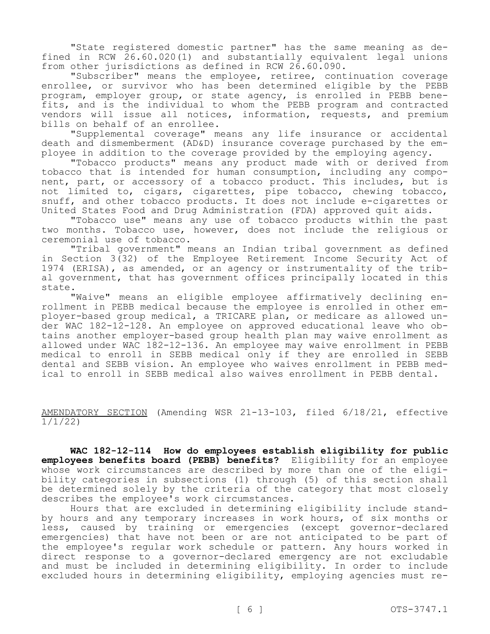"State registered domestic partner" has the same meaning as defined in RCW 26.60.020(1) and substantially equivalent legal unions from other jurisdictions as defined in RCW 26.60.090.

"Subscriber" means the employee, retiree, continuation coverage enrollee, or survivor who has been determined eligible by the PEBB program, employer group, or state agency, is enrolled in PEBB benefits, and is the individual to whom the PEBB program and contracted vendors will issue all notices, information, requests, and premium bills on behalf of an enrollee.

"Supplemental coverage" means any life insurance or accidental death and dismemberment (AD&D) insurance coverage purchased by the employee in addition to the coverage provided by the employing agency.

"Tobacco products" means any product made with or derived from tobacco that is intended for human consumption, including any component, part, or accessory of a tobacco product. This includes, but is not limited to, cigars, cigarettes, pipe tobacco, chewing tobacco, snuff, and other tobacco products. It does not include e-cigarettes or United States Food and Drug Administration (FDA) approved quit aids.

"Tobacco use" means any use of tobacco products within the past two months. Tobacco use, however, does not include the religious or ceremonial use of tobacco.

"Tribal government" means an Indian tribal government as defined in Section 3(32) of the Employee Retirement Income Security Act of 1974 (ERISA), as amended, or an agency or instrumentality of the tribal government, that has government offices principally located in this state.

"Waive" means an eligible employee affirmatively declining enrollment in PEBB medical because the employee is enrolled in other employer-based group medical, a TRICARE plan, or medicare as allowed under WAC 182-12-128. An employee on approved educational leave who obtains another employer-based group health plan may waive enrollment as allowed under WAC 182-12-136. An employee may waive enrollment in PEBB medical to enroll in SEBB medical only if they are enrolled in SEBB dental and SEBB vision. An employee who waives enrollment in PEBB medical to enroll in SEBB medical also waives enrollment in PEBB dental.

AMENDATORY SECTION (Amending WSR 21-13-103, filed 6/18/21, effective 1/1/22)

**WAC 182-12-114 How do employees establish eligibility for public employees benefits board (PEBB) benefits?** Eligibility for an employee whose work circumstances are described by more than one of the eligibility categories in subsections (1) through (5) of this section shall be determined solely by the criteria of the category that most closely describes the employee's work circumstances.

Hours that are excluded in determining eligibility include standby hours and any temporary increases in work hours, of six months or less, caused by training or emergencies (except governor-declared emergencies) that have not been or are not anticipated to be part of the employee's regular work schedule or pattern. Any hours worked in direct response to a governor-declared emergency are not excludable and must be included in determining eligibility. In order to include excluded hours in determining eligibility, employing agencies must re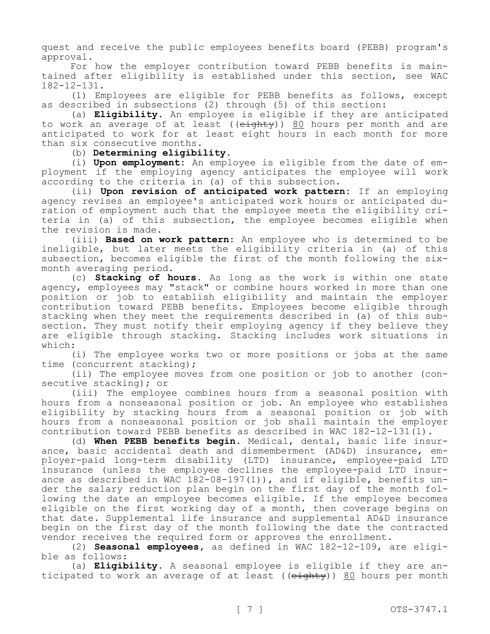quest and receive the public employees benefits board (PEBB) program's approval.

For how the employer contribution toward PEBB benefits is maintained after eligibility is established under this section, see WAC 182-12-131.

(1) Employees are eligible for PEBB benefits as follows, except as described in subsections (2) through (5) of this section:

(a) **Eligibility.** An employee is eligible if they are anticipated to work an average of at least (( $e$ ighty)) 80 hours per month and are anticipated to work for at least eight hours in each month for more than six consecutive months.

(b) **Determining eligibility.**

(i) **Upon employment:** An employee is eligible from the date of employment if the employing agency anticipates the employee will work according to the criteria in (a) of this subsection.

(ii) **Upon revision of anticipated work pattern:** If an employing agency revises an employee's anticipated work hours or anticipated duration of employment such that the employee meets the eligibility criteria in (a) of this subsection, the employee becomes eligible when the revision is made.

(iii) **Based on work pattern:** An employee who is determined to be ineligible, but later meets the eligibility criteria in (a) of this subsection, becomes eligible the first of the month following the sixmonth averaging period.

(c) **Stacking of hours.** As long as the work is within one state agency, employees may "stack" or combine hours worked in more than one position or job to establish eligibility and maintain the employer contribution toward PEBB benefits. Employees become eligible through stacking when they meet the requirements described in (a) of this subsection. They must notify their employing agency if they believe they are eligible through stacking. Stacking includes work situations in which:

(i) The employee works two or more positions or jobs at the same time (concurrent stacking);

(ii) The employee moves from one position or job to another (consecutive stacking); or

(iii) The employee combines hours from a seasonal position with hours from a nonseasonal position or job. An employee who establishes eligibility by stacking hours from a seasonal position or job with hours from a nonseasonal position or job shall maintain the employer contribution toward PEBB benefits as described in WAC 182-12-131(1).

(d) **When PEBB benefits begin.** Medical, dental, basic life insurance, basic accidental death and dismemberment (AD&D) insurance, employer-paid long-term disability (LTD) insurance, employee-paid LTD insurance (unless the employee declines the employee-paid LTD insurance as described in WAC 182-08-197(1)), and if eligible, benefits under the salary reduction plan begin on the first day of the month following the date an employee becomes eligible. If the employee becomes eligible on the first working day of a month, then coverage begins on that date. Supplemental life insurance and supplemental AD&D insurance begin on the first day of the month following the date the contracted vendor receives the required form or approves the enrollment.

(2) **Seasonal employees,** as defined in WAC 182-12-109, are eligible as follows:

(a) **Eligibility.** A seasonal employee is eligible if they are anticipated to work an average of at least ((eighty)) 80 hours per month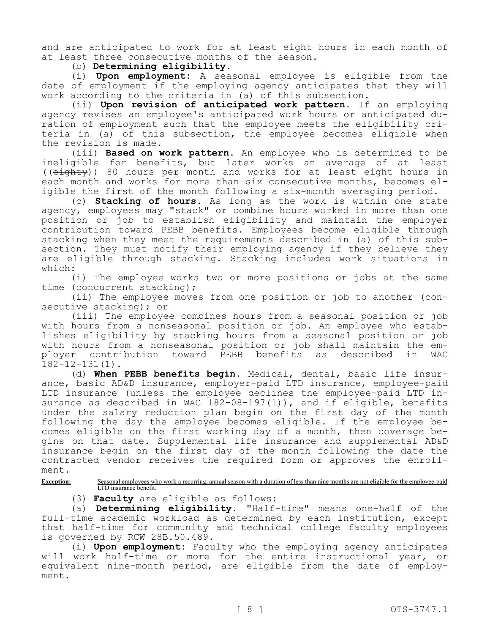and are anticipated to work for at least eight hours in each month of at least three consecutive months of the season.

(b) **Determining eligibility.**

(i) **Upon employment:** A seasonal employee is eligible from the date of employment if the employing agency anticipates that they will work according to the criteria in (a) of this subsection.

(ii) **Upon revision of anticipated work pattern.** If an employing agency revises an employee's anticipated work hours or anticipated duration of employment such that the employee meets the eligibility criteria in (a) of this subsection, the employee becomes eligible when the revision is made.

(iii) **Based on work pattern.** An employee who is determined to be ineligible for benefits, but later works an average of at least ((eighty)) 80 hours per month and works for at least eight hours in each month and works for more than six consecutive months, becomes eligible the first of the month following a six-month averaging period.

(c) **Stacking of hours.** As long as the work is within one state agency, employees may "stack" or combine hours worked in more than one position or job to establish eligibility and maintain the employer contribution toward PEBB benefits. Employees become eligible through stacking when they meet the requirements described in (a) of this subsection. They must notify their employing agency if they believe they are eligible through stacking. Stacking includes work situations in which:

(i) The employee works two or more positions or jobs at the same time (concurrent stacking);

(ii) The employee moves from one position or job to another (consecutive stacking); or

(iii) The employee combines hours from a seasonal position or job with hours from a nonseasonal position or job. An employee who establishes eligibility by stacking hours from a seasonal position or job with hours from a nonseasonal position or job shall maintain the employer contribution toward PEBB benefits as described in WAC 182-12-131(1).

(d) **When PEBB benefits begin.** Medical, dental, basic life insurance, basic AD&D insurance, employer-paid LTD insurance, employee-paid LTD insurance (unless the employee declines the employee-paid LTD insurance as described in WAC  $182-08-197(1)$ ), and if eligible, benefits under the salary reduction plan begin on the first day of the month following the day the employee becomes eligible. If the employee becomes eligible on the first working day of a month, then coverage begins on that date. Supplemental life insurance and supplemental AD&D insurance begin on the first day of the month following the date the contracted vendor receives the required form or approves the enrollment.

**Exception:** Seasonal employees who work a recurring, annual season with a duration of less than nine months are not eligible for the employee-paid LTD insurance benefit.

(3) **Faculty** are eligible as follows:

(a) **Determining eligibility.** "Half-time" means one-half of the full-time academic workload as determined by each institution, except that half-time for community and technical college faculty employees is governed by RCW 28B.50.489.

(i) **Upon employment:** Faculty who the employing agency anticipates will work half-time or more for the entire instructional year, or equivalent nine-month period, are eligible from the date of employment.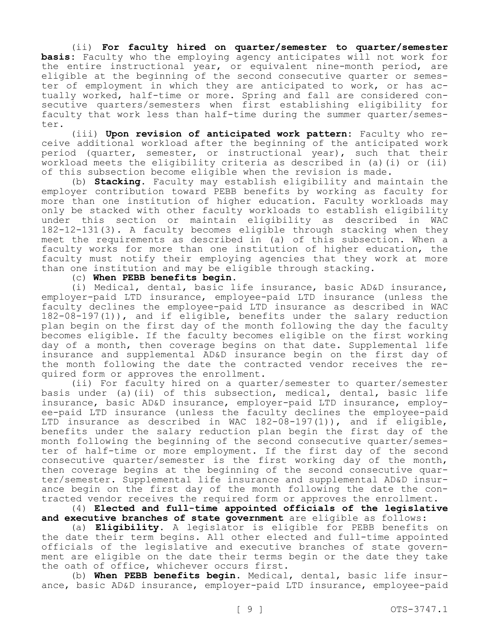(ii) **For faculty hired on quarter/semester to quarter/semester basis:** Faculty who the employing agency anticipates will not work for the entire instructional year, or equivalent nine-month period, are eligible at the beginning of the second consecutive quarter or semester of employment in which they are anticipated to work, or has actually worked, half-time or more. Spring and fall are considered consecutive quarters/semesters when first establishing eligibility for faculty that work less than half-time during the summer quarter/semester.

(iii) **Upon revision of anticipated work pattern:** Faculty who receive additional workload after the beginning of the anticipated work period (quarter, semester, or instructional year), such that their workload meets the eligibility criteria as described in (a)(i) or (ii) of this subsection become eligible when the revision is made.

(b) **Stacking.** Faculty may establish eligibility and maintain the employer contribution toward PEBB benefits by working as faculty for more than one institution of higher education. Faculty workloads may only be stacked with other faculty workloads to establish eligibility under this section or maintain eligibility as described in WAC 182-12-131(3). A faculty becomes eligible through stacking when they meet the requirements as described in (a) of this subsection. When a faculty works for more than one institution of higher education, the faculty must notify their employing agencies that they work at more than one institution and may be eligible through stacking.

(c) **When PEBB benefits begin.**

(i) Medical, dental, basic life insurance, basic AD&D insurance, employer-paid LTD insurance, employee-paid LTD insurance (unless the faculty declines the employee-paid LTD insurance as described in WAC 182-08-197(1)), and if eligible, benefits under the salary reduction plan begin on the first day of the month following the day the faculty becomes eligible. If the faculty becomes eligible on the first working day of a month, then coverage begins on that date. Supplemental life insurance and supplemental AD&D insurance begin on the first day of the month following the date the contracted vendor receives the required form or approves the enrollment.

(ii) For faculty hired on a quarter/semester to quarter/semester basis under (a)(ii) of this subsection, medical, dental, basic life insurance, basic AD&D insurance, employer-paid LTD insurance, employee-paid LTD insurance (unless the faculty declines the employee-paid LTD insurance as described in WAC 182-08-197(1)), and if eligible, benefits under the salary reduction plan begin the first day of the month following the beginning of the second consecutive quarter/semester of half-time or more employment. If the first day of the second consecutive quarter/semester is the first working day of the month, then coverage begins at the beginning of the second consecutive quarter/semester. Supplemental life insurance and supplemental AD&D insurance begin on the first day of the month following the date the contracted vendor receives the required form or approves the enrollment.

(4) **Elected and full-time appointed officials of the legislative and executive branches of state government** are eligible as follows:

(a) **Eligibility.** A legislator is eligible for PEBB benefits on the date their term begins. All other elected and full-time appointed officials of the legislative and executive branches of state government are eligible on the date their terms begin or the date they take the oath of office, whichever occurs first.

(b) **When PEBB benefits begin.** Medical, dental, basic life insurance, basic AD&D insurance, employer-paid LTD insurance, employee-paid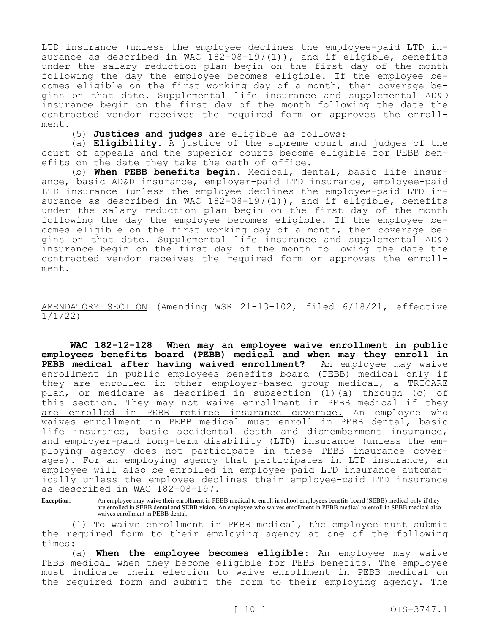LTD insurance (unless the employee declines the employee-paid LTD insurance as described in WAC 182-08-197(1)), and if eligible, benefits under the salary reduction plan begin on the first day of the month following the day the employee becomes eligible. If the employee becomes eligible on the first working day of a month, then coverage begins on that date. Supplemental life insurance and supplemental AD&D insurance begin on the first day of the month following the date the contracted vendor receives the required form or approves the enrollment.

(5) **Justices and judges** are eligible as follows:

(a) **Eligibility.** A justice of the supreme court and judges of the court of appeals and the superior courts become eligible for PEBB benefits on the date they take the oath of office.

(b) **When PEBB benefits begin.** Medical, dental, basic life insurance, basic AD&D insurance, employer-paid LTD insurance, employee-paid LTD insurance (unless the employee declines the employee-paid LTD insurance as described in WAC 182-08-197(1)), and if eligible, benefits under the salary reduction plan begin on the first day of the month following the day the employee becomes eligible. If the employee becomes eligible on the first working day of a month, then coverage begins on that date. Supplemental life insurance and supplemental AD&D insurance begin on the first day of the month following the date the contracted vendor receives the required form or approves the enrollment.

AMENDATORY SECTION (Amending WSR 21-13-102, filed 6/18/21, effective 1/1/22)

**WAC 182-12-128 When may an employee waive enrollment in public employees benefits board (PEBB) medical and when may they enroll in**  PEBB medical after having waived enrollment? enrollment in public employees benefits board (PEBB) medical only if they are enrolled in other employer-based group medical, a TRICARE plan, or medicare as described in subsection (1)(a) through (c) of this section. They may not waive enrollment in PEBB medical if they are enrolled in PEBB retiree insurance coverage. An employee who waives enrollment in PEBB medical must enroll in PEBB dental, basic life insurance, basic accidental death and dismemberment insurance, and employer-paid long-term disability (LTD) insurance (unless the employing agency does not participate in these PEBB insurance coverages). For an employing agency that participates in LTD insurance, an employee will also be enrolled in employee-paid LTD insurance automatically unless the employee declines their employee-paid LTD insurance as described in WAC 182-08-197.

**Exception:** An employee may waive their enrollment in PEBB medical to enroll in school employees benefits board (SEBB) medical only if they are enrolled in SEBB dental and SEBB vision. An employee who waives enrollment in PEBB medical to enroll in SEBB medical also waives enrollment in PEBB dental.

(1) To waive enrollment in PEBB medical, the employee must submit the required form to their employing agency at one of the following times:

(a) **When the employee becomes eligible:** An employee may waive PEBB medical when they become eligible for PEBB benefits. The employee must indicate their election to waive enrollment in PEBB medical on the required form and submit the form to their employing agency. The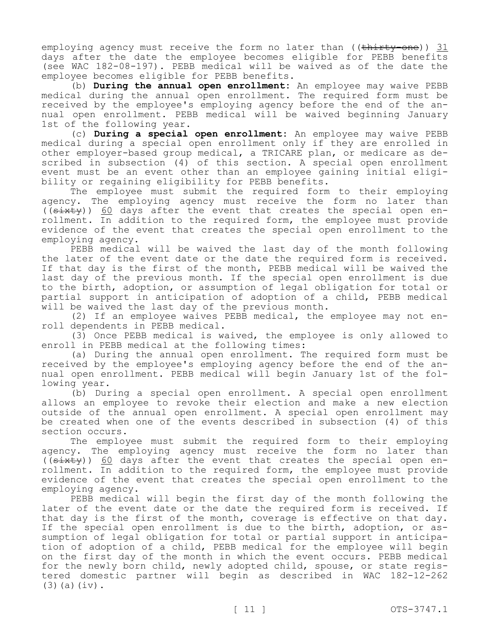employing agency must receive the form no later than ((thirty-one)) 31 days after the date the employee becomes eligible for PEBB benefits (see WAC 182-08-197). PEBB medical will be waived as of the date the employee becomes eligible for PEBB benefits.

(b) **During the annual open enrollment:** An employee may waive PEBB medical during the annual open enrollment. The required form must be received by the employee's employing agency before the end of the annual open enrollment. PEBB medical will be waived beginning January 1st of the following year.

(c) **During a special open enrollment:** An employee may waive PEBB medical during a special open enrollment only if they are enrolled in other employer-based group medical, a TRICARE plan, or medicare as described in subsection (4) of this section. A special open enrollment event must be an event other than an employee gaining initial eligibility or regaining eligibility for PEBB benefits.

The employee must submit the required form to their employing agency. The employing agency must receive the form no later than (( $s$ ixty))  $60$  days after the event that creates the special open enrollment. In addition to the required form, the employee must provide evidence of the event that creates the special open enrollment to the employing agency.

PEBB medical will be waived the last day of the month following the later of the event date or the date the required form is received. If that day is the first of the month, PEBB medical will be waived the last day of the previous month. If the special open enrollment is due to the birth, adoption, or assumption of legal obligation for total or partial support in anticipation of adoption of a child, PEBB medical will be waived the last day of the previous month.

(2) If an employee waives PEBB medical, the employee may not enroll dependents in PEBB medical.

(3) Once PEBB medical is waived, the employee is only allowed to enroll in PEBB medical at the following times:

(a) During the annual open enrollment. The required form must be received by the employee's employing agency before the end of the annual open enrollment. PEBB medical will begin January 1st of the following year.

(b) During a special open enrollment. A special open enrollment allows an employee to revoke their election and make a new election outside of the annual open enrollment. A special open enrollment may be created when one of the events described in subsection (4) of this section occurs.

The employee must submit the required form to their employing agency. The employing agency must receive the form no later than (( $s$ ixty))  $60$  days after the event that creates the special open enrollment. In addition to the required form, the employee must provide evidence of the event that creates the special open enrollment to the employing agency.

PEBB medical will begin the first day of the month following the later of the event date or the date the required form is received. If that day is the first of the month, coverage is effective on that day. If the special open enrollment is due to the birth, adoption, or assumption of legal obligation for total or partial support in anticipation of adoption of a child, PEBB medical for the employee will begin on the first day of the month in which the event occurs. PEBB medical for the newly born child, newly adopted child, spouse, or state registered domestic partner will begin as described in WAC 182-12-262 (3)(a)(iv).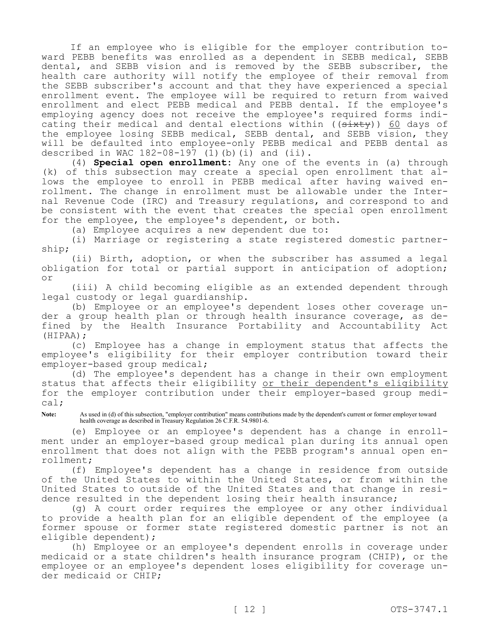If an employee who is eligible for the employer contribution toward PEBB benefits was enrolled as a dependent in SEBB medical, SEBB dental, and SEBB vision and is removed by the SEBB subscriber, the health care authority will notify the employee of their removal from the SEBB subscriber's account and that they have experienced a special enrollment event. The employee will be required to return from waived enrollment and elect PEBB medical and PEBB dental. If the employee's employing agency does not receive the employee's required forms indicating their medical and dental elections within ((sixty)) 60 days of the employee losing SEBB medical, SEBB dental, and SEBB vision, they will be defaulted into employee-only PEBB medical and PEBB dental as described in WAC  $182-08-197$  (1)(b)(i) and (ii).

(4) **Special open enrollment:** Any one of the events in (a) through (k) of this subsection may create a special open enrollment that allows the employee to enroll in PEBB medical after having waived enrollment. The change in enrollment must be allowable under the Internal Revenue Code (IRC) and Treasury regulations, and correspond to and be consistent with the event that creates the special open enrollment for the employee, the employee's dependent, or both.

(a) Employee acquires a new dependent due to:

(i) Marriage or registering a state registered domestic partnership;

(ii) Birth, adoption, or when the subscriber has assumed a legal obligation for total or partial support in anticipation of adoption; or

(iii) A child becoming eligible as an extended dependent through legal custody or legal guardianship.

(b) Employee or an employee's dependent loses other coverage under a group health plan or through health insurance coverage, as defined by the Health Insurance Portability and Accountability Act (HIPAA);

(c) Employee has a change in employment status that affects the employee's eligibility for their employer contribution toward their employer-based group medical;

(d) The employee's dependent has a change in their own employment status that affects their eligibility or their dependent's eligibility for the employer contribution under their employer-based group medical;

**Note:** As used in (d) of this subsection, "employer contribution" means contributions made by the dependent's current or former employer toward health coverage as described in Treasury Regulation 26 C.F.R. 54.9801-6.

(e) Employee or an employee's dependent has a change in enrollment under an employer-based group medical plan during its annual open enrollment that does not align with the PEBB program's annual open enrollment;

(f) Employee's dependent has a change in residence from outside of the United States to within the United States, or from within the United States to outside of the United States and that change in residence resulted in the dependent losing their health insurance;

(g) A court order requires the employee or any other individual to provide a health plan for an eligible dependent of the employee (a former spouse or former state registered domestic partner is not an eligible dependent);

(h) Employee or an employee's dependent enrolls in coverage under medicaid or a state children's health insurance program (CHIP), or the employee or an employee's dependent loses eligibility for coverage under medicaid or CHIP;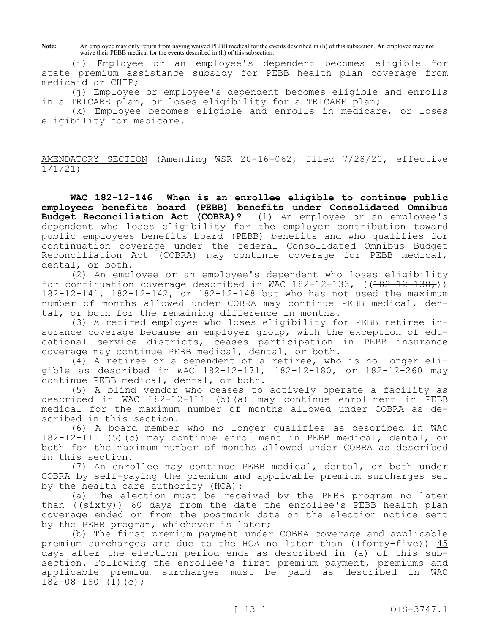**Note:** An employee may only return from having waived PEBB medical for the events described in (h) of this subsection. An employee may not waive their PEBB medical for the events described in (h) of this subsection.

(i) Employee or an employee's dependent becomes eligible for state premium assistance subsidy for PEBB health plan coverage from medicaid or CHIP;

(j) Employee or employee's dependent becomes eligible and enrolls in a TRICARE plan, or loses eligibility for a TRICARE plan;

(k) Employee becomes eligible and enrolls in medicare, or loses eligibility for medicare.

AMENDATORY SECTION (Amending WSR 20-16-062, filed 7/28/20, effective 1/1/21)

**WAC 182-12-146 When is an enrollee eligible to continue public employees benefits board (PEBB) benefits under Consolidated Omnibus Budget Reconciliation Act (COBRA)?** (1) An employee or an employee's dependent who loses eligibility for the employer contribution toward public employees benefits board (PEBB) benefits and who qualifies for continuation coverage under the federal Consolidated Omnibus Budget Reconciliation Act (COBRA) may continue coverage for PEBB medical, dental, or both.

(2) An employee or an employee's dependent who loses eligibility for continuation coverage described in WAC 182-12-133,  $((182-12-138,))$ 182-12-141, 182-12-142, or 182-12-148 but who has not used the maximum number of months allowed under COBRA may continue PEBB medical, dental, or both for the remaining difference in months.

(3) A retired employee who loses eligibility for PEBB retiree insurance coverage because an employer group, with the exception of educational service districts, ceases participation in PEBB insurance coverage may continue PEBB medical, dental, or both.

(4) A retiree or a dependent of a retiree, who is no longer eligible as described in WAC 182-12-171, 182-12-180, or 182-12-260 may continue PEBB medical, dental, or both.

(5) A blind vendor who ceases to actively operate a facility as described in WAC 182-12-111 (5)(a) may continue enrollment in PEBB medical for the maximum number of months allowed under COBRA as described in this section.

(6) A board member who no longer qualifies as described in WAC 182-12-111 (5)(c) may continue enrollment in PEBB medical, dental, or both for the maximum number of months allowed under COBRA as described in this section.

(7) An enrollee may continue PEBB medical, dental, or both under COBRA by self-paying the premium and applicable premium surcharges set by the health care authority (HCA):

(a) The election must be received by the PEBB program no later than ((sixty)) 60 days from the date the enrollee's PEBB health plan coverage ended or from the postmark date on the election notice sent by the PEBB program, whichever is later;

(b) The first premium payment under COBRA coverage and applicable premium surcharges are due to the HCA no later than ( $(forty-five)$ )  $45$ days after the election period ends as described in (a) of this  $\overline{sub}$ section. Following the enrollee's first premium payment, premiums and applicable premium surcharges must be paid as described in WAC  $182-08-180$  (1)(c);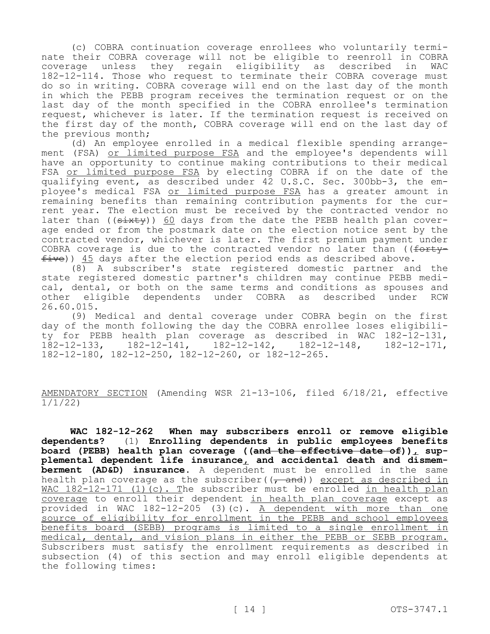(c) COBRA continuation coverage enrollees who voluntarily terminate their COBRA coverage will not be eligible to reenroll in COBRA  $coveraqe$  unless they regain eligibility as described in 182-12-114. Those who request to terminate their COBRA coverage must do so in writing. COBRA coverage will end on the last day of the month in which the PEBB program receives the termination request or on the last day of the month specified in the COBRA enrollee's termination request, whichever is later. If the termination request is received on the first day of the month, COBRA coverage will end on the last day of the previous month;

(d) An employee enrolled in a medical flexible spending arrangement (FSA) or limited purpose FSA and the employee's dependents will have an opportunity to continue making contributions to their medical FSA or limited purpose FSA by electing COBRA if on the date of the qualifying event, as described under 42 U.S.C. Sec. 300bb-3, the employee's medical FSA or limited purpose FSA has a greater amount in remaining benefits than remaining contribution payments for the current year. The election must be received by the contracted vendor no later than ( $(sixty)$ ) 60 days from the date the PEBB health plan coverage ended or from the postmark date on the election notice sent by the contracted vendor, whichever is later. The first premium payment under COBRA coverage is due to the contracted vendor no later than ( $f$  $f$ ive)) 45 days after the election period ends as described above.

(8) A subscriber's state registered domestic partner and the state registered domestic partner's children may continue PEBB medical, dental, or both on the same terms and conditions as spouses and other eligible dependents under COBRA as described under RCW 26.60.015.

(9) Medical and dental coverage under COBRA begin on the first day of the month following the day the COBRA enrollee loses eligibility for PEBB health plan coverage as described in WAC 182-12-131,<br>182-12-133, 182-12-141, 182-12-142, 182-12-148, 182-12-171, 182-12-133, 182-12-141, 182-12-142, 182-12-148, 182-12-171, 182-12-180, 182-12-250, 182-12-260, or 182-12-265.

AMENDATORY SECTION (Amending WSR 21-13-106, filed 6/18/21, effective 1/1/22)

**WAC 182-12-262 When may subscribers enroll or remove eligible dependents?** (1) **Enrolling dependents in public employees benefits board (PEBB) health plan coverage ((and the effective date of)), supplemental dependent life insurance, and accidental death and dismemberment (AD&D) insurance.** A dependent must be enrolled in the same health plan coverage as the subscriber( $(\tau$  and)) except as described in WAC 182-12-171 (1) $(c)$ . The subscriber must be enrolled in health plan coverage to enroll their dependent in health plan coverage except as provided in WAC 182-12-205 (3)(c). <u>A dependent with more than one</u> source of eligibility for enrollment in the PEBB and school employees benefits board (SEBB) programs is limited to a single enrollment in medical, dental, and vision plans in either the PEBB or SEBB program. Subscribers must satisfy the enrollment requirements as described in subsection (4) of this section and may enroll eligible dependents at the following times: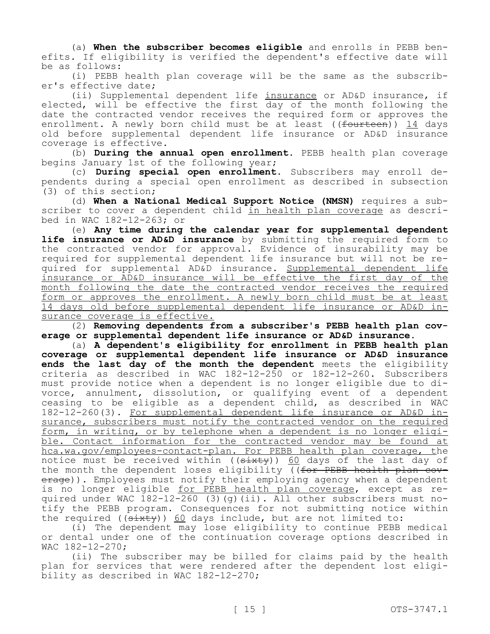(a) **When the subscriber becomes eligible** and enrolls in PEBB benefits. If eligibility is verified the dependent's effective date will be as follows:

(i) PEBB health plan coverage will be the same as the subscriber's effective date;

(ii) Supplemental dependent life insurance or AD&D insurance, if elected, will be effective the first day of the month following the date the contracted vendor receives the required form or approves the enrollment. A newly born child must be at least ((<del>fourteen</del>)) 14 days old before supplemental dependent life insurance or AD&D insurance coverage is effective.

(b) **During the annual open enrollment.** PEBB health plan coverage begins January 1st of the following year;

(c) **During special open enrollment.** Subscribers may enroll dependents during a special open enrollment as described in subsection (3) of this section;

(d) **When a National Medical Support Notice (NMSN)** requires a subscriber to cover a dependent child in health plan coverage as described in WAC 182-12-263; or

(e) **Any time during the calendar year for supplemental dependent life insurance or AD&D insurance** by submitting the required form to the contracted vendor for approval. Evidence of insurability may be required for supplemental dependent life insurance but will not be required for supplemental AD&D insurance. Supplemental dependent life insurance or AD&D insurance will be effective the first day of the month following the date the contracted vendor receives the required form or approves the enrollment. A newly born child must be at least 14 days old before supplemental dependent life insurance or AD&D insurance coverage is effective.

(2) **Removing dependents from a subscriber's PEBB health plan coverage or supplemental dependent life insurance or AD&D insurance.**

(a) **A dependent's eligibility for enrollment in PEBB health plan coverage or supplemental dependent life insurance or AD&D insurance ends the last day of the month the dependent** meets the eligibility criteria as described in WAC 182-12-250 or 182-12-260. Subscribers must provide notice when a dependent is no longer eligible due to divorce, annulment, dissolution, or qualifying event of a dependent ceasing to be eligible as a dependent child, as described in WAC 182-12-260(3). For supplemental dependent life insurance or AD&D insurance, subscribers must notify the contracted vendor on the required form, in writing, or by telephone when a dependent is no longer eligible. Contact information for the contracted vendor may be found at hca.wa.gov/employees-contact-plan. For PEBB health plan coverage, the notice must be received within ((sixty)) 60 days of the last day of the month the dependent loses eligibility ((for PEBB health plan coverage)). Employees must notify their employing agency when a dependent is no longer eligible for PEBB health plan coverage, except as required under WAC 182-12-260 (3)(g)(ii). All other subscribers must notify the PEBB program. Consequences for not submitting notice within the required (( $s$ ixty))  $60$  days include, but are not limited to:

(i) The dependent may lose eligibility to continue PEBB medical or dental under one of the continuation coverage options described in WAC 182-12-270;

(ii) The subscriber may be billed for claims paid by the health plan for services that were rendered after the dependent lost eligibility as described in WAC 182-12-270;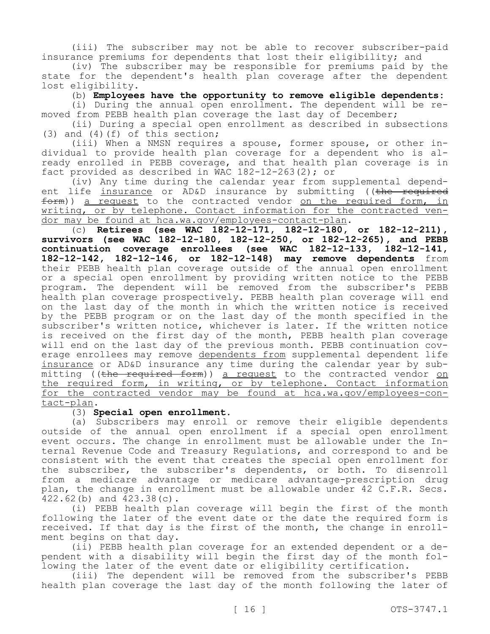(iii) The subscriber may not be able to recover subscriber-paid insurance premiums for dependents that lost their eligibility; and

(iv) The subscriber may be responsible for premiums paid by the state for the dependent's health plan coverage after the dependent lost eligibility.

(b) **Employees have the opportunity to remove eligible dependents:**

(i) During the annual open enrollment. The dependent will be removed from PEBB health plan coverage the last day of December;

(ii) During a special open enrollment as described in subsections (3) and (4)(f) of this section;

(iii) When a NMSN requires a spouse, former spouse, or other individual to provide health plan coverage for a dependent who is already enrolled in PEBB coverage, and that health plan coverage is in fact provided as described in WAC 182-12-263(2); or

(iv) Any time during the calendar year from supplemental dependent life insurance or AD&D insurance by submitting ((the required  $f$ orm)) a request to the contracted vendor on the required form, in writing, or by telephone. Contact information for the contracted vendor may be found at hca.wa.gov/employees-contact-plan.

(c) **Retirees (see WAC 182-12-171, 182-12-180, or 182-12-211), survivors (see WAC 182-12-180, 182-12-250, or 182-12-265), and PEBB continuation coverage enrollees (see WAC 182-12-133, 182-12-141, 182-12-142, 182-12-146, or 182-12-148) may remove dependents** from their PEBB health plan coverage outside of the annual open enrollment or a special open enrollment by providing written notice to the PEBB program. The dependent will be removed from the subscriber's PEBB health plan coverage prospectively. PEBB health plan coverage will end on the last day of the month in which the written notice is received by the PEBB program or on the last day of the month specified in the subscriber's written notice, whichever is later. If the written notice is received on the first day of the month, PEBB health plan coverage will end on the last day of the previous month. PEBB continuation coverage enrollees may remove dependents from supplemental dependent life insurance or AD&D insurance any time during the calendar year by submitting ((the required form)) a request to the contracted vendor on the required form, in writing, or by telephone. Contact information for the contracted vendor may be found at hca.wa.gov/employees-contact-plan.

#### (3) **Special open enrollment.**

(a) Subscribers may enroll or remove their eligible dependents outside of the annual open enrollment if a special open enrollment event occurs. The change in enrollment must be allowable under the Internal Revenue Code and Treasury Regulations, and correspond to and be consistent with the event that creates the special open enrollment for the subscriber, the subscriber's dependents, or both. To disenroll from a medicare advantage or medicare advantage-prescription drug plan, the change in enrollment must be allowable under 42 C.F.R. Secs. 422.62(b) and 423.38(c).

(i) PEBB health plan coverage will begin the first of the month following the later of the event date or the date the required form is received. If that day is the first of the month, the change in enrollment begins on that day.

(ii) PEBB health plan coverage for an extended dependent or a dependent with a disability will begin the first day of the month following the later of the event date or eligibility certification.

(iii) The dependent will be removed from the subscriber's PEBB health plan coverage the last day of the month following the later of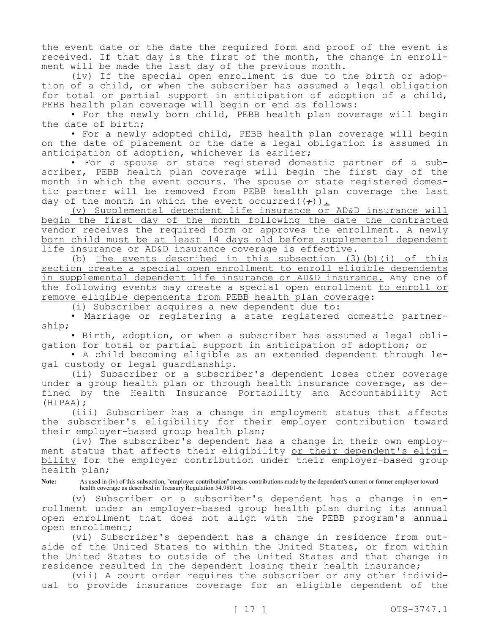the event date or the date the required form and proof of the event is received. If that day is the first of the month, the change in enrollment will be made the last day of the previous month.

(iv) If the special open enrollment is due to the birth or adoption of a child, or when the subscriber has assumed a legal obligation for total or partial support in anticipation of adoption of a child, PEBB health plan coverage will begin or end as follows:

• For the newly born child, PEBB health plan coverage will begin the date of birth;

• For a newly adopted child, PEBB health plan coverage will begin on the date of placement or the date a legal obligation is assumed in anticipation of adoption, whichever is earlier;

• For a spouse or state registered domestic partner of a subscriber, PEBB health plan coverage will begin the first day of the month in which the event occurs. The spouse or state registered domestic partner will be removed from PEBB health plan coverage the last day of the month in which the event occurred( $(\div)$ ).

(v) Supplemental dependent life insurance or AD&D insurance will begin the first day of the month following the date the contracted vendor receives the required form or approves the enrollment. A newly born child must be at least 14 days old before supplemental dependent life insurance or AD&D insurance coverage is effective.

(b) The events described in this subsection (3)(b)(i) of this section create a special open enrollment to enroll eligible dependents in supplemental dependent life insurance or AD&D insurance. Any one of the following events may create a special open enrollment to enroll or remove eligible dependents from PEBB health plan coverage:

(i) Subscriber acquires a new dependent due to:

• Marriage or registering a state registered domestic partnership;

• Birth, adoption, or when a subscriber has assumed a legal obligation for total or partial support in anticipation of adoption; or

• A child becoming eligible as an extended dependent through legal custody or legal guardianship.

(ii) Subscriber or a subscriber's dependent loses other coverage under a group health plan or through health insurance coverage, as defined by the Health Insurance Portability and Accountability Act (HIPAA);

(iii) Subscriber has a change in employment status that affects the subscriber's eligibility for their employer contribution toward their employer-based group health plan;

(iv) The subscriber's dependent has a change in their own employment status that affects their eligibility or their dependent's eligibility for the employer contribution under their employer-based group health plan;

**Note:** As used in (iv) of this subsection, "employer contribution" means contributions made by the dependent's current or former employer toward health coverage as described in Treasury Regulation 54.9801-6.

(v) Subscriber or a subscriber's dependent has a change in enrollment under an employer-based group health plan during its annual open enrollment that does not align with the PEBB program's annual open enrollment;

(vi) Subscriber's dependent has a change in residence from outside of the United States to within the United States, or from within the United States to outside of the United States and that change in residence resulted in the dependent losing their health insurance;

(vii) A court order requires the subscriber or any other individual to provide insurance coverage for an eligible dependent of the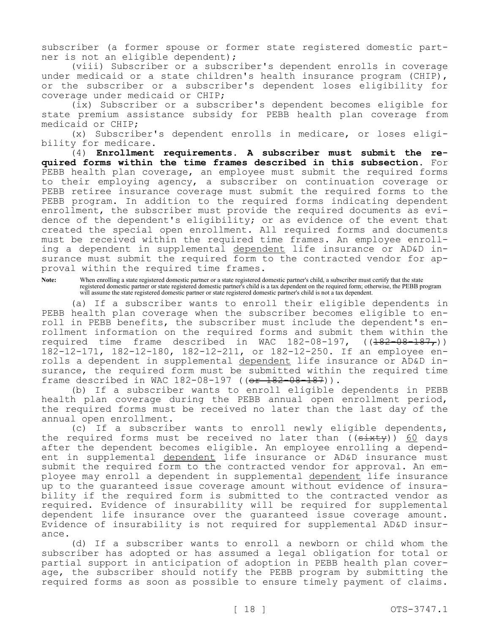subscriber (a former spouse or former state registered domestic partner is not an eligible dependent);

(viii) Subscriber or a subscriber's dependent enrolls in coverage under medicaid or a state children's health insurance program (CHIP), or the subscriber or a subscriber's dependent loses eligibility for coverage under medicaid or CHIP;

(ix) Subscriber or a subscriber's dependent becomes eligible for state premium assistance subsidy for PEBB health plan coverage from medicaid or CHIP;

(x) Subscriber's dependent enrolls in medicare, or loses eligibility for medicare.

(4) **Enrollment requirements. A subscriber must submit the required forms within the time frames described in this subsection.** For PEBB health plan coverage, an employee must submit the required forms to their employing agency, a subscriber on continuation coverage or PEBB retiree insurance coverage must submit the required forms to the PEBB program. In addition to the required forms indicating dependent enrollment, the subscriber must provide the required documents as evidence of the dependent's eligibility; or as evidence of the event that created the special open enrollment. All required forms and documents must be received within the required time frames. An employee enrolling a dependent in supplemental dependent life insurance or AD&D insurance must submit the required form to the contracted vendor for approval within the required time frames.

**Note:** When enrolling a state registered domestic partner or a state registered domestic partner's child, a subscriber must certify that the state registered domestic partner or state registered domestic partner's child is a tax dependent on the required form; otherwise, the PEBB program will assume the state registered domestic partner or state registered domestic partner's child is not a tax dependent.

(a) If a subscriber wants to enroll their eligible dependents in PEBB health plan coverage when the subscriber becomes eligible to enroll in PEBB benefits, the subscriber must include the dependent's enrollment information on the required forms and submit them within the required time frame described in WAC 182-08-197, ((182-08-187,)) 182-12-171, 182-12-180, 182-12-211, or 182-12-250. If an employee enrolls a dependent in supplemental dependent life insurance or AD&D insurance, the required form must be submitted within the required time frame described in WAC 182-08-197 ((or 182-08-187)).

(b) If a subscriber wants to enroll eligible dependents in PEBB health plan coverage during the PEBB annual open enrollment period, the required forms must be received no later than the last day of the annual open enrollment.

(c) If a subscriber wants to enroll newly eligible dependents, the required forms must be received no later than  $((s+1)(s+1)(s+2))$  days after the dependent becomes eligible. An employee enrolling a dependent in supplemental dependent life insurance or AD&D insurance must submit the required form to the contracted vendor for approval. An employee may enroll a dependent in supplemental dependent life insurance up to the guaranteed issue coverage amount without evidence of insurability if the required form is submitted to the contracted vendor as required. Evidence of insurability will be required for supplemental dependent life insurance over the guaranteed issue coverage amount. Evidence of insurability is not required for supplemental AD&D insurance.

(d) If a subscriber wants to enroll a newborn or child whom the subscriber has adopted or has assumed a legal obligation for total or partial support in anticipation of adoption in PEBB health plan coverage, the subscriber should notify the PEBB program by submitting the required forms as soon as possible to ensure timely payment of claims.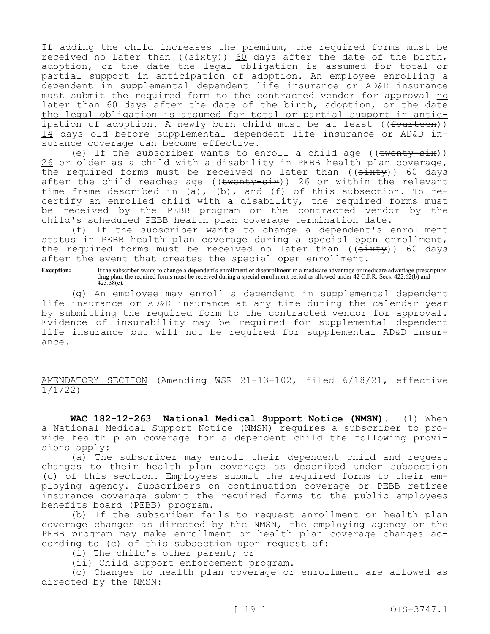If adding the child increases the premium, the required forms must be received no later than (( $\frac{1}{3}$ ) 60 days after the date of the birth, adoption, or the date the legal obligation is assumed for total or partial support in anticipation of adoption. An employee enrolling a dependent in supplemental dependent life insurance or AD&D insurance must submit the required form to the contracted vendor for approval no later than 60 days after the date of the birth, adoption, or the date the legal obligation is assumed for total or partial support in anticipation of adoption. A newly born child must be at least ((<del>fourteen</del>)) 14 days old before supplemental dependent life insurance or AD&D insurance coverage can become effective.

(e) If the subscriber wants to enroll a child age  $((\text{twenty-six}))$ 26 or older as a child with a disability in PEBB health plan coverage, the required forms must be received no later than  $((\text{sixty}))$  60 days after the child reaches age (( $\frac{1}{26}$ )) 26 or within the relevant time frame described in (a), (b), and (f) of this subsection. To recertify an enrolled child with a disability, the required forms must be received by the PEBB program or the contracted vendor by the child's scheduled PEBB health plan coverage termination date.

(f) If the subscriber wants to change a dependent's enrollment status in PEBB health plan coverage during a special open enrollment, the required forms must be received no later than  $((sixty))$  60 days after the event that creates the special open enrollment.

**Exception:** If the subscriber wants to change a dependent's enrollment or disenrollment in a medicare advantage or medicare advantage-prescription drug plan, the required forms must be received during a special enrollment period as allowed under 42 C.F.R. Secs. 422.62(b) and  $423.38(c)$ .

(g) An employee may enroll a dependent in supplemental dependent life insurance or AD&D insurance at any time during the calendar year by submitting the required form to the contracted vendor for approval. Evidence of insurability may be required for supplemental dependent life insurance but will not be required for supplemental AD&D insurance.

AMENDATORY SECTION (Amending WSR 21-13-102, filed 6/18/21, effective 1/1/22)

**WAC 182-12-263 National Medical Support Notice (NMSN).** (1) When a National Medical Support Notice (NMSN) requires a subscriber to provide health plan coverage for a dependent child the following provisions apply:

(a) The subscriber may enroll their dependent child and request changes to their health plan coverage as described under subsection (c) of this section. Employees submit the required forms to their employing agency. Subscribers on continuation coverage or PEBB retiree insurance coverage submit the required forms to the public employees benefits board (PEBB) program.

(b) If the subscriber fails to request enrollment or health plan coverage changes as directed by the NMSN, the employing agency or the PEBB program may make enrollment or health plan coverage changes according to (c) of this subsection upon request of:

(i) The child's other parent; or

(ii) Child support enforcement program.

(c) Changes to health plan coverage or enrollment are allowed as directed by the NMSN: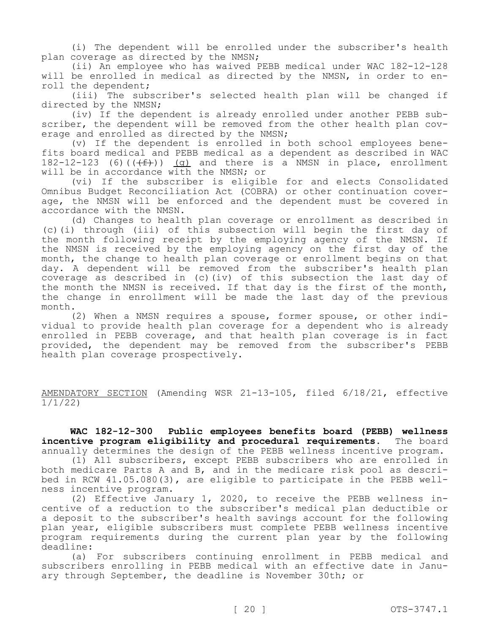(i) The dependent will be enrolled under the subscriber's health plan coverage as directed by the NMSN;

(ii) An employee who has waived PEBB medical under WAC 182-12-128 will be enrolled in medical as directed by the NMSN, in order to enroll the dependent;

(iii) The subscriber's selected health plan will be changed if directed by the NMSN;

(iv) If the dependent is already enrolled under another PEBB subscriber, the dependent will be removed from the other health plan coverage and enrolled as directed by the NMSN;

(v) If the dependent is enrolled in both school employees benefits board medical and PEBB medical as a dependent as described in WAC 182-12-123 (6) $((f f))$  (g) and there is a NMSN in place, enrollment will be in accordance with the NMSN; or

(vi) If the subscriber is eligible for and elects Consolidated Omnibus Budget Reconciliation Act (COBRA) or other continuation coverage, the NMSN will be enforced and the dependent must be covered in accordance with the NMSN.

(d) Changes to health plan coverage or enrollment as described in (c)(i) through (iii) of this subsection will begin the first day of the month following receipt by the employing agency of the NMSN. If the NMSN is received by the employing agency on the first day of the month, the change to health plan coverage or enrollment begins on that day. A dependent will be removed from the subscriber's health plan coverage as described in (c)(iv) of this subsection the last day of the month the NMSN is received. If that day is the first of the month, the change in enrollment will be made the last day of the previous month.

(2) When a NMSN requires a spouse, former spouse, or other individual to provide health plan coverage for a dependent who is already enrolled in PEBB coverage, and that health plan coverage is in fact provided, the dependent may be removed from the subscriber's PEBB health plan coverage prospectively.

AMENDATORY SECTION (Amending WSR 21-13-105, filed 6/18/21, effective 1/1/22)

**WAC 182-12-300 Public employees benefits board (PEBB) wellness incentive program eligibility and procedural requirements.** The board annually determines the design of the PEBB wellness incentive program.

(1) All subscribers, except PEBB subscribers who are enrolled in both medicare Parts A and B, and in the medicare risk pool as described in RCW 41.05.080(3), are eligible to participate in the PEBB wellness incentive program.

(2) Effective January 1, 2020, to receive the PEBB wellness incentive of a reduction to the subscriber's medical plan deductible or a deposit to the subscriber's health savings account for the following plan year, eligible subscribers must complete PEBB wellness incentive program requirements during the current plan year by the following deadline:

(a) For subscribers continuing enrollment in PEBB medical and subscribers enrolling in PEBB medical with an effective date in January through September, the deadline is November 30th; or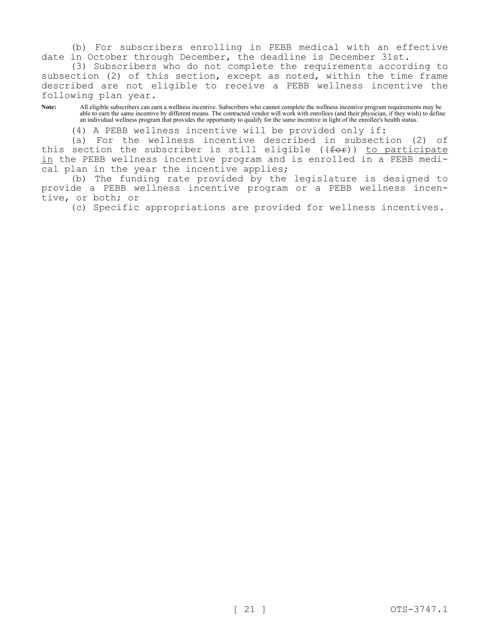(b) For subscribers enrolling in PEBB medical with an effective date in October through December, the deadline is December 31st.

(3) Subscribers who do not complete the requirements according to subsection (2) of this section, except as noted, within the time frame described are not eligible to receive a PEBB wellness incentive the following plan year.

**Note:** All eligible subscribers can earn a wellness incentive. Subscribers who cannot complete the wellness incentive program requirements may be able to earn the same incentive by different means. The contracted vendor will work with enrollees (and their physician, if they wish) to define an individual wellness program that provides the opportunity to qualify for the same incentive in light of the enrollee's health status.

(4) A PEBB wellness incentive will be provided only if:

(a) For the wellness incentive described in subsection (2) of this section the subscriber is still eligible  $((f \circ f))$  to participate in the PEBB wellness incentive program and is enrolled in a PEBB medical plan in the year the incentive applies;

(b) The funding rate provided by the legislature is designed to provide a PEBB wellness incentive program or a PEBB wellness incentive, or both; or

(c) Specific appropriations are provided for wellness incentives.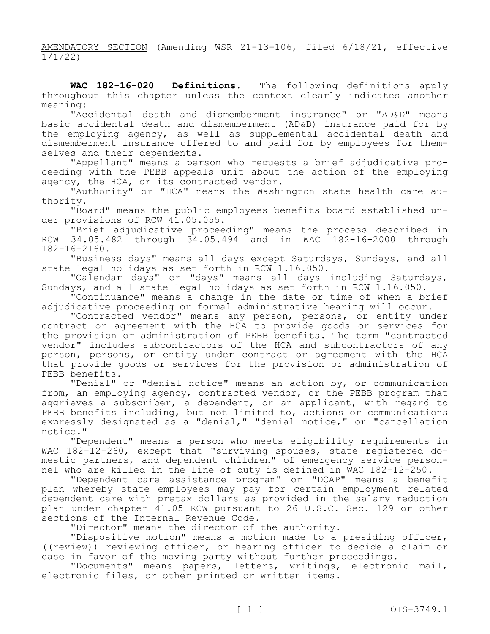AMENDATORY SECTION (Amending WSR 21-13-106, filed 6/18/21, effective 1/1/22)

**WAC 182-16-020 Definitions.** The following definitions apply throughout this chapter unless the context clearly indicates another meaning:

"Accidental death and dismemberment insurance" or "AD&D" means basic accidental death and dismemberment (AD&D) insurance paid for by the employing agency, as well as supplemental accidental death and dismemberment insurance offered to and paid for by employees for themselves and their dependents.

"Appellant" means a person who requests a brief adjudicative proceeding with the PEBB appeals unit about the action of the employing agency, the HCA, or its contracted vendor.

"Authority" or "HCA" means the Washington state health care authority.

"Board" means the public employees benefits board established under provisions of RCW 41.05.055.

"Brief adjudicative proceeding" means the process described in RCW 34.05.482 through 34.05.494 and in WAC 182-16-2000 through 182-16-2160.

"Business days" means all days except Saturdays, Sundays, and all state legal holidays as set forth in RCW 1.16.050.

"Calendar days" or "days" means all days including Saturdays, Sundays, and all state legal holidays as set forth in RCW 1.16.050.

"Continuance" means a change in the date or time of when a brief adjudicative proceeding or formal administrative hearing will occur.

"Contracted vendor" means any person, persons, or entity under contract or agreement with the HCA to provide goods or services for the provision or administration of PEBB benefits. The term "contracted vendor" includes subcontractors of the HCA and subcontractors of any person, persons, or entity under contract or agreement with the HCA that provide goods or services for the provision or administration of PEBB benefits.

"Denial" or "denial notice" means an action by, or communication from, an employing agency, contracted vendor, or the PEBB program that aggrieves a subscriber, a dependent, or an applicant, with regard to PEBB benefits including, but not limited to, actions or communications expressly designated as a "denial," "denial notice," or "cancellation notice."

"Dependent" means a person who meets eligibility requirements in WAC 182-12-260, except that "surviving spouses, state registered domestic partners, and dependent children" of emergency service personnel who are killed in the line of duty is defined in WAC 182-12-250.

"Dependent care assistance program" or "DCAP" means a benefit plan whereby state employees may pay for certain employment related dependent care with pretax dollars as provided in the salary reduction plan under chapter 41.05 RCW pursuant to 26 U.S.C. Sec. 129 or other sections of the Internal Revenue Code.

"Director" means the director of the authority.

"Dispositive motion" means a motion made to a presiding officer, ((review)) reviewing officer, or hearing officer to decide a claim or case in favor of the moving party without further proceedings.

"Documents" means papers, letters, writings, electronic mail, electronic files, or other printed or written items.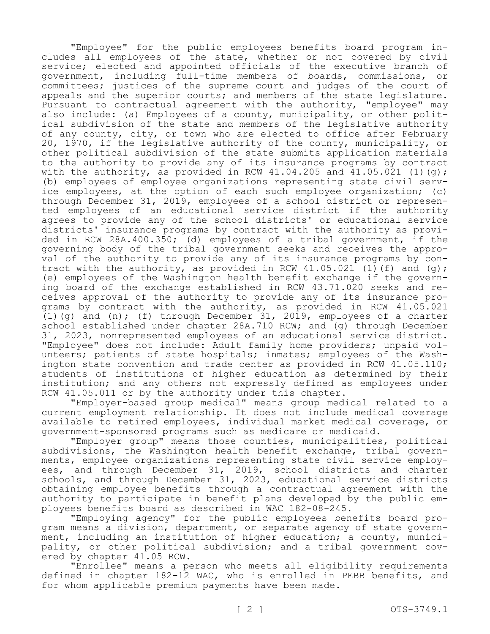"Employee" for the public employees benefits board program includes all employees of the state, whether or not covered by civil service; elected and appointed officials of the executive branch of government, including full-time members of boards, commissions, or committees; justices of the supreme court and judges of the court of appeals and the superior courts; and members of the state legislature. Pursuant to contractual agreement with the authority, "employee" may also include: (a) Employees of a county, municipality, or other political subdivision of the state and members of the legislative authority of any county, city, or town who are elected to office after February 20, 1970, if the legislative authority of the county, municipality, or other political subdivision of the state submits application materials to the authority to provide any of its insurance programs by contract with the authority, as provided in RCW 41.04.205 and  $41.05.021$  (1)(g); (b) employees of employee organizations representing state civil service employees, at the option of each such employee organization; (c) through December 31, 2019, employees of a school district or represented employees of an educational service district if the authority agrees to provide any of the school districts' or educational service districts' insurance programs by contract with the authority as provided in RCW 28A.400.350; (d) employees of a tribal government, if the governing body of the tribal government seeks and receives the approval of the authority to provide any of its insurance programs by contract with the authority, as provided in RCW  $41.05.021$  (1)(f) and (g); (e) employees of the Washington health benefit exchange if the governing board of the exchange established in RCW 43.71.020 seeks and receives approval of the authority to provide any of its insurance programs by contract with the authority, as provided in RCW 41.05.021 (1)(g) and (n); (f) through December 31, 2019, employees of a charter school established under chapter 28A.710 RCW; and (g) through December 31, 2023, nonrepresented employees of an educational service district. "Employee" does not include: Adult family home providers; unpaid volunteers; patients of state hospitals; inmates; employees of the Washington state convention and trade center as provided in RCW 41.05.110; students of institutions of higher education as determined by their institution; and any others not expressly defined as employees under RCW 41.05.011 or by the authority under this chapter.

"Employer-based group medical" means group medical related to a current employment relationship. It does not include medical coverage available to retired employees, individual market medical coverage, or government-sponsored programs such as medicare or medicaid.

"Employer group" means those counties, municipalities, political subdivisions, the Washington health benefit exchange, tribal governments, employee organizations representing state civil service employees, and through December 31, 2019, school districts and charter schools, and through December 31, 2023, educational service districts obtaining employee benefits through a contractual agreement with the authority to participate in benefit plans developed by the public employees benefits board as described in WAC 182-08-245.

"Employing agency" for the public employees benefits board program means a division, department, or separate agency of state government, including an institution of higher education; a county, municipality, or other political subdivision; and a tribal government covered by chapter 41.05 RCW.

"Enrollee" means a person who meets all eligibility requirements defined in chapter 182-12 WAC, who is enrolled in PEBB benefits, and for whom applicable premium payments have been made.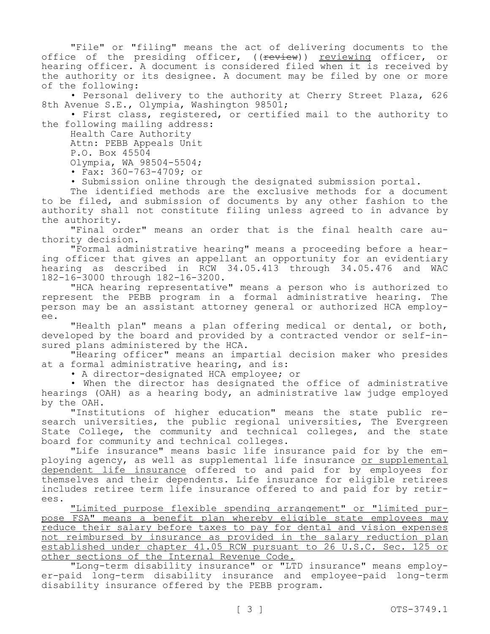"File" or "filing" means the act of delivering documents to the office of the presiding officer, ((review)) reviewing officer, or hearing officer. A document is considered filed when it is received by the authority or its designee. A document may be filed by one or more of the following:

• Personal delivery to the authority at Cherry Street Plaza, 626 8th Avenue S.E., Olympia, Washington 98501;

• First class, registered, or certified mail to the authority to the following mailing address:

Health Care Authority

Attn: PEBB Appeals Unit

P.O. Box 45504

Olympia, WA 98504-5504;

• Fax: 360-763-4709; or

• Submission online through the designated submission portal.

The identified methods are the exclusive methods for a document to be filed, and submission of documents by any other fashion to the authority shall not constitute filing unless agreed to in advance by the authority.

"Final order" means an order that is the final health care authority decision.

"Formal administrative hearing" means a proceeding before a hearing officer that gives an appellant an opportunity for an evidentiary hearing as described in RCW 34.05.413 through 34.05.476 and WAC 182-16-3000 through 182-16-3200.

"HCA hearing representative" means a person who is authorized to represent the PEBB program in a formal administrative hearing. The person may be an assistant attorney general or authorized HCA employee.

"Health plan" means a plan offering medical or dental, or both, developed by the board and provided by a contracted vendor or self-insured plans administered by the HCA.

"Hearing officer" means an impartial decision maker who presides at a formal administrative hearing, and is:

• A director-designated HCA employee; or

• When the director has designated the office of administrative hearings (OAH) as a hearing body, an administrative law judge employed by the OAH.

"Institutions of higher education" means the state public research universities, the public regional universities, The Evergreen State College, the community and technical colleges, and the state board for community and technical colleges.

"Life insurance" means basic life insurance paid for by the employing agency, as well as supplemental life insurance or supplemental dependent life insurance offered to and paid for by employees for themselves and their dependents. Life insurance for eligible retirees includes retiree term life insurance offered to and paid for by retirees.

"Limited purpose flexible spending arrangement" or "limited purpose FSA" means a benefit plan whereby eligible state employees may reduce their salary before taxes to pay for dental and vision expenses not reimbursed by insurance as provided in the salary reduction plan established under chapter 41.05 RCW pursuant to 26 U.S.C. Sec. 125 or other sections of the Internal Revenue Code.

"Long-term disability insurance" or "LTD insurance" means employer-paid long-term disability insurance and employee-paid long-term disability insurance offered by the PEBB program.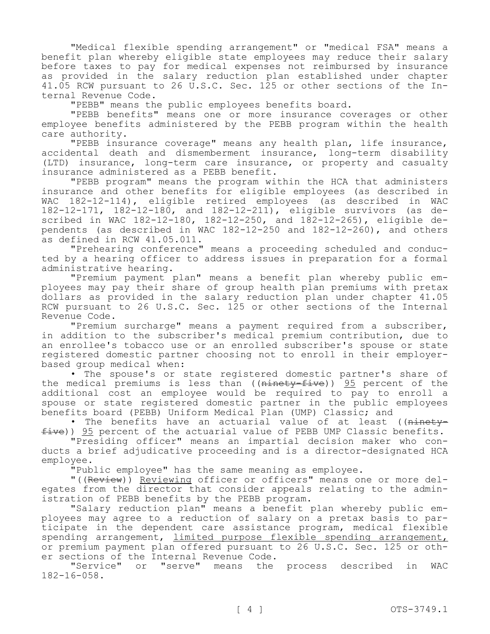"Medical flexible spending arrangement" or "medical FSA" means a benefit plan whereby eligible state employees may reduce their salary before taxes to pay for medical expenses not reimbursed by insurance as provided in the salary reduction plan established under chapter 41.05 RCW pursuant to 26 U.S.C. Sec. 125 or other sections of the Internal Revenue Code.

"PEBB" means the public employees benefits board.

"PEBB benefits" means one or more insurance coverages or other employee benefits administered by the PEBB program within the health care authority.

"PEBB insurance coverage" means any health plan, life insurance, accidental death and dismemberment insurance, long-term disability (LTD) insurance, long-term care insurance, or property and casualty insurance administered as a PEBB benefit.

"PEBB program" means the program within the HCA that administers insurance and other benefits for eligible employees (as described in WAC 182-12-114), eligible retired employees (as described in WAC 182-12-171, 182-12-180, and 182-12-211), eligible survivors (as described in WAC 182-12-180, 182-12-250, and 182-12-265), eligible dependents (as described in WAC 182-12-250 and 182-12-260), and others as defined in RCW 41.05.011.

"Prehearing conference" means a proceeding scheduled and conducted by a hearing officer to address issues in preparation for a formal administrative hearing.

"Premium payment plan" means a benefit plan whereby public employees may pay their share of group health plan premiums with pretax dollars as provided in the salary reduction plan under chapter 41.05 RCW pursuant to 26 U.S.C. Sec. 125 or other sections of the Internal Revenue Code.

"Premium surcharge" means a payment required from a subscriber, in addition to the subscriber's medical premium contribution, due to an enrollee's tobacco use or an enrolled subscriber's spouse or state registered domestic partner choosing not to enroll in their employerbased group medical when:

• The spouse's or state registered domestic partner's share of the medical premiums is less than ((<del>ninety-five</del>)) <u>95</u> percent of the additional cost an employee would be required to pay to enroll a spouse or state registered domestic partner in the public employees benefits board (PEBB) Uniform Medical Plan (UMP) Classic; and

• The benefits have an actuarial value of at least ((ninetyfive)) 95 percent of the actuarial value of PEBB UMP Classic benefits.

"Presiding officer" means an impartial decision maker who conducts a brief adjudicative proceeding and is a director-designated HCA employee.

"Public employee" has the same meaning as employee.

"((Review)) Reviewing officer or officers" means one or more delegates from the director that consider appeals relating to the administration of PEBB benefits by the PEBB program.

"Salary reduction plan" means a benefit plan whereby public employees may agree to a reduction of salary on a pretax basis to participate in the dependent care assistance program, medical flexible spending arrangement, limited purpose flexible spending arrangement, or premium payment plan offered pursuant to 26 U.S.C. Sec. 125 or other sections of the Internal Revenue Code.

"Service" or "serve" means the process described in WAC  $182 - 16 - 058$ .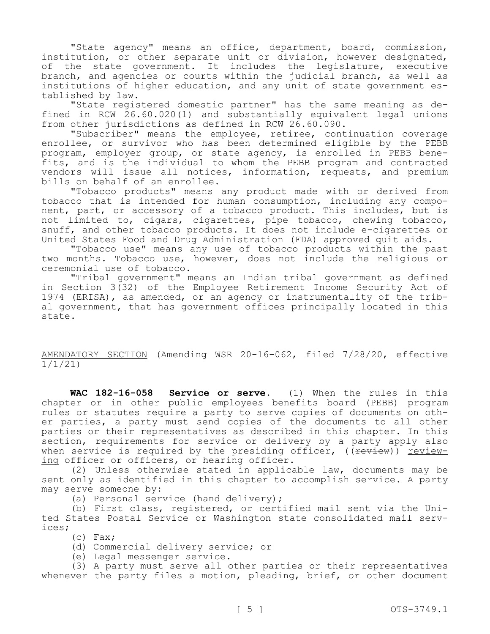"State agency" means an office, department, board, commission, institution, or other separate unit or division, however designated, of the state government. It includes the legislature, executive branch, and agencies or courts within the judicial branch, as well as institutions of higher education, and any unit of state government established by law.

"State registered domestic partner" has the same meaning as defined in RCW 26.60.020(1) and substantially equivalent legal unions from other jurisdictions as defined in RCW  $2\bar{6}$ .60.090.

"Subscriber" means the employee, retiree, continuation coverage enrollee, or survivor who has been determined eligible by the PEBB program, employer group, or state agency, is enrolled in PEBB benefits, and is the individual to whom the PEBB program and contracted vendors will issue all notices, information, requests, and premium bills on behalf of an enrollee.

"Tobacco products" means any product made with or derived from tobacco that is intended for human consumption, including any component, part, or accessory of a tobacco product. This includes, but is not limited to, cigars, cigarettes, pipe tobacco, chewing tobacco, snuff, and other tobacco products. It does not include e-cigarettes or United States Food and Drug Administration (FDA) approved quit aids.

"Tobacco use" means any use of tobacco products within the past two months. Tobacco use, however, does not include the religious or ceremonial use of tobacco.

"Tribal government" means an Indian tribal government as defined in Section 3(32) of the Employee Retirement Income Security Act of 1974 (ERISA), as amended, or an agency or instrumentality of the tribal government, that has government offices principally located in this state.

AMENDATORY SECTION (Amending WSR 20-16-062, filed 7/28/20, effective 1/1/21)

**WAC 182-16-058 Service or serve.** (1) When the rules in this chapter or in other public employees benefits board (PEBB) program rules or statutes require a party to serve copies of documents on other parties, a party must send copies of the documents to all other parties or their representatives as described in this chapter. In this section, requirements for service or delivery by a party apply also when service is required by the presiding officer,  $(($   $f$   $f$  $f$  $f$  $g$  $g$  $h$  $h$  $h$  $h$  $h$ ing officer or officers, or hearing officer.

(2) Unless otherwise stated in applicable law, documents may be sent only as identified in this chapter to accomplish service. A party may serve someone by:

(a) Personal service (hand delivery);

(b) First class, registered, or certified mail sent via the United States Postal Service or Washington state consolidated mail services;

(c) Fax;

(d) Commercial delivery service; or

(e) Legal messenger service.

(3) A party must serve all other parties or their representatives whenever the party files a motion, pleading, brief, or other document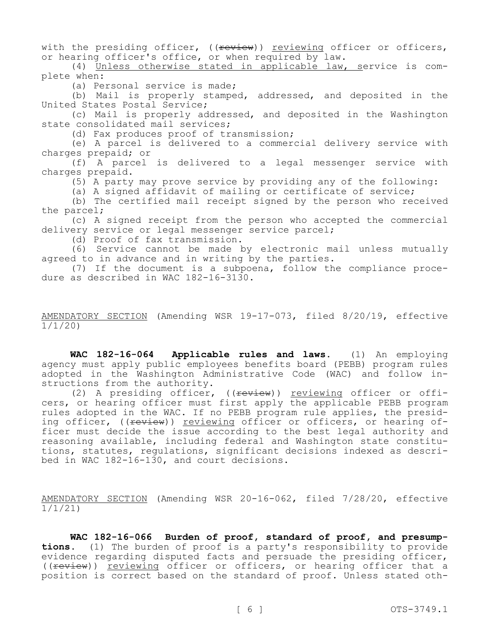with the presiding officer, ((review)) reviewing officer or officers, or hearing officer's office, or when required by law.

(4) Unless otherwise stated in applicable law, service is complete when:

(a) Personal service is made;

(b) Mail is properly stamped, addressed, and deposited in the United States Postal Service;

(c) Mail is properly addressed, and deposited in the Washington state consolidated mail services;

(d) Fax produces proof of transmission;

(e) A parcel is delivered to a commercial delivery service with charges prepaid; or

(f) A parcel is delivered to a legal messenger service with charges prepaid.

(5) A party may prove service by providing any of the following:

(a) A signed affidavit of mailing or certificate of service;

(b) The certified mail receipt signed by the person who received the parcel;

(c) A signed receipt from the person who accepted the commercial delivery service or legal messenger service parcel;

(d) Proof of fax transmission.

(6) Service cannot be made by electronic mail unless mutually agreed to in advance and in writing by the parties.

(7) If the document is a subpoena, follow the compliance procedure as described in WAC 182-16-3130.

#### AMENDATORY SECTION (Amending WSR 19-17-073, filed 8/20/19, effective 1/1/20)

**WAC 182-16-064 Applicable rules and laws.** (1) An employing agency must apply public employees benefits board (PEBB) program rules adopted in the Washington Administrative Code (WAC) and follow instructions from the authority.

(2) A presiding officer, ((review)) reviewing officer or officers, or hearing officer must first apply the applicable PEBB program rules adopted in the WAC. If no PEBB program rule applies, the presiding officer, ((review)) reviewing officer or officers, or hearing officer must decide the issue according to the best legal authority and reasoning available, including federal and Washington state constitutions, statutes, regulations, significant decisions indexed as described in WAC 182-16-130, and court decisions.

AMENDATORY SECTION (Amending WSR 20-16-062, filed 7/28/20, effective 1/1/21)

**WAC 182-16-066 Burden of proof, standard of proof, and presumptions.** (1) The burden of proof is a party's responsibility to provide evidence regarding disputed facts and persuade the presiding officer, ((review)) reviewing officer or officers, or hearing officer that a position is correct based on the standard of proof. Unless stated oth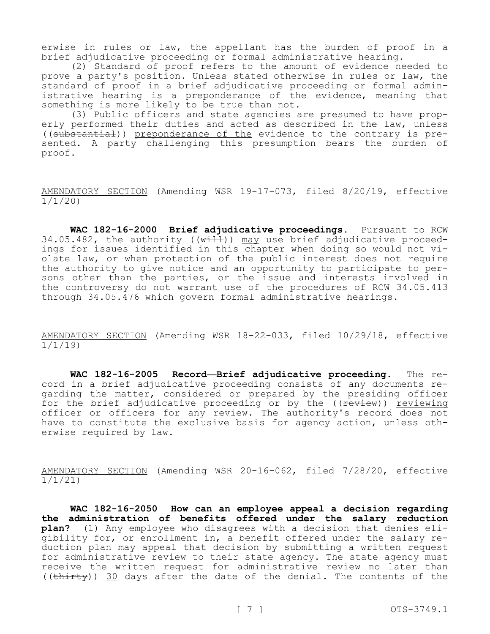erwise in rules or law, the appellant has the burden of proof in a brief adjudicative proceeding or formal administrative hearing.

(2) Standard of proof refers to the amount of evidence needed to prove a party's position. Unless stated otherwise in rules or law, the standard of proof in a brief adjudicative proceeding or formal administrative hearing is a preponderance of the evidence, meaning that something is more likely to be true than not.

(3) Public officers and state agencies are presumed to have properly performed their duties and acted as described in the law, unless ((substantial)) preponderance of the evidence to the contrary is presented. A party challenging this presumption bears the burden of proof.

AMENDATORY SECTION (Amending WSR 19-17-073, filed 8/20/19, effective 1/1/20)

**WAC 182-16-2000 Brief adjudicative proceedings.** Pursuant to RCW 34.05.482, the authority ( $(w+1)$ ) may use brief adjudicative proceedings for issues identified in this chapter when doing so would not violate law, or when protection of the public interest does not require the authority to give notice and an opportunity to participate to persons other than the parties, or the issue and interests involved in the controversy do not warrant use of the procedures of RCW 34.05.413 through 34.05.476 which govern formal administrative hearings.

AMENDATORY SECTION (Amending WSR 18-22-033, filed 10/29/18, effective 1/1/19)

**WAC 182-16-2005 Record—Brief adjudicative proceeding.** The record in a brief adjudicative proceeding consists of any documents regarding the matter, considered or prepared by the presiding officer for the brief adjudicative proceeding or by the ((review)) reviewing officer or officers for any review. The authority's record does not have to constitute the exclusive basis for agency action, unless otherwise required by law.

AMENDATORY SECTION (Amending WSR 20-16-062, filed 7/28/20, effective 1/1/21)

**WAC 182-16-2050 How can an employee appeal a decision regarding the administration of benefits offered under the salary reduction plan?** (1) Any employee who disagrees with a decision that denies eligibility for, or enrollment in, a benefit offered under the salary reduction plan may appeal that decision by submitting a written request for administrative review to their state agency. The state agency must receive the written request for administrative review no later than (( $\text{thirty}$ )) 30 days after the date of the denial. The contents of the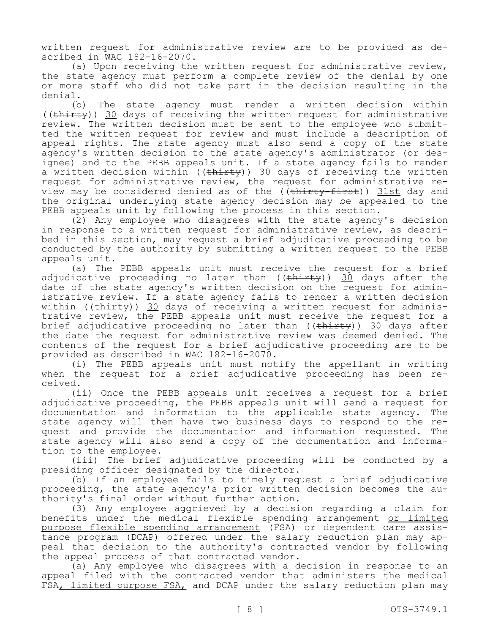written request for administrative review are to be provided as described in WAC 182-16-2070.

(a) Upon receiving the written request for administrative review, the state agency must perform a complete review of the denial by one or more staff who did not take part in the decision resulting in the denial.

(b) The state agency must render a written decision within ((thirty)) 30 days of receiving the written request for administrative review. The written decision must be sent to the employee who submitted the written request for review and must include a description of appeal rights. The state agency must also send a copy of the state agency's written decision to the state agency's administrator (or designee) and to the PEBB appeals unit. If a state agency fails to render a written decision within  $((\text{thirty}))$  30 days of receiving the written request for administrative review, the request for administrative review may be considered denied as of the ((thirty-first)) 31st day and the original underlying state agency decision may be appealed to the PEBB appeals unit by following the process in this section.

(2) Any employee who disagrees with the state agency's decision in response to a written request for administrative review, as described in this section, may request a brief adjudicative proceeding to be conducted by the authority by submitting a written request to the PEBB appeals unit.

(a) The PEBB appeals unit must receive the request for a brief adjudicative proceeding no later than  $((\text{thirty}))$  30 days after the date of the state agency's written decision on the request for administrative review. If a state agency fails to render a written decision within ( $(\text{thirty})$ ) 30 days of receiving a written request for administrative review, the PEBB appeals unit must receive the request for a brief adjudicative proceeding no later than ((thirty)) 30 days after the date the request for administrative review was deemed denied. The contents of the request for a brief adjudicative proceeding are to be provided as described in WAC 182-16-2070.

(i) The PEBB appeals unit must notify the appellant in writing when the request for a brief adjudicative proceeding has been received.

(ii) Once the PEBB appeals unit receives a request for a brief adjudicative proceeding, the PEBB appeals unit will send a request for documentation and information to the applicable state agency. The state agency will then have two business days to respond to the request and provide the documentation and information requested. The state agency will also send a copy of the documentation and information to the employee.

(iii) The brief adjudicative proceeding will be conducted by a presiding officer designated by the director.

(b) If an employee fails to timely request a brief adjudicative proceeding, the state agency's prior written decision becomes the authority's final order without further action.

(3) Any employee aggrieved by a decision regarding a claim for benefits under the medical flexible spending arrangement or limited purpose flexible spending arrangement (FSA) or dependent care assistance program (DCAP) offered under the salary reduction plan may appeal that decision to the authority's contracted vendor by following the appeal process of that contracted vendor.

(a) Any employee who disagrees with a decision in response to an appeal filed with the contracted vendor that administers the medical FSA, limited purpose FSA, and DCAP under the salary reduction plan may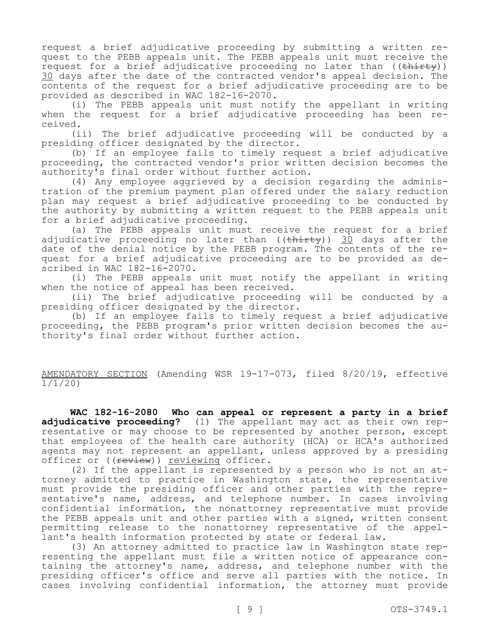request a brief adjudicative proceeding by submitting a written request to the PEBB appeals unit. The PEBB appeals unit must receive the request for a brief adjudicative proceeding no later than  $((\text{thirty}))$ 30 days after the date of the contracted vendor's appeal decision. The contents of the request for a brief adjudicative proceeding are to be provided as described in WAC 182-16-2070.

(i) The PEBB appeals unit must notify the appellant in writing when the request for a brief adjudicative proceeding has been received.

(ii) The brief adjudicative proceeding will be conducted by a presiding officer designated by the director.

(b) If an employee fails to timely request a brief adjudicative proceeding, the contracted vendor's prior written decision becomes the authority's final order without further action.

(4) Any employee aggrieved by a decision regarding the administration of the premium payment plan offered under the salary reduction plan may request a brief adjudicative proceeding to be conducted by the authority by submitting a written request to the PEBB appeals unit for a brief adjudicative proceeding.

(a) The PEBB appeals unit must receive the request for a brief adjudicative proceeding no later than  $((\text{thirty}))$  30 days after the date of the denial notice by the PEBB program. The contents of the request for a brief adjudicative proceeding are to be provided as described in WAC 182-16-2070.

(i) The PEBB appeals unit must notify the appellant in writing when the notice of appeal has been received.

(ii) The brief adjudicative proceeding will be conducted by a presiding officer designated by the director.

(b) If an employee fails to timely request a brief adjudicative proceeding, the PEBB program's prior written decision becomes the authority's final order without further action.

AMENDATORY SECTION (Amending WSR 19-17-073, filed 8/20/19, effective 1/1/20)

**WAC 182-16-2080 Who can appeal or represent a party in a brief adjudicative proceeding?** (1) The appellant may act as their own representative or may choose to be represented by another person, except that employees of the health care authority (HCA) or HCA's authorized agents may not represent an appellant, unless approved by a presiding officer or ((review)) reviewing officer.

(2) If the appellant is represented by a person who is not an attorney admitted to practice in Washington state, the representative must provide the presiding officer and other parties with the representative's name, address, and telephone number. In cases involving confidential information, the nonattorney representative must provide the PEBB appeals unit and other parties with a signed, written consent permitting release to the nonattorney representative of the appellant's health information protected by state or federal law.

(3) An attorney admitted to practice law in Washington state representing the appellant must file a written notice of appearance containing the attorney's name, address, and telephone number with the presiding officer's office and serve all parties with the notice. In cases involving confidential information, the attorney must provide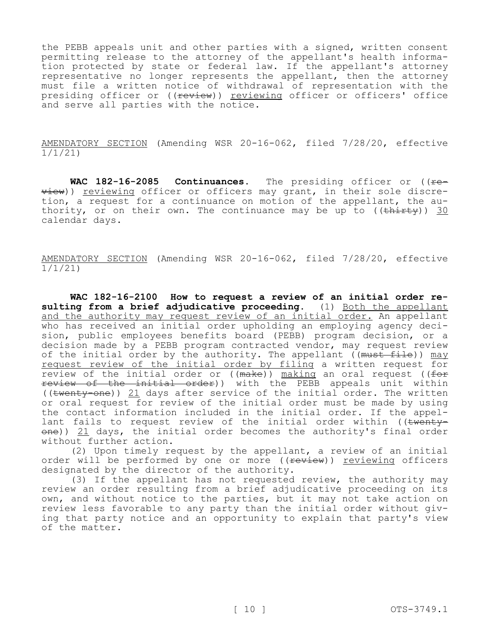the PEBB appeals unit and other parties with a signed, written consent permitting release to the attorney of the appellant's health information protected by state or federal law. If the appellant's attorney representative no longer represents the appellant, then the attorney must file a written notice of withdrawal of representation with the presiding officer or ((review)) reviewing officer or officers' office and serve all parties with the notice.

AMENDATORY SECTION (Amending WSR 20-16-062, filed 7/28/20, effective 1/1/21)

WAC 182-16-2085 Continuances. The presiding officer or ((re- $\overline{view}$ )) reviewing officer or officers may grant, in their sole discretion, a request for a continuance on motion of the appellant, the authority, or on their own. The continuance may be up to  $((\text{thirey}))$  30 calendar days.

AMENDATORY SECTION (Amending WSR 20-16-062, filed 7/28/20, effective 1/1/21)

**WAC 182-16-2100 How to request a review of an initial order re**sulting from a brief adjudicative proceeding. (1) Both the appellant and the authority may request review of an initial order. An appellant who has received an initial order upholding an employing agency decision, public employees benefits board (PEBB) program decision, or a decision made by a PEBB program contracted vendor, may request review of the initial order by the authority. The appellant  $($ (must file)) may request review of the initial order by filing a written request for review of the initial order or  $((\text{make}))$  making an oral request  $((\text{for}$ review of the initial order)) with the PEBB appeals unit within ((twenty-one)) 21 days after service of the initial order. The written or oral request for review of the initial order must be made by using the contact information included in the initial order. If the appellant fails to request review of the initial order within ((<del>twenty-</del> one)) <u>21</u> days, the initial order becomes the authority's final order without further action.

(2) Upon timely request by the appellant, a review of an initial order will be performed by one or more ((review)) reviewing officers designated by the director of the authority.

(3) If the appellant has not requested review, the authority may review an order resulting from a brief adjudicative proceeding on its own, and without notice to the parties, but it may not take action on review less favorable to any party than the initial order without giving that party notice and an opportunity to explain that party's view of the matter.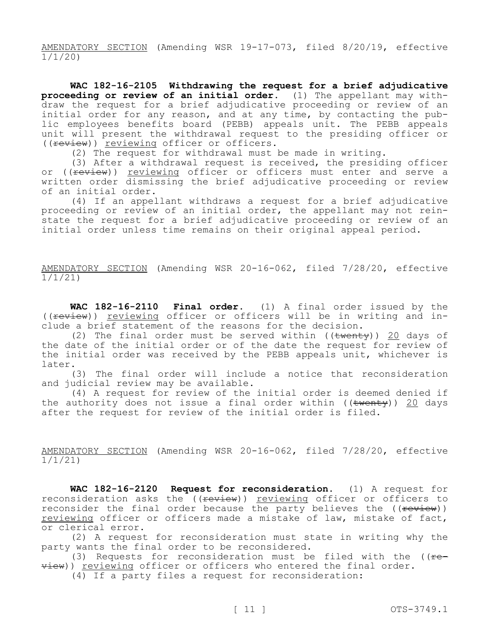AMENDATORY SECTION (Amending WSR 19-17-073, filed 8/20/19, effective 1/1/20)

**WAC 182-16-2105 Withdrawing the request for a brief adjudicative proceeding or review of an initial order.** (1) The appellant may withdraw the request for a brief adjudicative proceeding or review of an initial order for any reason, and at any time, by contacting the public employees benefits board (PEBB) appeals unit. The PEBB appeals unit will present the withdrawal request to the presiding officer or ((review)) reviewing officer or officers.

(2) The request for withdrawal must be made in writing.

(3) After a withdrawal request is received, the presiding officer or ((<del>review</del>)) <u>reviewing</u> officer or officers must enter and serve a written order dismissing the brief adjudicative proceeding or review of an initial order.

(4) If an appellant withdraws a request for a brief adjudicative proceeding or review of an initial order, the appellant may not reinstate the request for a brief adjudicative proceeding or review of an initial order unless time remains on their original appeal period.

AMENDATORY SECTION (Amending WSR 20-16-062, filed 7/28/20, effective 1/1/21)

**WAC 182-16-2110 Final order.** (1) A final order issued by the ((review)) reviewing officer or officers will be in writing and include a brief statement of the reasons for the decision.

(2) The final order must be served within ( $(\text{twenty})$ ) 20 days of the date of the initial order or of the date the request for review of the initial order was received by the PEBB appeals unit, whichever is later.

(3) The final order will include a notice that reconsideration and judicial review may be available.

(4) A request for review of the initial order is deemed denied if the authority does not issue a final order within ( $(\text{twenty})$ ) 20 days after the request for review of the initial order is filed.

AMENDATORY SECTION (Amending WSR 20-16-062, filed 7/28/20, effective  $\frac{1}{1/1}/21$ 

**WAC 182-16-2120 Request for reconsideration.** (1) A request for reconsideration asks the ((review)) reviewing officer or officers to reconsider the final order because the party believes the  $(($ review) $)$ reviewing officer or officers made a mistake of law, mistake of fact, or clerical error.

(2) A request for reconsideration must state in writing why the party wants the final order to be reconsidered.

(3) Requests for reconsideration must be filed with the  $($   $f$ view)) reviewing officer or officers who entered the final order.

(4) If a party files a request for reconsideration: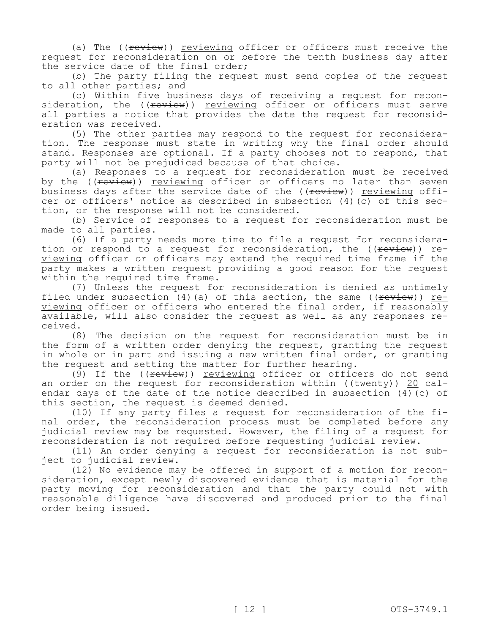(a) The ((review)) reviewing officer or officers must receive the request for reconsideration on or before the tenth business day after the service date of the final order;

(b) The party filing the request must send copies of the request to all other parties; and

(c) Within five business days of receiving a request for reconsideration, the ((<del>review</del>)) <u>reviewing</u> officer or officers must serve all parties a notice that provides the date the request for reconsideration was received.

(5) The other parties may respond to the request for reconsideration. The response must state in writing why the final order should stand. Responses are optional. If a party chooses not to respond, that party will not be prejudiced because of that choice.

(a) Responses to a request for reconsideration must be received by the ((review)) reviewing officer or officers no later than seven business days after the service date of the ((review)) reviewing officer or officers' notice as described in subsection (4)(c) of this section, or the response will not be considered.

(b) Service of responses to a request for reconsideration must be made to all parties.

(6) If a party needs more time to file a request for reconsideration or respond to a request for reconsideration, the ((review)) reviewing officer or officers may extend the required time frame if the party makes a written request providing a good reason for the request within the required time frame.

(7) Unless the request for reconsideration is denied as untimely filed under subsection (4)(a) of this section, the same ( $f$   $f$   $f$ ) reviewing officer or officers who entered the final order, if reasonably available, will also consider the request as well as any responses received.

(8) The decision on the request for reconsideration must be in the form of a written order denying the request, granting the request in whole or in part and issuing a new written final order, or granting the request and setting the matter for further hearing.

(9) If the ((review)) reviewing officer or officers do not send an order on the request for reconsideration within ( $(\text{twenty})$ ) 20 calendar days of the date of the notice described in subsection (4)(c) of this section, the request is deemed denied.

(10) If any party files a request for reconsideration of the final order, the reconsideration process must be completed before any judicial review may be requested. However, the filing of a request for reconsideration is not required before requesting judicial review.

(11) An order denying a request for reconsideration is not subject to judicial review.

(12) No evidence may be offered in support of a motion for reconsideration, except newly discovered evidence that is material for the party moving for reconsideration and that the party could not with reasonable diligence have discovered and produced prior to the final order being issued.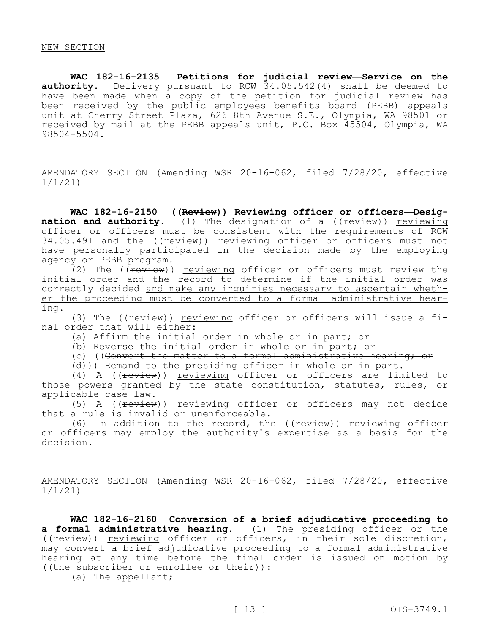**WAC 182-16-2135 Petitions for judicial review—Service on the**  authority. Delivery pursuant to RCW 34.05.542(4) shall be deemed to have been made when a copy of the petition for judicial review has been received by the public employees benefits board (PEBB) appeals unit at Cherry Street Plaza, 626 8th Avenue S.E., Olympia, WA 98501 or received by mail at the PEBB appeals unit, P.O. Box 45504, Olympia, WA 98504-5504.

AMENDATORY SECTION (Amending WSR 20-16-062, filed 7/28/20, effective 1/1/21)

**WAC 182-16-2150 ((Review)) Reviewing officer or officers—Designation and authority.** (1) The designation of a (( $f$ <del>cview</del>)) reviewing officer or officers must be consistent with the requirements of RCW 34.05.491 and the ((review)) reviewing officer or officers must not have personally participated in the decision made by the employing agency or PEBB program.

(2) The ((review)) reviewing officer or officers must review the initial order and the record to determine if the initial order was correctly decided and make any inquiries necessary to ascertain whether the proceeding must be converted to a formal administrative hearing.

(3) The ((review)) reviewing officer or officers will issue a final order that will either:

(a) Affirm the initial order in whole or in part; or

(b) Reverse the initial order in whole or in part; or

(c) ((Convert the matter to a formal administrative hearing; or

 $\left(\frac{d}{d}\right)$ ) Remand to the presiding officer in whole or in part.

(4) A ((review)) reviewing officer or officers are limited to those powers granted by the state constitution, statutes, rules, or applicable case law.

(5) A ((review)) reviewing officer or officers may not decide that a rule is invalid or unenforceable.

(6) In addition to the record, the  $((\text{few})^2)$  reviewing officer or officers may employ the authority's expertise as a basis for the decision.

AMENDATORY SECTION (Amending WSR 20-16-062, filed 7/28/20, effective 1/1/21)

**WAC 182-16-2160 Conversion of a brief adjudicative proceeding to a formal administrative hearing.** (1) The presiding officer or the ((review)) reviewing officer or officers, in their sole discretion, may convert a brief adjudicative proceeding to a formal administrative hearing at any time before the final order is issued on motion by ((the subscriber or enrollee or their)):

(a) The appellant;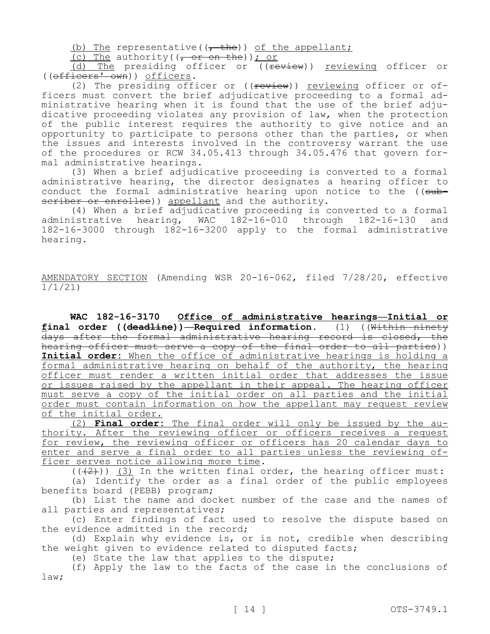(b) The representative( $\left(-\frac{h}{\epsilon}\right)$ ) of the appellant;

(c) The authority( $(-$  or on the)); or

(d) The presiding officer or ((review)) reviewing officer or ((officers' own)) officers.

(2) The presiding officer or  $((\text{review})$ ) reviewing officer or officers must convert the brief adjudicative proceeding to a formal administrative hearing when it is found that the use of the brief adjudicative proceeding violates any provision of law, when the protection of the public interest requires the authority to give notice and an opportunity to participate to persons other than the parties, or when the issues and interests involved in the controversy warrant the use of the procedures or RCW 34.05.413 through 34.05.476 that govern formal administrative hearings.

(3) When a brief adjudicative proceeding is converted to a formal administrative hearing, the director designates a hearing officer to conduct the formal administrative hearing upon notice to the  $($ (subscriber or enrollee)) appellant and the authority.

(4) When a brief adjudicative proceeding is converted to a formal administrative hearing, WAC 182-16-010 through 182-16-130 and 182-16-3000 through 182-16-3200 apply to the formal administrative hearing.

AMENDATORY SECTION (Amending WSR 20-16-062, filed 7/28/20, effective 1/1/21)

**WAC 182-16-3170 Office of administrative hearings—Initial or final order ((deadline))—Required information.** (1) ((Within ninety days after the formal administrative hearing record is closed, the hearing officer must serve a copy of the final order to all parties)) **Initial order:** When the office of administrative hearings is holding a formal administrative hearing on behalf of the authority, the hearing officer must render a written initial order that addresses the issue or issues raised by the appellant in their appeal. The hearing officer must serve a copy of the initial order on all parties and the initial order must contain information on how the appellant may request review of the initial order.

(2) **Final order:** The final order will only be issued by the authority. After the reviewing officer or officers receives a request for review, the reviewing officer or officers has 20 calendar days to enter and serve a final order to all parties unless the reviewing officer serves notice allowing more time.

 $((+2))$  (3) In the written final order, the hearing officer must:

(a) Identify the order as a final order of the public employees benefits board (PEBB) program;

(b) List the name and docket number of the case and the names of all parties and representatives;

(c) Enter findings of fact used to resolve the dispute based on the evidence admitted in the record;

(d) Explain why evidence is, or is not, credible when describing the weight given to evidence related to disputed facts;

(e) State the law that applies to the dispute;

(f) Apply the law to the facts of the case in the conclusions of law;